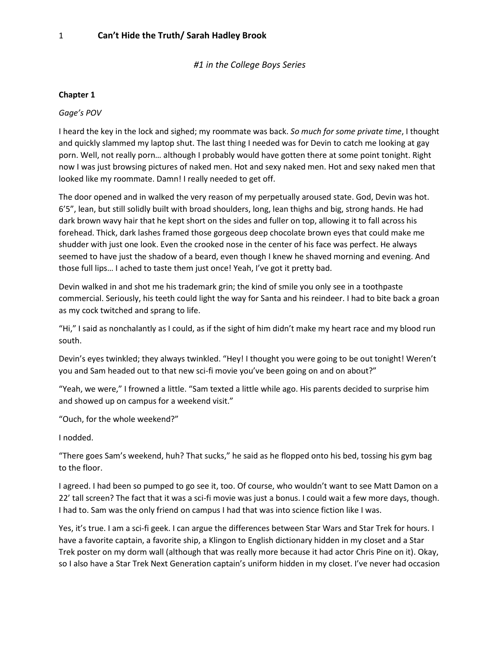*#1 in the College Boys Series*

#### **Chapter 1**

#### *Gage's POV*

I heard the key in the lock and sighed; my roommate was back. *So much for some private time*, I thought and quickly slammed my laptop shut. The last thing I needed was for Devin to catch me looking at gay porn. Well, not really porn… although I probably would have gotten there at some point tonight. Right now I was just browsing pictures of naked men. Hot and sexy naked men. Hot and sexy naked men that looked like my roommate. Damn! I really needed to get off.

The door opened and in walked the very reason of my perpetually aroused state. God, Devin was hot. 6'5", lean, but still solidly built with broad shoulders, long, lean thighs and big, strong hands. He had dark brown wavy hair that he kept short on the sides and fuller on top, allowing it to fall across his forehead. Thick, dark lashes framed those gorgeous deep chocolate brown eyes that could make me shudder with just one look. Even the crooked nose in the center of his face was perfect. He always seemed to have just the shadow of a beard, even though I knew he shaved morning and evening. And those full lips… I ached to taste them just once! Yeah, I've got it pretty bad.

Devin walked in and shot me his trademark grin; the kind of smile you only see in a toothpaste commercial. Seriously, his teeth could light the way for Santa and his reindeer. I had to bite back a groan as my cock twitched and sprang to life.

"Hi," I said as nonchalantly as I could, as if the sight of him didn't make my heart race and my blood run south.

Devin's eyes twinkled; they always twinkled. "Hey! I thought you were going to be out tonight! Weren't you and Sam headed out to that new sci-fi movie you've been going on and on about?"

"Yeah, we were," I frowned a little. "Sam texted a little while ago. His parents decided to surprise him and showed up on campus for a weekend visit."

"Ouch, for the whole weekend?"

I nodded.

"There goes Sam's weekend, huh? That sucks," he said as he flopped onto his bed, tossing his gym bag to the floor.

I agreed. I had been so pumped to go see it, too. Of course, who wouldn't want to see Matt Damon on a 22' tall screen? The fact that it was a sci-fi movie was just a bonus. I could wait a few more days, though. I had to. Sam was the only friend on campus I had that was into science fiction like I was.

Yes, it's true. I am a sci-fi geek. I can argue the differences between Star Wars and Star Trek for hours. I have a favorite captain, a favorite ship, a Klingon to English dictionary hidden in my closet and a Star Trek poster on my dorm wall (although that was really more because it had actor Chris Pine on it). Okay, so I also have a Star Trek Next Generation captain's uniform hidden in my closet. I've never had occasion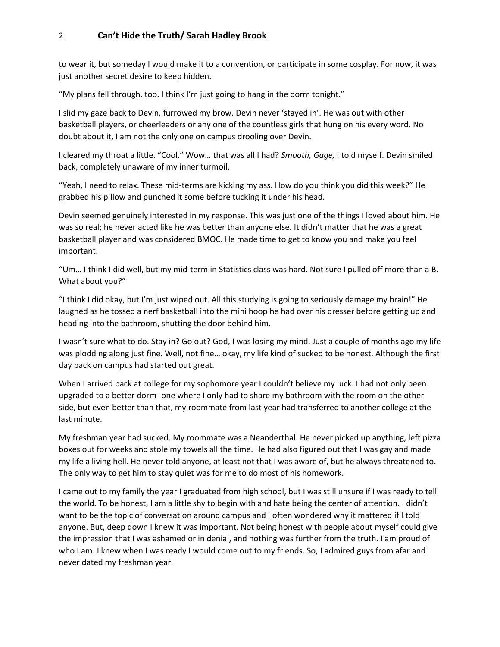to wear it, but someday I would make it to a convention, or participate in some cosplay. For now, it was just another secret desire to keep hidden.

"My plans fell through, too. I think I'm just going to hang in the dorm tonight."

I slid my gaze back to Devin, furrowed my brow. Devin never 'stayed in'. He was out with other basketball players, or cheerleaders or any one of the countless girls that hung on his every word. No doubt about it, I am not the only one on campus drooling over Devin.

I cleared my throat a little. "Cool." Wow… that was all I had? *Smooth, Gage,* I told myself. Devin smiled back, completely unaware of my inner turmoil.

"Yeah, I need to relax. These mid-terms are kicking my ass. How do you think you did this week?" He grabbed his pillow and punched it some before tucking it under his head.

Devin seemed genuinely interested in my response. This was just one of the things I loved about him. He was so real; he never acted like he was better than anyone else. It didn't matter that he was a great basketball player and was considered BMOC. He made time to get to know you and make you feel important.

"Um… I think I did well, but my mid-term in Statistics class was hard. Not sure I pulled off more than a B. What about you?"

"I think I did okay, but I'm just wiped out. All this studying is going to seriously damage my brain!" He laughed as he tossed a nerf basketball into the mini hoop he had over his dresser before getting up and heading into the bathroom, shutting the door behind him.

I wasn't sure what to do. Stay in? Go out? God, I was losing my mind. Just a couple of months ago my life was plodding along just fine. Well, not fine… okay, my life kind of sucked to be honest. Although the first day back on campus had started out great.

When I arrived back at college for my sophomore year I couldn't believe my luck. I had not only been upgraded to a better dorm- one where I only had to share my bathroom with the room on the other side, but even better than that, my roommate from last year had transferred to another college at the last minute.

My freshman year had sucked. My roommate was a Neanderthal. He never picked up anything, left pizza boxes out for weeks and stole my towels all the time. He had also figured out that I was gay and made my life a living hell. He never told anyone, at least not that I was aware of, but he always threatened to. The only way to get him to stay quiet was for me to do most of his homework.

I came out to my family the year I graduated from high school, but I was still unsure if I was ready to tell the world. To be honest, I am a little shy to begin with and hate being the center of attention. I didn't want to be the topic of conversation around campus and I often wondered why it mattered if I told anyone. But, deep down I knew it was important. Not being honest with people about myself could give the impression that I was ashamed or in denial, and nothing was further from the truth. I am proud of who I am. I knew when I was ready I would come out to my friends. So, I admired guys from afar and never dated my freshman year.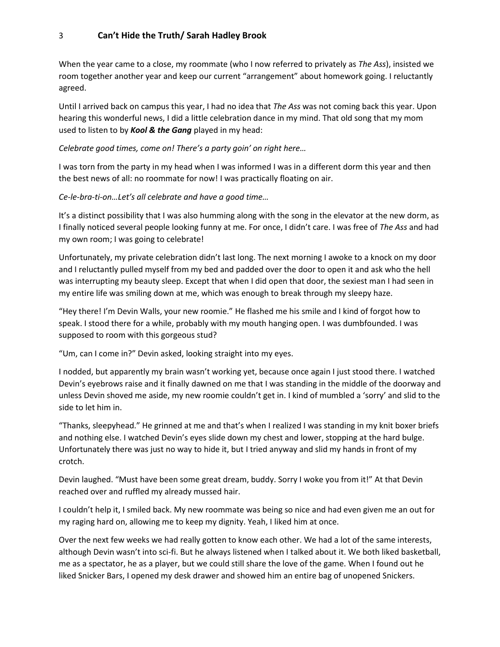When the year came to a close, my roommate (who I now referred to privately as *The Ass*), insisted we room together another year and keep our current "arrangement" about homework going. I reluctantly agreed.

Until I arrived back on campus this year, I had no idea that *The Ass* was not coming back this year. Upon hearing this wonderful news, I did a little celebration dance in my mind. That old song that my mom used to listen to by *Kool & the Gang* played in my head:

#### *Celebrate good times, come on! There's a party goin' on right here…*

I was torn from the party in my head when I was informed I was in a different dorm this year and then the best news of all: no roommate for now! I was practically floating on air.

#### *Ce-le-bra-ti-on…Let's all celebrate and have a good time…*

It's a distinct possibility that I was also humming along with the song in the elevator at the new dorm, as I finally noticed several people looking funny at me. For once, I didn't care. I was free of *The Ass* and had my own room; I was going to celebrate!

Unfortunately, my private celebration didn't last long. The next morning I awoke to a knock on my door and I reluctantly pulled myself from my bed and padded over the door to open it and ask who the hell was interrupting my beauty sleep. Except that when I did open that door, the sexiest man I had seen in my entire life was smiling down at me, which was enough to break through my sleepy haze.

"Hey there! I'm Devin Walls, your new roomie." He flashed me his smile and I kind of forgot how to speak. I stood there for a while, probably with my mouth hanging open. I was dumbfounded. I was supposed to room with this gorgeous stud?

"Um, can I come in?" Devin asked, looking straight into my eyes.

I nodded, but apparently my brain wasn't working yet, because once again I just stood there. I watched Devin's eyebrows raise and it finally dawned on me that I was standing in the middle of the doorway and unless Devin shoved me aside, my new roomie couldn't get in. I kind of mumbled a 'sorry' and slid to the side to let him in.

"Thanks, sleepyhead." He grinned at me and that's when I realized I was standing in my knit boxer briefs and nothing else. I watched Devin's eyes slide down my chest and lower, stopping at the hard bulge. Unfortunately there was just no way to hide it, but I tried anyway and slid my hands in front of my crotch.

Devin laughed. "Must have been some great dream, buddy. Sorry I woke you from it!" At that Devin reached over and ruffled my already mussed hair.

I couldn't help it, I smiled back. My new roommate was being so nice and had even given me an out for my raging hard on, allowing me to keep my dignity. Yeah, I liked him at once.

Over the next few weeks we had really gotten to know each other. We had a lot of the same interests, although Devin wasn't into sci-fi. But he always listened when I talked about it. We both liked basketball, me as a spectator, he as a player, but we could still share the love of the game. When I found out he liked Snicker Bars, I opened my desk drawer and showed him an entire bag of unopened Snickers.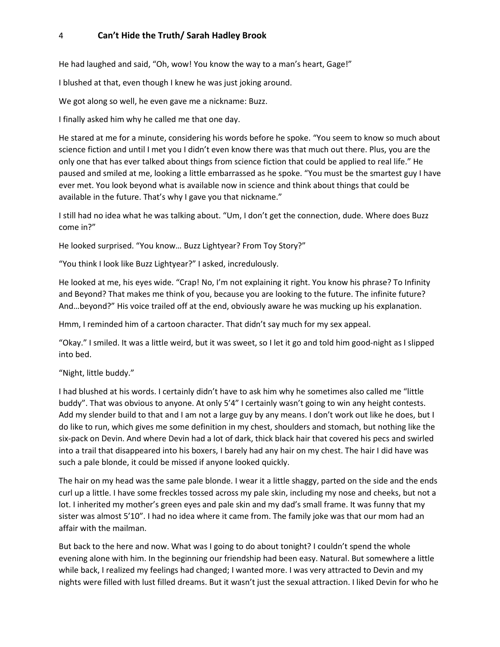He had laughed and said, "Oh, wow! You know the way to a man's heart, Gage!"

I blushed at that, even though I knew he was just joking around.

We got along so well, he even gave me a nickname: Buzz.

I finally asked him why he called me that one day.

He stared at me for a minute, considering his words before he spoke. "You seem to know so much about science fiction and until I met you I didn't even know there was that much out there. Plus, you are the only one that has ever talked about things from science fiction that could be applied to real life." He paused and smiled at me, looking a little embarrassed as he spoke. "You must be the smartest guy I have ever met. You look beyond what is available now in science and think about things that could be available in the future. That's why I gave you that nickname."

I still had no idea what he was talking about. "Um, I don't get the connection, dude. Where does Buzz come in?"

He looked surprised. "You know… Buzz Lightyear? From Toy Story?"

"You think I look like Buzz Lightyear?" I asked, incredulously.

He looked at me, his eyes wide. "Crap! No, I'm not explaining it right. You know his phrase? To Infinity and Beyond? That makes me think of you, because you are looking to the future. The infinite future? And…beyond?" His voice trailed off at the end, obviously aware he was mucking up his explanation.

Hmm, I reminded him of a cartoon character. That didn't say much for my sex appeal.

"Okay." I smiled. It was a little weird, but it was sweet, so I let it go and told him good-night as I slipped into bed.

#### "Night, little buddy."

I had blushed at his words. I certainly didn't have to ask him why he sometimes also called me "little buddy". That was obvious to anyone. At only 5'4" I certainly wasn't going to win any height contests. Add my slender build to that and I am not a large guy by any means. I don't work out like he does, but I do like to run, which gives me some definition in my chest, shoulders and stomach, but nothing like the six-pack on Devin. And where Devin had a lot of dark, thick black hair that covered his pecs and swirled into a trail that disappeared into his boxers, I barely had any hair on my chest. The hair I did have was such a pale blonde, it could be missed if anyone looked quickly.

The hair on my head was the same pale blonde. I wear it a little shaggy, parted on the side and the ends curl up a little. I have some freckles tossed across my pale skin, including my nose and cheeks, but not a lot. I inherited my mother's green eyes and pale skin and my dad's small frame. It was funny that my sister was almost 5'10". I had no idea where it came from. The family joke was that our mom had an affair with the mailman.

But back to the here and now. What was I going to do about tonight? I couldn't spend the whole evening alone with him. In the beginning our friendship had been easy. Natural. But somewhere a little while back, I realized my feelings had changed; I wanted more. I was very attracted to Devin and my nights were filled with lust filled dreams. But it wasn't just the sexual attraction. I liked Devin for who he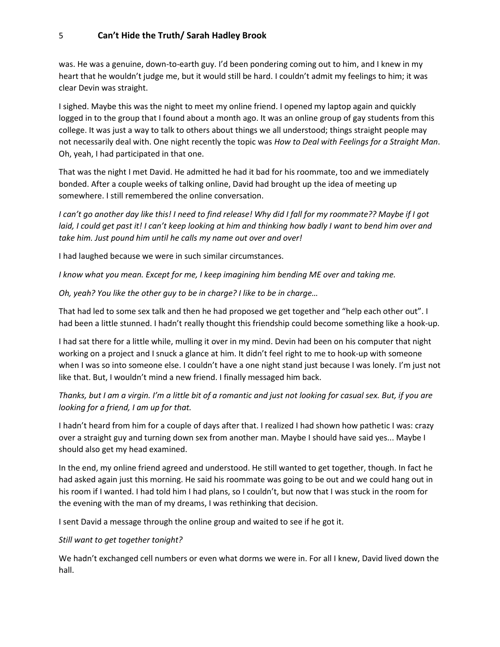was. He was a genuine, down-to-earth guy. I'd been pondering coming out to him, and I knew in my heart that he wouldn't judge me, but it would still be hard. I couldn't admit my feelings to him; it was clear Devin was straight.

I sighed. Maybe this was the night to meet my online friend. I opened my laptop again and quickly logged in to the group that I found about a month ago. It was an online group of gay students from this college. It was just a way to talk to others about things we all understood; things straight people may not necessarily deal with. One night recently the topic was *How to Deal with Feelings for a Straight Man*. Oh, yeah, I had participated in that one.

That was the night I met David. He admitted he had it bad for his roommate, too and we immediately bonded. After a couple weeks of talking online, David had brought up the idea of meeting up somewhere. I still remembered the online conversation.

*I can't go another day like this! I need to find release! Why did I fall for my roommate?? Maybe if I got laid, I could get past it! I can't keep looking at him and thinking how badly I want to bend him over and take him. Just pound him until he calls my name out over and over!* 

I had laughed because we were in such similar circumstances.

*I know what you mean. Except for me, I keep imagining him bending ME over and taking me.* 

*Oh, yeah? You like the other guy to be in charge? I like to be in charge…*

That had led to some sex talk and then he had proposed we get together and "help each other out". I had been a little stunned. I hadn't really thought this friendship could become something like a hook-up.

I had sat there for a little while, mulling it over in my mind. Devin had been on his computer that night working on a project and I snuck a glance at him. It didn't feel right to me to hook-up with someone when I was so into someone else. I couldn't have a one night stand just because I was lonely. I'm just not like that. But, I wouldn't mind a new friend. I finally messaged him back.

*Thanks, but I am a virgin. I'm a little bit of a romantic and just not looking for casual sex. But, if you are looking for a friend, I am up for that.* 

I hadn't heard from him for a couple of days after that. I realized I had shown how pathetic I was: crazy over a straight guy and turning down sex from another man. Maybe I should have said yes... Maybe I should also get my head examined.

In the end, my online friend agreed and understood. He still wanted to get together, though. In fact he had asked again just this morning. He said his roommate was going to be out and we could hang out in his room if I wanted. I had told him I had plans, so I couldn't, but now that I was stuck in the room for the evening with the man of my dreams, I was rethinking that decision.

I sent David a message through the online group and waited to see if he got it.

*Still want to get together tonight?*

We hadn't exchanged cell numbers or even what dorms we were in. For all I knew, David lived down the hall.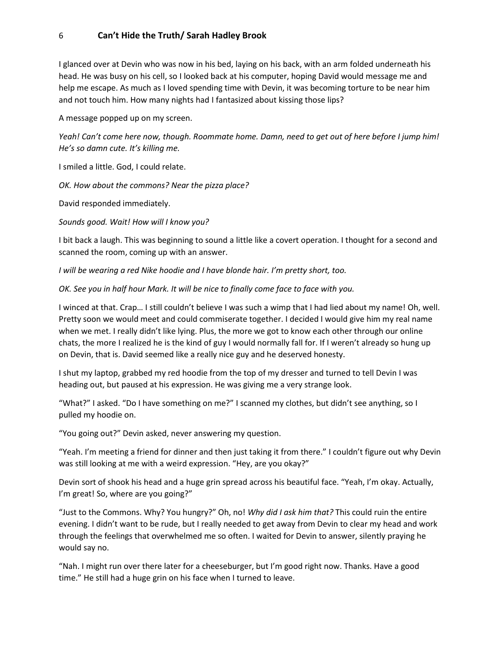I glanced over at Devin who was now in his bed, laying on his back, with an arm folded underneath his head. He was busy on his cell, so I looked back at his computer, hoping David would message me and help me escape. As much as I loved spending time with Devin, it was becoming torture to be near him and not touch him. How many nights had I fantasized about kissing those lips?

A message popped up on my screen.

*Yeah! Can't come here now, though. Roommate home. Damn, need to get out of here before I jump him! He's so damn cute. It's killing me.*

I smiled a little. God, I could relate.

*OK. How about the commons? Near the pizza place?*

David responded immediately.

*Sounds good. Wait! How will I know you?*

I bit back a laugh. This was beginning to sound a little like a covert operation. I thought for a second and scanned the room, coming up with an answer.

*I* will be wearing a red Nike hoodie and *I* have blonde hair. I'm pretty short, too.

*OK. See you in half hour Mark. It will be nice to finally come face to face with you.* 

I winced at that. Crap… I still couldn't believe I was such a wimp that I had lied about my name! Oh, well. Pretty soon we would meet and could commiserate together. I decided I would give him my real name when we met. I really didn't like lying. Plus, the more we got to know each other through our online chats, the more I realized he is the kind of guy I would normally fall for. If I weren't already so hung up on Devin, that is. David seemed like a really nice guy and he deserved honesty.

I shut my laptop, grabbed my red hoodie from the top of my dresser and turned to tell Devin I was heading out, but paused at his expression. He was giving me a very strange look.

"What?" I asked. "Do I have something on me?" I scanned my clothes, but didn't see anything, so I pulled my hoodie on.

"You going out?" Devin asked, never answering my question.

"Yeah. I'm meeting a friend for dinner and then just taking it from there." I couldn't figure out why Devin was still looking at me with a weird expression. "Hey, are you okay?"

Devin sort of shook his head and a huge grin spread across his beautiful face. "Yeah, I'm okay. Actually, I'm great! So, where are you going?"

"Just to the Commons. Why? You hungry?" Oh, no! *Why did I ask him that?* This could ruin the entire evening. I didn't want to be rude, but I really needed to get away from Devin to clear my head and work through the feelings that overwhelmed me so often. I waited for Devin to answer, silently praying he would say no.

"Nah. I might run over there later for a cheeseburger, but I'm good right now. Thanks. Have a good time." He still had a huge grin on his face when I turned to leave.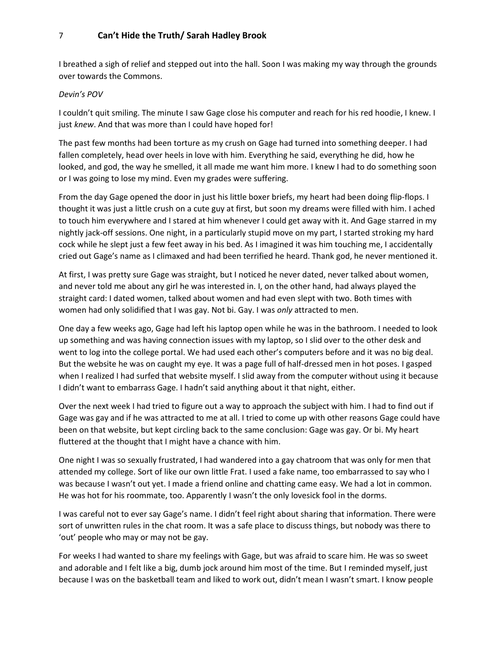I breathed a sigh of relief and stepped out into the hall. Soon I was making my way through the grounds over towards the Commons.

#### *Devin's POV*

I couldn't quit smiling. The minute I saw Gage close his computer and reach for his red hoodie, I knew. I just *knew*. And that was more than I could have hoped for!

The past few months had been torture as my crush on Gage had turned into something deeper. I had fallen completely, head over heels in love with him. Everything he said, everything he did, how he looked, and god, the way he smelled, it all made me want him more. I knew I had to do something soon or I was going to lose my mind. Even my grades were suffering.

From the day Gage opened the door in just his little boxer briefs, my heart had been doing flip-flops. I thought it was just a little crush on a cute guy at first, but soon my dreams were filled with him. I ached to touch him everywhere and I stared at him whenever I could get away with it. And Gage starred in my nightly jack-off sessions. One night, in a particularly stupid move on my part, I started stroking my hard cock while he slept just a few feet away in his bed. As I imagined it was him touching me, I accidentally cried out Gage's name as I climaxed and had been terrified he heard. Thank god, he never mentioned it.

At first, I was pretty sure Gage was straight, but I noticed he never dated, never talked about women, and never told me about any girl he was interested in. I, on the other hand, had always played the straight card: I dated women, talked about women and had even slept with two. Both times with women had only solidified that I was gay. Not bi. Gay. I was *only* attracted to men.

One day a few weeks ago, Gage had left his laptop open while he was in the bathroom. I needed to look up something and was having connection issues with my laptop, so I slid over to the other desk and went to log into the college portal. We had used each other's computers before and it was no big deal. But the website he was on caught my eye. It was a page full of half-dressed men in hot poses. I gasped when I realized I had surfed that website myself. I slid away from the computer without using it because I didn't want to embarrass Gage. I hadn't said anything about it that night, either.

Over the next week I had tried to figure out a way to approach the subject with him. I had to find out if Gage was gay and if he was attracted to me at all. I tried to come up with other reasons Gage could have been on that website, but kept circling back to the same conclusion: Gage was gay. Or bi. My heart fluttered at the thought that I might have a chance with him.

One night I was so sexually frustrated, I had wandered into a gay chatroom that was only for men that attended my college. Sort of like our own little Frat. I used a fake name, too embarrassed to say who I was because I wasn't out yet. I made a friend online and chatting came easy. We had a lot in common. He was hot for his roommate, too. Apparently I wasn't the only lovesick fool in the dorms.

I was careful not to ever say Gage's name. I didn't feel right about sharing that information. There were sort of unwritten rules in the chat room. It was a safe place to discuss things, but nobody was there to 'out' people who may or may not be gay.

For weeks I had wanted to share my feelings with Gage, but was afraid to scare him. He was so sweet and adorable and I felt like a big, dumb jock around him most of the time. But I reminded myself, just because I was on the basketball team and liked to work out, didn't mean I wasn't smart. I know people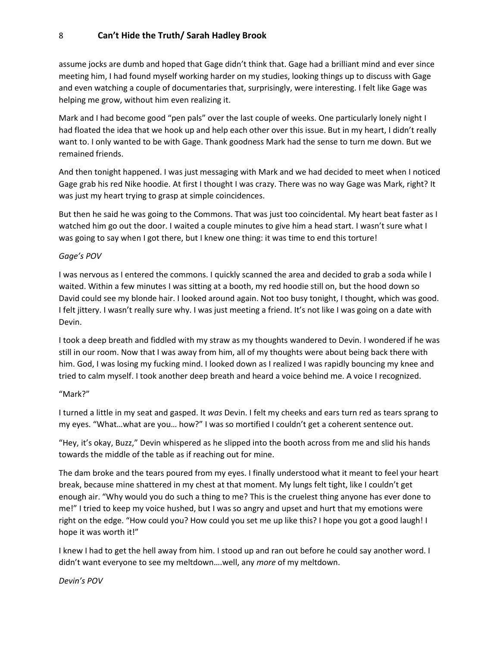assume jocks are dumb and hoped that Gage didn't think that. Gage had a brilliant mind and ever since meeting him, I had found myself working harder on my studies, looking things up to discuss with Gage and even watching a couple of documentaries that, surprisingly, were interesting. I felt like Gage was helping me grow, without him even realizing it.

Mark and I had become good "pen pals" over the last couple of weeks. One particularly lonely night I had floated the idea that we hook up and help each other over this issue. But in my heart, I didn't really want to. I only wanted to be with Gage. Thank goodness Mark had the sense to turn me down. But we remained friends.

And then tonight happened. I was just messaging with Mark and we had decided to meet when I noticed Gage grab his red Nike hoodie. At first I thought I was crazy. There was no way Gage was Mark, right? It was just my heart trying to grasp at simple coincidences.

But then he said he was going to the Commons. That was just too coincidental. My heart beat faster as I watched him go out the door. I waited a couple minutes to give him a head start. I wasn't sure what I was going to say when I got there, but I knew one thing: it was time to end this torture!

#### *Gage's POV*

I was nervous as I entered the commons. I quickly scanned the area and decided to grab a soda while I waited. Within a few minutes I was sitting at a booth, my red hoodie still on, but the hood down so David could see my blonde hair. I looked around again. Not too busy tonight, I thought, which was good. I felt jittery. I wasn't really sure why. I was just meeting a friend. It's not like I was going on a date with Devin.

I took a deep breath and fiddled with my straw as my thoughts wandered to Devin. I wondered if he was still in our room. Now that I was away from him, all of my thoughts were about being back there with him. God, I was losing my fucking mind. I looked down as I realized I was rapidly bouncing my knee and tried to calm myself. I took another deep breath and heard a voice behind me. A voice I recognized.

#### "Mark?"

I turned a little in my seat and gasped. It *was* Devin. I felt my cheeks and ears turn red as tears sprang to my eyes. "What…what are you… how?" I was so mortified I couldn't get a coherent sentence out.

"Hey, it's okay, Buzz," Devin whispered as he slipped into the booth across from me and slid his hands towards the middle of the table as if reaching out for mine.

The dam broke and the tears poured from my eyes. I finally understood what it meant to feel your heart break, because mine shattered in my chest at that moment. My lungs felt tight, like I couldn't get enough air. "Why would you do such a thing to me? This is the cruelest thing anyone has ever done to me!" I tried to keep my voice hushed, but I was so angry and upset and hurt that my emotions were right on the edge. "How could you? How could you set me up like this? I hope you got a good laugh! I hope it was worth it!"

I knew I had to get the hell away from him. I stood up and ran out before he could say another word. I didn't want everyone to see my meltdown….well, any *more* of my meltdown.

*Devin's POV*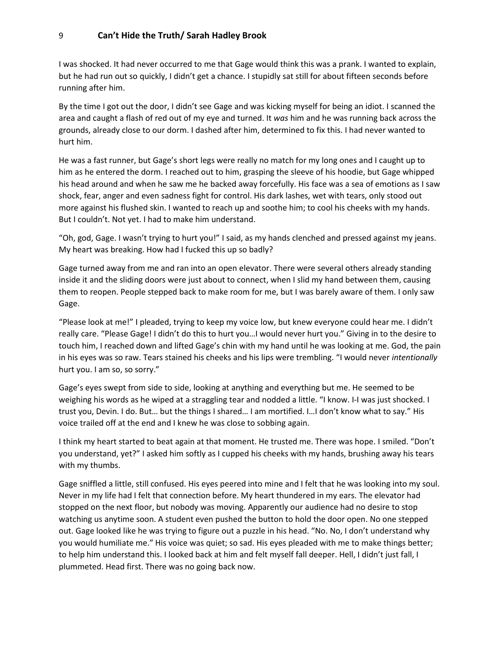I was shocked. It had never occurred to me that Gage would think this was a prank. I wanted to explain, but he had run out so quickly, I didn't get a chance. I stupidly sat still for about fifteen seconds before running after him.

By the time I got out the door, I didn't see Gage and was kicking myself for being an idiot. I scanned the area and caught a flash of red out of my eye and turned. It *was* him and he was running back across the grounds, already close to our dorm. I dashed after him, determined to fix this. I had never wanted to hurt him.

He was a fast runner, but Gage's short legs were really no match for my long ones and I caught up to him as he entered the dorm. I reached out to him, grasping the sleeve of his hoodie, but Gage whipped his head around and when he saw me he backed away forcefully. His face was a sea of emotions as I saw shock, fear, anger and even sadness fight for control. His dark lashes, wet with tears, only stood out more against his flushed skin. I wanted to reach up and soothe him; to cool his cheeks with my hands. But I couldn't. Not yet. I had to make him understand.

"Oh, god, Gage. I wasn't trying to hurt you!" I said, as my hands clenched and pressed against my jeans. My heart was breaking. How had I fucked this up so badly?

Gage turned away from me and ran into an open elevator. There were several others already standing inside it and the sliding doors were just about to connect, when I slid my hand between them, causing them to reopen. People stepped back to make room for me, but I was barely aware of them. I only saw Gage.

"Please look at me!" I pleaded, trying to keep my voice low, but knew everyone could hear me. I didn't really care. "Please Gage! I didn't do this to hurt you…I would never hurt you." Giving in to the desire to touch him, I reached down and lifted Gage's chin with my hand until he was looking at me. God, the pain in his eyes was so raw. Tears stained his cheeks and his lips were trembling. "I would never *intentionally*  hurt you. I am so, so sorry."

Gage's eyes swept from side to side, looking at anything and everything but me. He seemed to be weighing his words as he wiped at a straggling tear and nodded a little. "I know. I-I was just shocked. I trust you, Devin. I do. But… but the things I shared… I am mortified. I…I don't know what to say." His voice trailed off at the end and I knew he was close to sobbing again.

I think my heart started to beat again at that moment. He trusted me. There was hope. I smiled. "Don't you understand, yet?" I asked him softly as I cupped his cheeks with my hands, brushing away his tears with my thumbs.

Gage sniffled a little, still confused. His eyes peered into mine and I felt that he was looking into my soul. Never in my life had I felt that connection before. My heart thundered in my ears. The elevator had stopped on the next floor, but nobody was moving. Apparently our audience had no desire to stop watching us anytime soon. A student even pushed the button to hold the door open. No one stepped out. Gage looked like he was trying to figure out a puzzle in his head. "No. No, I don't understand why you would humiliate me." His voice was quiet; so sad. His eyes pleaded with me to make things better; to help him understand this. I looked back at him and felt myself fall deeper. Hell, I didn't just fall, I plummeted. Head first. There was no going back now.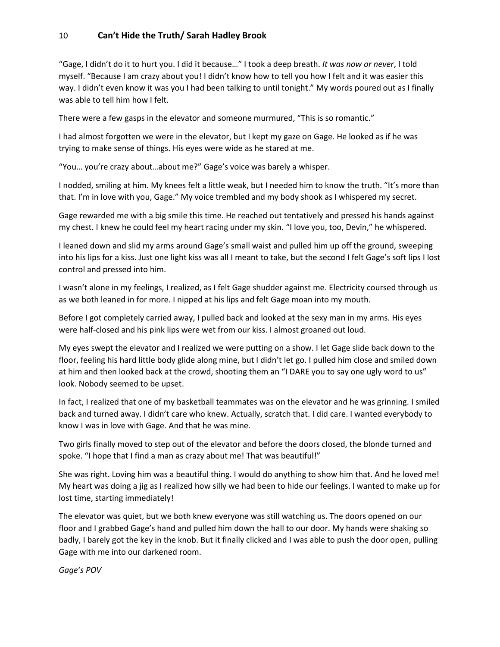"Gage, I didn't do it to hurt you. I did it because…" I took a deep breath. *It was now or never*, I told myself. "Because I am crazy about you! I didn't know how to tell you how I felt and it was easier this way. I didn't even know it was you I had been talking to until tonight." My words poured out as I finally was able to tell him how I felt.

There were a few gasps in the elevator and someone murmured, "This is so romantic."

I had almost forgotten we were in the elevator, but I kept my gaze on Gage. He looked as if he was trying to make sense of things. His eyes were wide as he stared at me.

"You… you're crazy about…about me?" Gage's voice was barely a whisper.

I nodded, smiling at him. My knees felt a little weak, but I needed him to know the truth. "It's more than that. I'm in love with you, Gage." My voice trembled and my body shook as I whispered my secret.

Gage rewarded me with a big smile this time. He reached out tentatively and pressed his hands against my chest. I knew he could feel my heart racing under my skin. "I love you, too, Devin," he whispered.

I leaned down and slid my arms around Gage's small waist and pulled him up off the ground, sweeping into his lips for a kiss. Just one light kiss was all I meant to take, but the second I felt Gage's soft lips I lost control and pressed into him.

I wasn't alone in my feelings, I realized, as I felt Gage shudder against me. Electricity coursed through us as we both leaned in for more. I nipped at his lips and felt Gage moan into my mouth.

Before I got completely carried away, I pulled back and looked at the sexy man in my arms. His eyes were half-closed and his pink lips were wet from our kiss. I almost groaned out loud.

My eyes swept the elevator and I realized we were putting on a show. I let Gage slide back down to the floor, feeling his hard little body glide along mine, but I didn't let go. I pulled him close and smiled down at him and then looked back at the crowd, shooting them an "I DARE you to say one ugly word to us" look. Nobody seemed to be upset.

In fact, I realized that one of my basketball teammates was on the elevator and he was grinning. I smiled back and turned away. I didn't care who knew. Actually, scratch that. I did care. I wanted everybody to know I was in love with Gage. And that he was mine.

Two girls finally moved to step out of the elevator and before the doors closed, the blonde turned and spoke. "I hope that I find a man as crazy about me! That was beautiful!"

She was right. Loving him was a beautiful thing. I would do anything to show him that. And he loved me! My heart was doing a jig as I realized how silly we had been to hide our feelings. I wanted to make up for lost time, starting immediately!

The elevator was quiet, but we both knew everyone was still watching us. The doors opened on our floor and I grabbed Gage's hand and pulled him down the hall to our door. My hands were shaking so badly, I barely got the key in the knob. But it finally clicked and I was able to push the door open, pulling Gage with me into our darkened room.

*Gage's POV*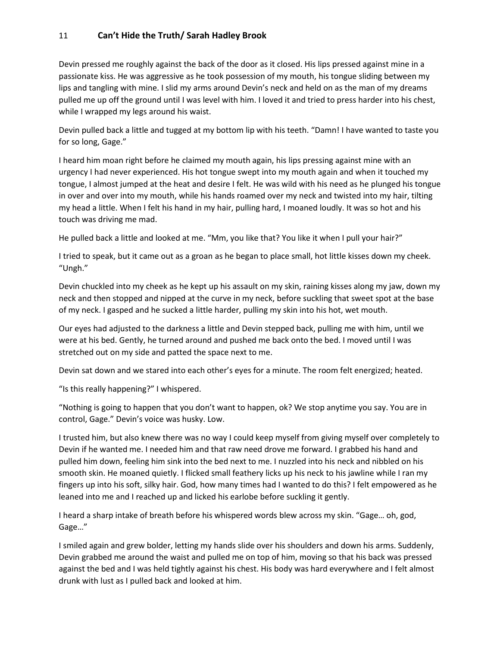Devin pressed me roughly against the back of the door as it closed. His lips pressed against mine in a passionate kiss. He was aggressive as he took possession of my mouth, his tongue sliding between my lips and tangling with mine. I slid my arms around Devin's neck and held on as the man of my dreams pulled me up off the ground until I was level with him. I loved it and tried to press harder into his chest, while I wrapped my legs around his waist.

Devin pulled back a little and tugged at my bottom lip with his teeth. "Damn! I have wanted to taste you for so long, Gage."

I heard him moan right before he claimed my mouth again, his lips pressing against mine with an urgency I had never experienced. His hot tongue swept into my mouth again and when it touched my tongue, I almost jumped at the heat and desire I felt. He was wild with his need as he plunged his tongue in over and over into my mouth, while his hands roamed over my neck and twisted into my hair, tilting my head a little. When I felt his hand in my hair, pulling hard, I moaned loudly. It was so hot and his touch was driving me mad.

He pulled back a little and looked at me. "Mm, you like that? You like it when I pull your hair?"

I tried to speak, but it came out as a groan as he began to place small, hot little kisses down my cheek. "Ungh."

Devin chuckled into my cheek as he kept up his assault on my skin, raining kisses along my jaw, down my neck and then stopped and nipped at the curve in my neck, before suckling that sweet spot at the base of my neck. I gasped and he sucked a little harder, pulling my skin into his hot, wet mouth.

Our eyes had adjusted to the darkness a little and Devin stepped back, pulling me with him, until we were at his bed. Gently, he turned around and pushed me back onto the bed. I moved until I was stretched out on my side and patted the space next to me.

Devin sat down and we stared into each other's eyes for a minute. The room felt energized; heated.

"Is this really happening?" I whispered.

"Nothing is going to happen that you don't want to happen, ok? We stop anytime you say. You are in control, Gage." Devin's voice was husky. Low.

I trusted him, but also knew there was no way I could keep myself from giving myself over completely to Devin if he wanted me. I needed him and that raw need drove me forward. I grabbed his hand and pulled him down, feeling him sink into the bed next to me. I nuzzled into his neck and nibbled on his smooth skin. He moaned quietly. I flicked small feathery licks up his neck to his jawline while I ran my fingers up into his soft, silky hair. God, how many times had I wanted to do this? I felt empowered as he leaned into me and I reached up and licked his earlobe before suckling it gently.

I heard a sharp intake of breath before his whispered words blew across my skin. "Gage… oh, god, Gage…"

I smiled again and grew bolder, letting my hands slide over his shoulders and down his arms. Suddenly, Devin grabbed me around the waist and pulled me on top of him, moving so that his back was pressed against the bed and I was held tightly against his chest. His body was hard everywhere and I felt almost drunk with lust as I pulled back and looked at him.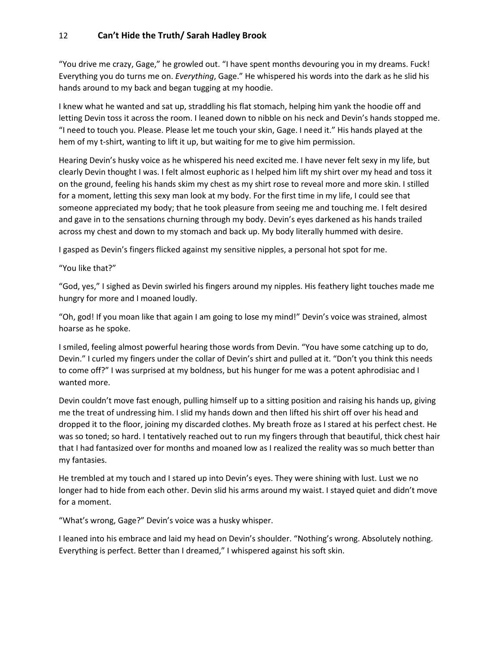"You drive me crazy, Gage," he growled out. "I have spent months devouring you in my dreams. Fuck! Everything you do turns me on. *Everything*, Gage." He whispered his words into the dark as he slid his hands around to my back and began tugging at my hoodie.

I knew what he wanted and sat up, straddling his flat stomach, helping him yank the hoodie off and letting Devin toss it across the room. I leaned down to nibble on his neck and Devin's hands stopped me. "I need to touch you. Please. Please let me touch your skin, Gage. I need it." His hands played at the hem of my t-shirt, wanting to lift it up, but waiting for me to give him permission.

Hearing Devin's husky voice as he whispered his need excited me. I have never felt sexy in my life, but clearly Devin thought I was. I felt almost euphoric as I helped him lift my shirt over my head and toss it on the ground, feeling his hands skim my chest as my shirt rose to reveal more and more skin. I stilled for a moment, letting this sexy man look at my body. For the first time in my life, I could see that someone appreciated my body; that he took pleasure from seeing me and touching me. I felt desired and gave in to the sensations churning through my body. Devin's eyes darkened as his hands trailed across my chest and down to my stomach and back up. My body literally hummed with desire.

I gasped as Devin's fingers flicked against my sensitive nipples, a personal hot spot for me.

"You like that?"

"God, yes," I sighed as Devin swirled his fingers around my nipples. His feathery light touches made me hungry for more and I moaned loudly.

"Oh, god! If you moan like that again I am going to lose my mind!" Devin's voice was strained, almost hoarse as he spoke.

I smiled, feeling almost powerful hearing those words from Devin. "You have some catching up to do, Devin." I curled my fingers under the collar of Devin's shirt and pulled at it. "Don't you think this needs to come off?" I was surprised at my boldness, but his hunger for me was a potent aphrodisiac and I wanted more.

Devin couldn't move fast enough, pulling himself up to a sitting position and raising his hands up, giving me the treat of undressing him. I slid my hands down and then lifted his shirt off over his head and dropped it to the floor, joining my discarded clothes. My breath froze as I stared at his perfect chest. He was so toned; so hard. I tentatively reached out to run my fingers through that beautiful, thick chest hair that I had fantasized over for months and moaned low as I realized the reality was so much better than my fantasies.

He trembled at my touch and I stared up into Devin's eyes. They were shining with lust. Lust we no longer had to hide from each other. Devin slid his arms around my waist. I stayed quiet and didn't move for a moment.

"What's wrong, Gage?" Devin's voice was a husky whisper.

I leaned into his embrace and laid my head on Devin's shoulder. "Nothing's wrong. Absolutely nothing. Everything is perfect. Better than I dreamed," I whispered against his soft skin.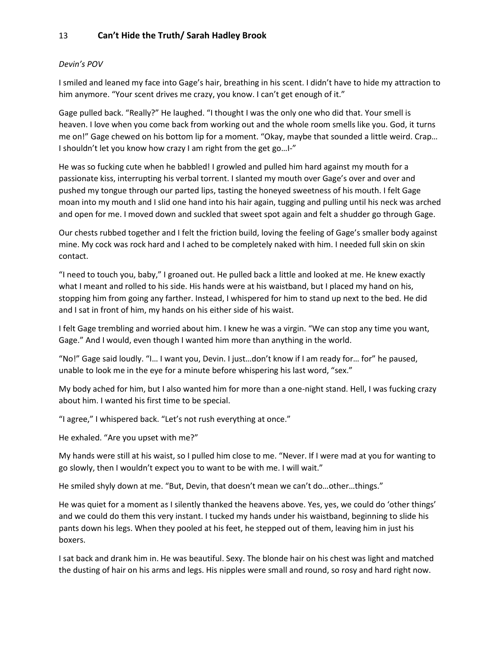#### *Devin's POV*

I smiled and leaned my face into Gage's hair, breathing in his scent. I didn't have to hide my attraction to him anymore. "Your scent drives me crazy, you know. I can't get enough of it."

Gage pulled back. "Really?" He laughed. "I thought I was the only one who did that. Your smell is heaven. I love when you come back from working out and the whole room smells like you. God, it turns me on!" Gage chewed on his bottom lip for a moment. "Okay, maybe that sounded a little weird. Crap… I shouldn't let you know how crazy I am right from the get go…I-"

He was so fucking cute when he babbled! I growled and pulled him hard against my mouth for a passionate kiss, interrupting his verbal torrent. I slanted my mouth over Gage's over and over and pushed my tongue through our parted lips, tasting the honeyed sweetness of his mouth. I felt Gage moan into my mouth and I slid one hand into his hair again, tugging and pulling until his neck was arched and open for me. I moved down and suckled that sweet spot again and felt a shudder go through Gage.

Our chests rubbed together and I felt the friction build, loving the feeling of Gage's smaller body against mine. My cock was rock hard and I ached to be completely naked with him. I needed full skin on skin contact.

"I need to touch you, baby," I groaned out. He pulled back a little and looked at me. He knew exactly what I meant and rolled to his side. His hands were at his waistband, but I placed my hand on his, stopping him from going any farther. Instead, I whispered for him to stand up next to the bed. He did and I sat in front of him, my hands on his either side of his waist.

I felt Gage trembling and worried about him. I knew he was a virgin. "We can stop any time you want, Gage." And I would, even though I wanted him more than anything in the world.

"No!" Gage said loudly. "I… I want you, Devin. I just…don't know if I am ready for… for" he paused, unable to look me in the eye for a minute before whispering his last word, "sex."

My body ached for him, but I also wanted him for more than a one-night stand. Hell, I was fucking crazy about him. I wanted his first time to be special.

"I agree," I whispered back. "Let's not rush everything at once."

He exhaled. "Are you upset with me?"

My hands were still at his waist, so I pulled him close to me. "Never. If I were mad at you for wanting to go slowly, then I wouldn't expect you to want to be with me. I will wait."

He smiled shyly down at me. "But, Devin, that doesn't mean we can't do…other…things."

He was quiet for a moment as I silently thanked the heavens above. Yes, yes, we could do 'other things' and we could do them this very instant. I tucked my hands under his waistband, beginning to slide his pants down his legs. When they pooled at his feet, he stepped out of them, leaving him in just his boxers.

I sat back and drank him in. He was beautiful. Sexy. The blonde hair on his chest was light and matched the dusting of hair on his arms and legs. His nipples were small and round, so rosy and hard right now.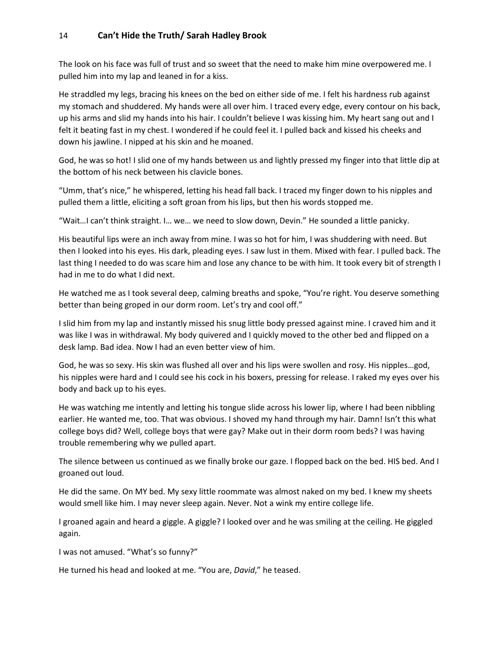The look on his face was full of trust and so sweet that the need to make him mine overpowered me. I pulled him into my lap and leaned in for a kiss.

He straddled my legs, bracing his knees on the bed on either side of me. I felt his hardness rub against my stomach and shuddered. My hands were all over him. I traced every edge, every contour on his back, up his arms and slid my hands into his hair. I couldn't believe I was kissing him. My heart sang out and I felt it beating fast in my chest. I wondered if he could feel it. I pulled back and kissed his cheeks and down his jawline. I nipped at his skin and he moaned.

God, he was so hot! I slid one of my hands between us and lightly pressed my finger into that little dip at the bottom of his neck between his clavicle bones.

"Umm, that's nice," he whispered, letting his head fall back. I traced my finger down to his nipples and pulled them a little, eliciting a soft groan from his lips, but then his words stopped me.

"Wait…I can't think straight. I… we… we need to slow down, Devin." He sounded a little panicky.

His beautiful lips were an inch away from mine. I was so hot for him, I was shuddering with need. But then I looked into his eyes. His dark, pleading eyes. I saw lust in them. Mixed with fear. I pulled back. The last thing I needed to do was scare him and lose any chance to be with him. It took every bit of strength I had in me to do what I did next.

He watched me as I took several deep, calming breaths and spoke, "You're right. You deserve something better than being groped in our dorm room. Let's try and cool off."

I slid him from my lap and instantly missed his snug little body pressed against mine. I craved him and it was like I was in withdrawal. My body quivered and I quickly moved to the other bed and flipped on a desk lamp. Bad idea. Now I had an even better view of him.

God, he was so sexy. His skin was flushed all over and his lips were swollen and rosy. His nipples…god, his nipples were hard and I could see his cock in his boxers, pressing for release. I raked my eyes over his body and back up to his eyes.

He was watching me intently and letting his tongue slide across his lower lip, where I had been nibbling earlier. He wanted me, too. That was obvious. I shoved my hand through my hair. Damn! Isn't this what college boys did? Well, college boys that were gay? Make out in their dorm room beds? I was having trouble remembering why we pulled apart.

The silence between us continued as we finally broke our gaze. I flopped back on the bed. HIS bed. And I groaned out loud.

He did the same. On MY bed. My sexy little roommate was almost naked on my bed. I knew my sheets would smell like him. I may never sleep again. Never. Not a wink my entire college life.

I groaned again and heard a giggle. A giggle? I looked over and he was smiling at the ceiling. He giggled again.

I was not amused. "What's so funny?"

He turned his head and looked at me. "You are, *David*," he teased.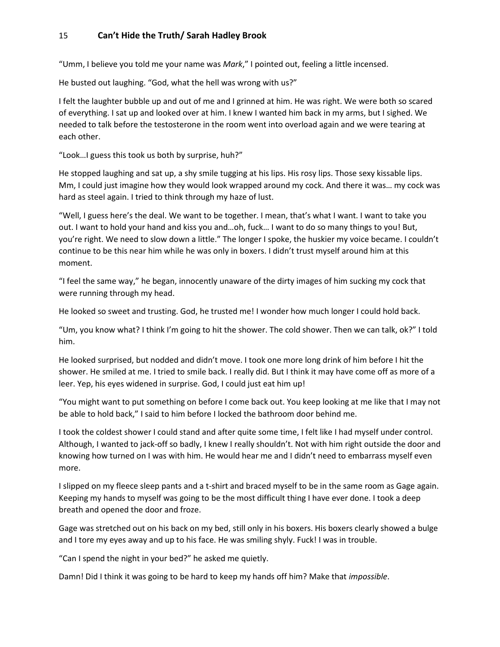"Umm, I believe you told me your name was *Mark*," I pointed out, feeling a little incensed.

He busted out laughing. "God, what the hell was wrong with us?"

I felt the laughter bubble up and out of me and I grinned at him. He was right. We were both so scared of everything. I sat up and looked over at him. I knew I wanted him back in my arms, but I sighed. We needed to talk before the testosterone in the room went into overload again and we were tearing at each other.

"Look…I guess this took us both by surprise, huh?"

He stopped laughing and sat up, a shy smile tugging at his lips. His rosy lips. Those sexy kissable lips. Mm, I could just imagine how they would look wrapped around my cock. And there it was… my cock was hard as steel again. I tried to think through my haze of lust.

"Well, I guess here's the deal. We want to be together. I mean, that's what I want. I want to take you out. I want to hold your hand and kiss you and…oh, fuck… I want to do so many things to you! But, you're right. We need to slow down a little." The longer I spoke, the huskier my voice became. I couldn't continue to be this near him while he was only in boxers. I didn't trust myself around him at this moment.

"I feel the same way," he began, innocently unaware of the dirty images of him sucking my cock that were running through my head.

He looked so sweet and trusting. God, he trusted me! I wonder how much longer I could hold back.

"Um, you know what? I think I'm going to hit the shower. The cold shower. Then we can talk, ok?" I told him.

He looked surprised, but nodded and didn't move. I took one more long drink of him before I hit the shower. He smiled at me. I tried to smile back. I really did. But I think it may have come off as more of a leer. Yep, his eyes widened in surprise. God, I could just eat him up!

"You might want to put something on before I come back out. You keep looking at me like that I may not be able to hold back," I said to him before I locked the bathroom door behind me.

I took the coldest shower I could stand and after quite some time, I felt like I had myself under control. Although, I wanted to jack-off so badly, I knew I really shouldn't. Not with him right outside the door and knowing how turned on I was with him. He would hear me and I didn't need to embarrass myself even more.

I slipped on my fleece sleep pants and a t-shirt and braced myself to be in the same room as Gage again. Keeping my hands to myself was going to be the most difficult thing I have ever done. I took a deep breath and opened the door and froze.

Gage was stretched out on his back on my bed, still only in his boxers. His boxers clearly showed a bulge and I tore my eyes away and up to his face. He was smiling shyly. Fuck! I was in trouble.

"Can I spend the night in your bed?" he asked me quietly.

Damn! Did I think it was going to be hard to keep my hands off him? Make that *impossible*.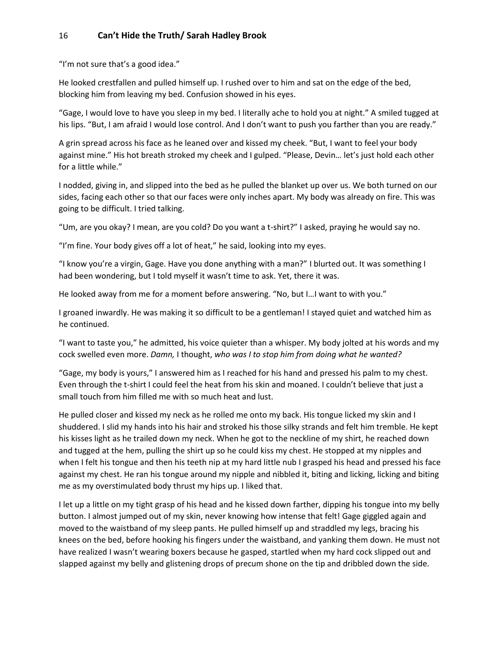"I'm not sure that's a good idea."

He looked crestfallen and pulled himself up. I rushed over to him and sat on the edge of the bed, blocking him from leaving my bed. Confusion showed in his eyes.

"Gage, I would love to have you sleep in my bed. I literally ache to hold you at night." A smiled tugged at his lips. "But, I am afraid I would lose control. And I don't want to push you farther than you are ready."

A grin spread across his face as he leaned over and kissed my cheek. "But, I want to feel your body against mine." His hot breath stroked my cheek and I gulped. "Please, Devin… let's just hold each other for a little while."

I nodded, giving in, and slipped into the bed as he pulled the blanket up over us. We both turned on our sides, facing each other so that our faces were only inches apart. My body was already on fire. This was going to be difficult. I tried talking.

"Um, are you okay? I mean, are you cold? Do you want a t-shirt?" I asked, praying he would say no.

"I'm fine. Your body gives off a lot of heat," he said, looking into my eyes.

"I know you're a virgin, Gage. Have you done anything with a man?" I blurted out. It was something I had been wondering, but I told myself it wasn't time to ask. Yet, there it was.

He looked away from me for a moment before answering. "No, but I…I want to with you."

I groaned inwardly. He was making it so difficult to be a gentleman! I stayed quiet and watched him as he continued.

"I want to taste you," he admitted, his voice quieter than a whisper. My body jolted at his words and my cock swelled even more. *Damn,* I thought, *who was I to stop him from doing what he wanted?*

"Gage, my body is yours," I answered him as I reached for his hand and pressed his palm to my chest. Even through the t-shirt I could feel the heat from his skin and moaned. I couldn't believe that just a small touch from him filled me with so much heat and lust.

He pulled closer and kissed my neck as he rolled me onto my back. His tongue licked my skin and I shuddered. I slid my hands into his hair and stroked his those silky strands and felt him tremble. He kept his kisses light as he trailed down my neck. When he got to the neckline of my shirt, he reached down and tugged at the hem, pulling the shirt up so he could kiss my chest. He stopped at my nipples and when I felt his tongue and then his teeth nip at my hard little nub I grasped his head and pressed his face against my chest. He ran his tongue around my nipple and nibbled it, biting and licking, licking and biting me as my overstimulated body thrust my hips up. I liked that.

I let up a little on my tight grasp of his head and he kissed down farther, dipping his tongue into my belly button. I almost jumped out of my skin, never knowing how intense that felt! Gage giggled again and moved to the waistband of my sleep pants. He pulled himself up and straddled my legs, bracing his knees on the bed, before hooking his fingers under the waistband, and yanking them down. He must not have realized I wasn't wearing boxers because he gasped, startled when my hard cock slipped out and slapped against my belly and glistening drops of precum shone on the tip and dribbled down the side.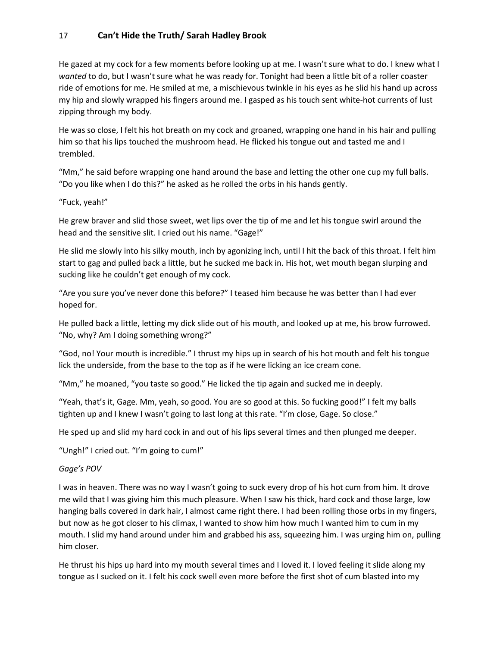He gazed at my cock for a few moments before looking up at me. I wasn't sure what to do. I knew what I *wanted* to do, but I wasn't sure what he was ready for. Tonight had been a little bit of a roller coaster ride of emotions for me. He smiled at me, a mischievous twinkle in his eyes as he slid his hand up across my hip and slowly wrapped his fingers around me. I gasped as his touch sent white-hot currents of lust zipping through my body.

He was so close, I felt his hot breath on my cock and groaned, wrapping one hand in his hair and pulling him so that his lips touched the mushroom head. He flicked his tongue out and tasted me and I trembled.

"Mm," he said before wrapping one hand around the base and letting the other one cup my full balls. "Do you like when I do this?" he asked as he rolled the orbs in his hands gently.

#### "Fuck, yeah!"

He grew braver and slid those sweet, wet lips over the tip of me and let his tongue swirl around the head and the sensitive slit. I cried out his name. "Gage!"

He slid me slowly into his silky mouth, inch by agonizing inch, until I hit the back of this throat. I felt him start to gag and pulled back a little, but he sucked me back in. His hot, wet mouth began slurping and sucking like he couldn't get enough of my cock.

"Are you sure you've never done this before?" I teased him because he was better than I had ever hoped for.

He pulled back a little, letting my dick slide out of his mouth, and looked up at me, his brow furrowed. "No, why? Am I doing something wrong?"

"God, no! Your mouth is incredible." I thrust my hips up in search of his hot mouth and felt his tongue lick the underside, from the base to the top as if he were licking an ice cream cone.

"Mm," he moaned, "you taste so good." He licked the tip again and sucked me in deeply.

"Yeah, that's it, Gage. Mm, yeah, so good. You are so good at this. So fucking good!" I felt my balls tighten up and I knew I wasn't going to last long at this rate. "I'm close, Gage. So close."

He sped up and slid my hard cock in and out of his lips several times and then plunged me deeper.

"Ungh!" I cried out. "I'm going to cum!"

#### *Gage's POV*

I was in heaven. There was no way I wasn't going to suck every drop of his hot cum from him. It drove me wild that I was giving him this much pleasure. When I saw his thick, hard cock and those large, low hanging balls covered in dark hair, I almost came right there. I had been rolling those orbs in my fingers, but now as he got closer to his climax, I wanted to show him how much I wanted him to cum in my mouth. I slid my hand around under him and grabbed his ass, squeezing him. I was urging him on, pulling him closer.

He thrust his hips up hard into my mouth several times and I loved it. I loved feeling it slide along my tongue as I sucked on it. I felt his cock swell even more before the first shot of cum blasted into my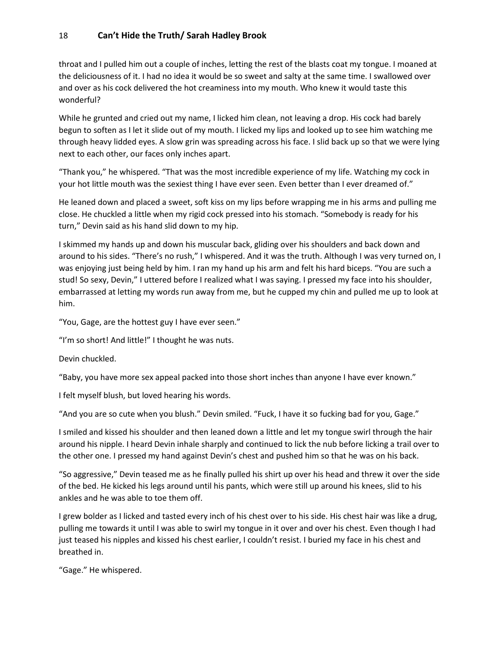throat and I pulled him out a couple of inches, letting the rest of the blasts coat my tongue. I moaned at the deliciousness of it. I had no idea it would be so sweet and salty at the same time. I swallowed over and over as his cock delivered the hot creaminess into my mouth. Who knew it would taste this wonderful?

While he grunted and cried out my name, I licked him clean, not leaving a drop. His cock had barely begun to soften as I let it slide out of my mouth. I licked my lips and looked up to see him watching me through heavy lidded eyes. A slow grin was spreading across his face. I slid back up so that we were lying next to each other, our faces only inches apart.

"Thank you," he whispered. "That was the most incredible experience of my life. Watching my cock in your hot little mouth was the sexiest thing I have ever seen. Even better than I ever dreamed of."

He leaned down and placed a sweet, soft kiss on my lips before wrapping me in his arms and pulling me close. He chuckled a little when my rigid cock pressed into his stomach. "Somebody is ready for his turn," Devin said as his hand slid down to my hip.

I skimmed my hands up and down his muscular back, gliding over his shoulders and back down and around to his sides. "There's no rush," I whispered. And it was the truth. Although I was very turned on, I was enjoying just being held by him. I ran my hand up his arm and felt his hard biceps. "You are such a stud! So sexy, Devin," I uttered before I realized what I was saying. I pressed my face into his shoulder, embarrassed at letting my words run away from me, but he cupped my chin and pulled me up to look at him.

"You, Gage, are the hottest guy I have ever seen."

"I'm so short! And little!" I thought he was nuts.

Devin chuckled.

"Baby, you have more sex appeal packed into those short inches than anyone I have ever known."

I felt myself blush, but loved hearing his words.

"And you are so cute when you blush." Devin smiled. "Fuck, I have it so fucking bad for you, Gage."

I smiled and kissed his shoulder and then leaned down a little and let my tongue swirl through the hair around his nipple. I heard Devin inhale sharply and continued to lick the nub before licking a trail over to the other one. I pressed my hand against Devin's chest and pushed him so that he was on his back.

"So aggressive," Devin teased me as he finally pulled his shirt up over his head and threw it over the side of the bed. He kicked his legs around until his pants, which were still up around his knees, slid to his ankles and he was able to toe them off.

I grew bolder as I licked and tasted every inch of his chest over to his side. His chest hair was like a drug, pulling me towards it until I was able to swirl my tongue in it over and over his chest. Even though I had just teased his nipples and kissed his chest earlier, I couldn't resist. I buried my face in his chest and breathed in.

"Gage." He whispered.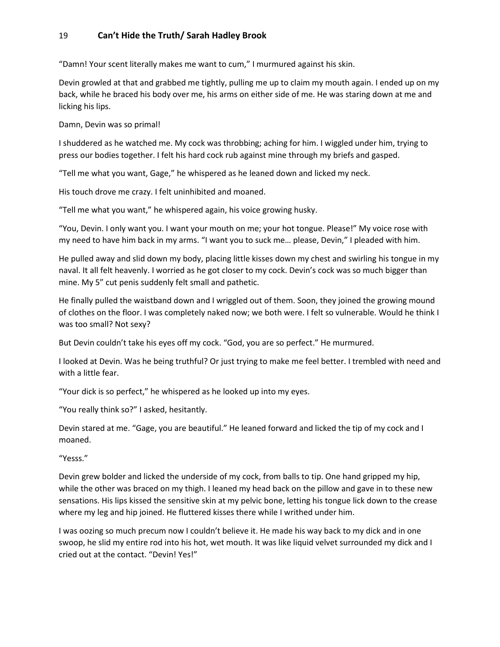"Damn! Your scent literally makes me want to cum," I murmured against his skin.

Devin growled at that and grabbed me tightly, pulling me up to claim my mouth again. I ended up on my back, while he braced his body over me, his arms on either side of me. He was staring down at me and licking his lips.

Damn, Devin was so primal!

I shuddered as he watched me. My cock was throbbing; aching for him. I wiggled under him, trying to press our bodies together. I felt his hard cock rub against mine through my briefs and gasped.

"Tell me what you want, Gage," he whispered as he leaned down and licked my neck.

His touch drove me crazy. I felt uninhibited and moaned.

"Tell me what you want," he whispered again, his voice growing husky.

"You, Devin. I only want you. I want your mouth on me; your hot tongue. Please!" My voice rose with my need to have him back in my arms. "I want you to suck me… please, Devin," I pleaded with him.

He pulled away and slid down my body, placing little kisses down my chest and swirling his tongue in my naval. It all felt heavenly. I worried as he got closer to my cock. Devin's cock was so much bigger than mine. My 5" cut penis suddenly felt small and pathetic.

He finally pulled the waistband down and I wriggled out of them. Soon, they joined the growing mound of clothes on the floor. I was completely naked now; we both were. I felt so vulnerable. Would he think I was too small? Not sexy?

But Devin couldn't take his eyes off my cock. "God, you are so perfect." He murmured.

I looked at Devin. Was he being truthful? Or just trying to make me feel better. I trembled with need and with a little fear.

"Your dick is so perfect," he whispered as he looked up into my eyes.

"You really think so?" I asked, hesitantly.

Devin stared at me. "Gage, you are beautiful." He leaned forward and licked the tip of my cock and I moaned.

"Yesss."

Devin grew bolder and licked the underside of my cock, from balls to tip. One hand gripped my hip, while the other was braced on my thigh. I leaned my head back on the pillow and gave in to these new sensations. His lips kissed the sensitive skin at my pelvic bone, letting his tongue lick down to the crease where my leg and hip joined. He fluttered kisses there while I writhed under him.

I was oozing so much precum now I couldn't believe it. He made his way back to my dick and in one swoop, he slid my entire rod into his hot, wet mouth. It was like liquid velvet surrounded my dick and I cried out at the contact. "Devin! Yes!"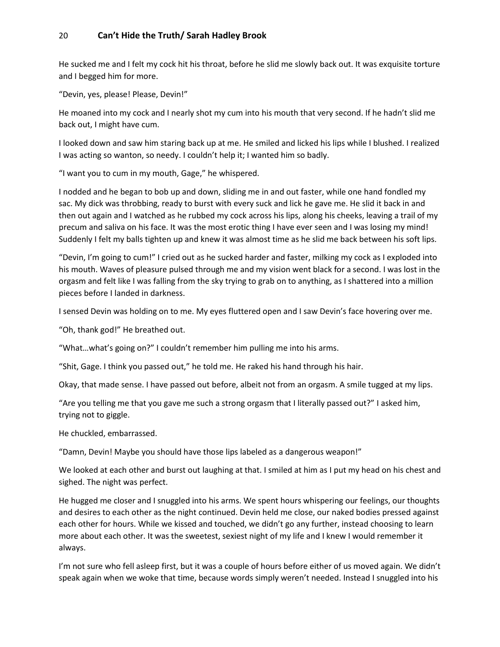He sucked me and I felt my cock hit his throat, before he slid me slowly back out. It was exquisite torture and I begged him for more.

"Devin, yes, please! Please, Devin!"

He moaned into my cock and I nearly shot my cum into his mouth that very second. If he hadn't slid me back out, I might have cum.

I looked down and saw him staring back up at me. He smiled and licked his lips while I blushed. I realized I was acting so wanton, so needy. I couldn't help it; I wanted him so badly.

"I want you to cum in my mouth, Gage," he whispered.

I nodded and he began to bob up and down, sliding me in and out faster, while one hand fondled my sac. My dick was throbbing, ready to burst with every suck and lick he gave me. He slid it back in and then out again and I watched as he rubbed my cock across his lips, along his cheeks, leaving a trail of my precum and saliva on his face. It was the most erotic thing I have ever seen and I was losing my mind! Suddenly I felt my balls tighten up and knew it was almost time as he slid me back between his soft lips.

"Devin, I'm going to cum!" I cried out as he sucked harder and faster, milking my cock as I exploded into his mouth. Waves of pleasure pulsed through me and my vision went black for a second. I was lost in the orgasm and felt like I was falling from the sky trying to grab on to anything, as I shattered into a million pieces before I landed in darkness.

I sensed Devin was holding on to me. My eyes fluttered open and I saw Devin's face hovering over me.

"Oh, thank god!" He breathed out.

"What…what's going on?" I couldn't remember him pulling me into his arms.

"Shit, Gage. I think you passed out," he told me. He raked his hand through his hair.

Okay, that made sense. I have passed out before, albeit not from an orgasm. A smile tugged at my lips.

"Are you telling me that you gave me such a strong orgasm that I literally passed out?" I asked him, trying not to giggle.

He chuckled, embarrassed.

"Damn, Devin! Maybe you should have those lips labeled as a dangerous weapon!"

We looked at each other and burst out laughing at that. I smiled at him as I put my head on his chest and sighed. The night was perfect.

He hugged me closer and I snuggled into his arms. We spent hours whispering our feelings, our thoughts and desires to each other as the night continued. Devin held me close, our naked bodies pressed against each other for hours. While we kissed and touched, we didn't go any further, instead choosing to learn more about each other. It was the sweetest, sexiest night of my life and I knew I would remember it always.

I'm not sure who fell asleep first, but it was a couple of hours before either of us moved again. We didn't speak again when we woke that time, because words simply weren't needed. Instead I snuggled into his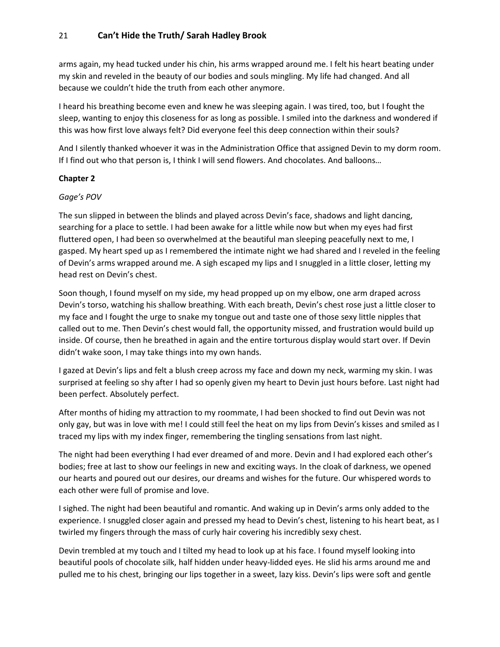arms again, my head tucked under his chin, his arms wrapped around me. I felt his heart beating under my skin and reveled in the beauty of our bodies and souls mingling. My life had changed. And all because we couldn't hide the truth from each other anymore.

I heard his breathing become even and knew he was sleeping again. I was tired, too, but I fought the sleep, wanting to enjoy this closeness for as long as possible. I smiled into the darkness and wondered if this was how first love always felt? Did everyone feel this deep connection within their souls?

And I silently thanked whoever it was in the Administration Office that assigned Devin to my dorm room. If I find out who that person is, I think I will send flowers. And chocolates. And balloons…

## **Chapter 2**

#### *Gage's POV*

The sun slipped in between the blinds and played across Devin's face, shadows and light dancing, searching for a place to settle. I had been awake for a little while now but when my eyes had first fluttered open, I had been so overwhelmed at the beautiful man sleeping peacefully next to me, I gasped. My heart sped up as I remembered the intimate night we had shared and I reveled in the feeling of Devin's arms wrapped around me. A sigh escaped my lips and I snuggled in a little closer, letting my head rest on Devin's chest.

Soon though, I found myself on my side, my head propped up on my elbow, one arm draped across Devin's torso, watching his shallow breathing. With each breath, Devin's chest rose just a little closer to my face and I fought the urge to snake my tongue out and taste one of those sexy little nipples that called out to me. Then Devin's chest would fall, the opportunity missed, and frustration would build up inside. Of course, then he breathed in again and the entire torturous display would start over. If Devin didn't wake soon, I may take things into my own hands.

I gazed at Devin's lips and felt a blush creep across my face and down my neck, warming my skin. I was surprised at feeling so shy after I had so openly given my heart to Devin just hours before. Last night had been perfect. Absolutely perfect.

After months of hiding my attraction to my roommate, I had been shocked to find out Devin was not only gay, but was in love with me! I could still feel the heat on my lips from Devin's kisses and smiled as I traced my lips with my index finger, remembering the tingling sensations from last night.

The night had been everything I had ever dreamed of and more. Devin and I had explored each other's bodies; free at last to show our feelings in new and exciting ways. In the cloak of darkness, we opened our hearts and poured out our desires, our dreams and wishes for the future. Our whispered words to each other were full of promise and love.

I sighed. The night had been beautiful and romantic. And waking up in Devin's arms only added to the experience. I snuggled closer again and pressed my head to Devin's chest, listening to his heart beat, as I twirled my fingers through the mass of curly hair covering his incredibly sexy chest.

Devin trembled at my touch and I tilted my head to look up at his face. I found myself looking into beautiful pools of chocolate silk, half hidden under heavy-lidded eyes. He slid his arms around me and pulled me to his chest, bringing our lips together in a sweet, lazy kiss. Devin's lips were soft and gentle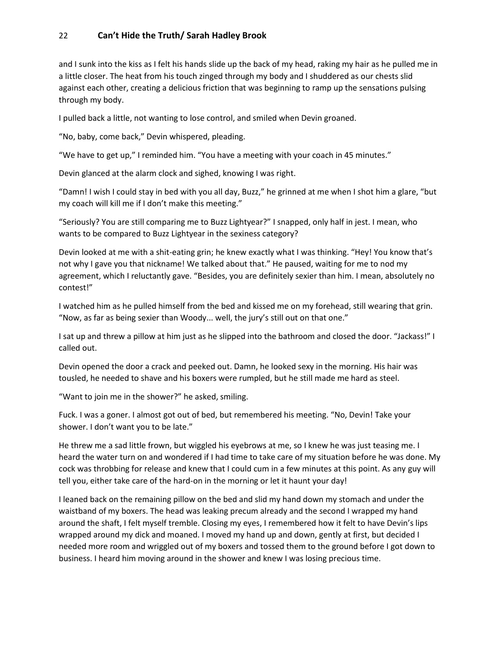and I sunk into the kiss as I felt his hands slide up the back of my head, raking my hair as he pulled me in a little closer. The heat from his touch zinged through my body and I shuddered as our chests slid against each other, creating a delicious friction that was beginning to ramp up the sensations pulsing through my body.

I pulled back a little, not wanting to lose control, and smiled when Devin groaned.

"No, baby, come back," Devin whispered, pleading.

"We have to get up," I reminded him. "You have a meeting with your coach in 45 minutes."

Devin glanced at the alarm clock and sighed, knowing I was right.

"Damn! I wish I could stay in bed with you all day, Buzz," he grinned at me when I shot him a glare, "but my coach will kill me if I don't make this meeting."

"Seriously? You are still comparing me to Buzz Lightyear?" I snapped, only half in jest. I mean, who wants to be compared to Buzz Lightyear in the sexiness category?

Devin looked at me with a shit-eating grin; he knew exactly what I was thinking. "Hey! You know that's not why I gave you that nickname! We talked about that." He paused, waiting for me to nod my agreement, which I reluctantly gave. "Besides, you are definitely sexier than him. I mean, absolutely no contest!"

I watched him as he pulled himself from the bed and kissed me on my forehead, still wearing that grin. "Now, as far as being sexier than Woody... well, the jury's still out on that one."

I sat up and threw a pillow at him just as he slipped into the bathroom and closed the door. "Jackass!" I called out.

Devin opened the door a crack and peeked out. Damn, he looked sexy in the morning. His hair was tousled, he needed to shave and his boxers were rumpled, but he still made me hard as steel.

"Want to join me in the shower?" he asked, smiling.

Fuck. I was a goner. I almost got out of bed, but remembered his meeting. "No, Devin! Take your shower. I don't want you to be late."

He threw me a sad little frown, but wiggled his eyebrows at me, so I knew he was just teasing me. I heard the water turn on and wondered if I had time to take care of my situation before he was done. My cock was throbbing for release and knew that I could cum in a few minutes at this point. As any guy will tell you, either take care of the hard-on in the morning or let it haunt your day!

I leaned back on the remaining pillow on the bed and slid my hand down my stomach and under the waistband of my boxers. The head was leaking precum already and the second I wrapped my hand around the shaft, I felt myself tremble. Closing my eyes, I remembered how it felt to have Devin's lips wrapped around my dick and moaned. I moved my hand up and down, gently at first, but decided I needed more room and wriggled out of my boxers and tossed them to the ground before I got down to business. I heard him moving around in the shower and knew I was losing precious time.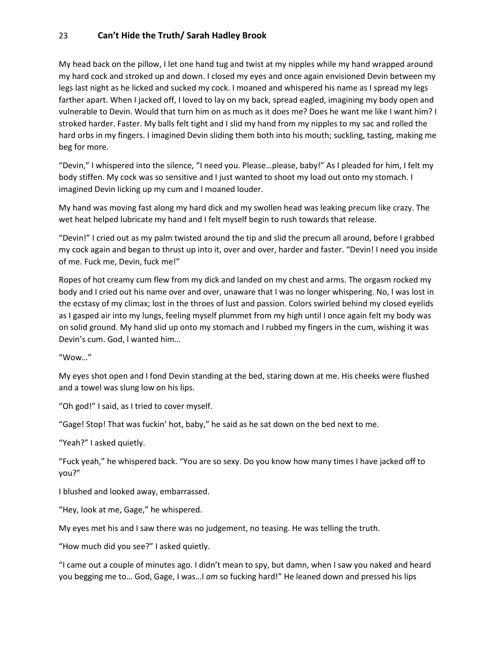My head back on the pillow, I let one hand tug and twist at my nipples while my hand wrapped around my hard cock and stroked up and down. I closed my eyes and once again envisioned Devin between my legs last night as he licked and sucked my cock. I moaned and whispered his name as I spread my legs farther apart. When I jacked off, I loved to lay on my back, spread eagled, imagining my body open and vulnerable to Devin. Would that turn him on as much as it does me? Does he want me like I want him? I stroked harder. Faster. My balls felt tight and I slid my hand from my nipples to my sac and rolled the hard orbs in my fingers. I imagined Devin sliding them both into his mouth; suckling, tasting, making me beg for more.

"Devin," I whispered into the silence, "I need you. Please…please, baby!" As I pleaded for him, I felt my body stiffen. My cock was so sensitive and I just wanted to shoot my load out onto my stomach. I imagined Devin licking up my cum and I moaned louder.

My hand was moving fast along my hard dick and my swollen head was leaking precum like crazy. The wet heat helped lubricate my hand and I felt myself begin to rush towards that release.

"Devin!" I cried out as my palm twisted around the tip and slid the precum all around, before I grabbed my cock again and began to thrust up into it, over and over, harder and faster. "Devin! I need you inside of me. Fuck me, Devin, fuck me!"

Ropes of hot creamy cum flew from my dick and landed on my chest and arms. The orgasm rocked my body and I cried out his name over and over, unaware that I was no longer whispering. No, l was lost in the ecstasy of my climax; lost in the throes of lust and passion. Colors swirled behind my closed eyelids as I gasped air into my lungs, feeling myself plummet from my high until I once again felt my body was on solid ground. My hand slid up onto my stomach and I rubbed my fingers in the cum, wishing it was Devin's cum. God, l wanted him…

"Wow…"

My eyes shot open and I fond Devin standing at the bed, staring down at me. His cheeks were flushed and a towel was slung low on his lips.

"Oh god!" I said, as I tried to cover myself.

"Gage! Stop! That was fuckin' hot, baby," he said as he sat down on the bed next to me.

"Yeah?" I asked quietly.

"Fuck yeah," he whispered back. "You are so sexy. Do you know how many times I have jacked off to you?"

I blushed and looked away, embarrassed.

"Hey, look at me, Gage," he whispered.

My eyes met his and I saw there was no judgement, no teasing. He was telling the truth.

"How much did you see?" I asked quietly.

"I came out a couple of minutes ago. I didn't mean to spy, but damn, when I saw you naked and heard you begging me to… God, Gage, I was…I *am* so fucking hard!" He leaned down and pressed his lips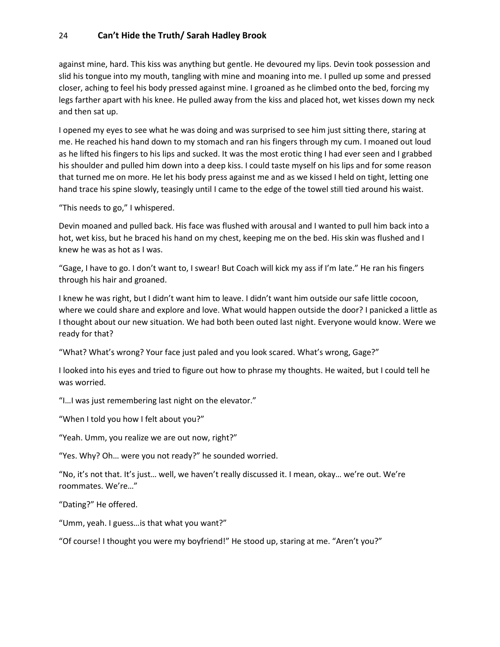against mine, hard. This kiss was anything but gentle. He devoured my lips. Devin took possession and slid his tongue into my mouth, tangling with mine and moaning into me. I pulled up some and pressed closer, aching to feel his body pressed against mine. I groaned as he climbed onto the bed, forcing my legs farther apart with his knee. He pulled away from the kiss and placed hot, wet kisses down my neck and then sat up.

I opened my eyes to see what he was doing and was surprised to see him just sitting there, staring at me. He reached his hand down to my stomach and ran his fingers through my cum. I moaned out loud as he lifted his fingers to his lips and sucked. It was the most erotic thing I had ever seen and I grabbed his shoulder and pulled him down into a deep kiss. I could taste myself on his lips and for some reason that turned me on more. He let his body press against me and as we kissed I held on tight, letting one hand trace his spine slowly, teasingly until I came to the edge of the towel still tied around his waist.

"This needs to go," I whispered.

Devin moaned and pulled back. His face was flushed with arousal and I wanted to pull him back into a hot, wet kiss, but he braced his hand on my chest, keeping me on the bed. His skin was flushed and I knew he was as hot as I was.

"Gage, I have to go. I don't want to, I swear! But Coach will kick my ass if I'm late." He ran his fingers through his hair and groaned.

I knew he was right, but I didn't want him to leave. I didn't want him outside our safe little cocoon, where we could share and explore and love. What would happen outside the door? I panicked a little as I thought about our new situation. We had both been outed last night. Everyone would know. Were we ready for that?

"What? What's wrong? Your face just paled and you look scared. What's wrong, Gage?"

I looked into his eyes and tried to figure out how to phrase my thoughts. He waited, but I could tell he was worried.

"I…I was just remembering last night on the elevator."

"When I told you how I felt about you?"

"Yeah. Umm, you realize we are out now, right?"

"Yes. Why? Oh… were you not ready?" he sounded worried.

"No, it's not that. It's just… well, we haven't really discussed it. I mean, okay… we're out. We're roommates. We're…"

"Dating?" He offered.

"Umm, yeah. I guess…is that what you want?"

"Of course! I thought you were my boyfriend!" He stood up, staring at me. "Aren't you?"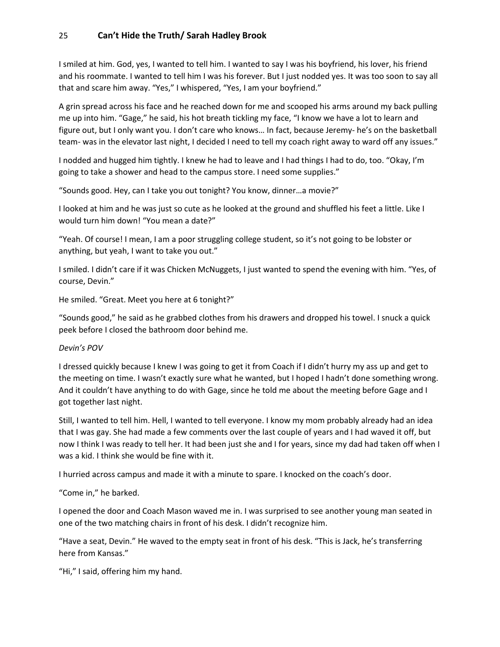I smiled at him. God, yes, I wanted to tell him. I wanted to say I was his boyfriend, his lover, his friend and his roommate. I wanted to tell him I was his forever. But I just nodded yes. It was too soon to say all that and scare him away. "Yes," I whispered, "Yes, I am your boyfriend."

A grin spread across his face and he reached down for me and scooped his arms around my back pulling me up into him. "Gage," he said, his hot breath tickling my face, "I know we have a lot to learn and figure out, but I only want you. I don't care who knows… In fact, because Jeremy- he's on the basketball team- was in the elevator last night, I decided I need to tell my coach right away to ward off any issues."

I nodded and hugged him tightly. I knew he had to leave and I had things I had to do, too. "Okay, I'm going to take a shower and head to the campus store. I need some supplies."

"Sounds good. Hey, can I take you out tonight? You know, dinner…a movie?"

I looked at him and he was just so cute as he looked at the ground and shuffled his feet a little. Like I would turn him down! "You mean a date?"

"Yeah. Of course! I mean, I am a poor struggling college student, so it's not going to be lobster or anything, but yeah, I want to take you out."

I smiled. I didn't care if it was Chicken McNuggets, I just wanted to spend the evening with him. "Yes, of course, Devin."

He smiled. "Great. Meet you here at 6 tonight?"

"Sounds good," he said as he grabbed clothes from his drawers and dropped his towel. I snuck a quick peek before I closed the bathroom door behind me.

#### *Devin's POV*

I dressed quickly because I knew I was going to get it from Coach if I didn't hurry my ass up and get to the meeting on time. I wasn't exactly sure what he wanted, but I hoped I hadn't done something wrong. And it couldn't have anything to do with Gage, since he told me about the meeting before Gage and I got together last night.

Still, I wanted to tell him. Hell, I wanted to tell everyone. I know my mom probably already had an idea that I was gay. She had made a few comments over the last couple of years and I had waved it off, but now I think I was ready to tell her. It had been just she and I for years, since my dad had taken off when I was a kid. I think she would be fine with it.

I hurried across campus and made it with a minute to spare. I knocked on the coach's door.

"Come in," he barked.

I opened the door and Coach Mason waved me in. I was surprised to see another young man seated in one of the two matching chairs in front of his desk. I didn't recognize him.

"Have a seat, Devin." He waved to the empty seat in front of his desk. "This is Jack, he's transferring here from Kansas."

"Hi," I said, offering him my hand.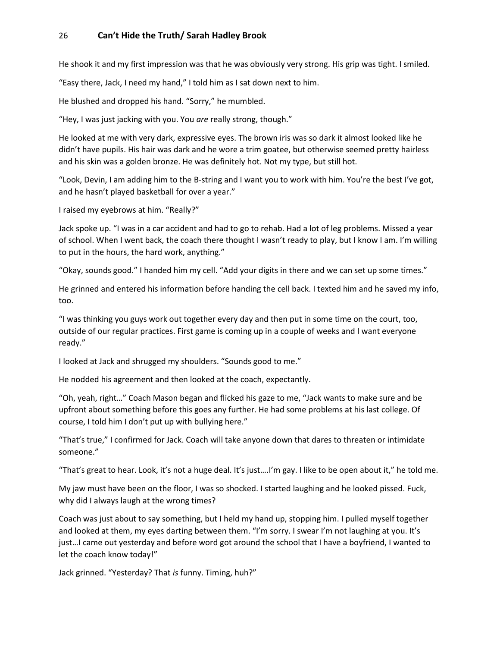He shook it and my first impression was that he was obviously very strong. His grip was tight. I smiled.

"Easy there, Jack, I need my hand," I told him as I sat down next to him.

He blushed and dropped his hand. "Sorry," he mumbled.

"Hey, I was just jacking with you. You *are* really strong, though."

He looked at me with very dark, expressive eyes. The brown iris was so dark it almost looked like he didn't have pupils. His hair was dark and he wore a trim goatee, but otherwise seemed pretty hairless and his skin was a golden bronze. He was definitely hot. Not my type, but still hot.

"Look, Devin, I am adding him to the B-string and I want you to work with him. You're the best I've got, and he hasn't played basketball for over a year."

I raised my eyebrows at him. "Really?"

Jack spoke up. "I was in a car accident and had to go to rehab. Had a lot of leg problems. Missed a year of school. When I went back, the coach there thought I wasn't ready to play, but I know I am. I'm willing to put in the hours, the hard work, anything."

"Okay, sounds good." I handed him my cell. "Add your digits in there and we can set up some times."

He grinned and entered his information before handing the cell back. I texted him and he saved my info, too.

"I was thinking you guys work out together every day and then put in some time on the court, too, outside of our regular practices. First game is coming up in a couple of weeks and I want everyone ready."

I looked at Jack and shrugged my shoulders. "Sounds good to me."

He nodded his agreement and then looked at the coach, expectantly.

"Oh, yeah, right…" Coach Mason began and flicked his gaze to me, "Jack wants to make sure and be upfront about something before this goes any further. He had some problems at his last college. Of course, I told him I don't put up with bullying here."

"That's true," I confirmed for Jack. Coach will take anyone down that dares to threaten or intimidate someone."

"That's great to hear. Look, it's not a huge deal. It's just….I'm gay. I like to be open about it," he told me.

My jaw must have been on the floor, I was so shocked. I started laughing and he looked pissed. Fuck, why did I always laugh at the wrong times?

Coach was just about to say something, but I held my hand up, stopping him. I pulled myself together and looked at them, my eyes darting between them. "I'm sorry. I swear I'm not laughing at you. It's just…I came out yesterday and before word got around the school that I have a boyfriend, I wanted to let the coach know today!"

Jack grinned. "Yesterday? That *is* funny. Timing, huh?"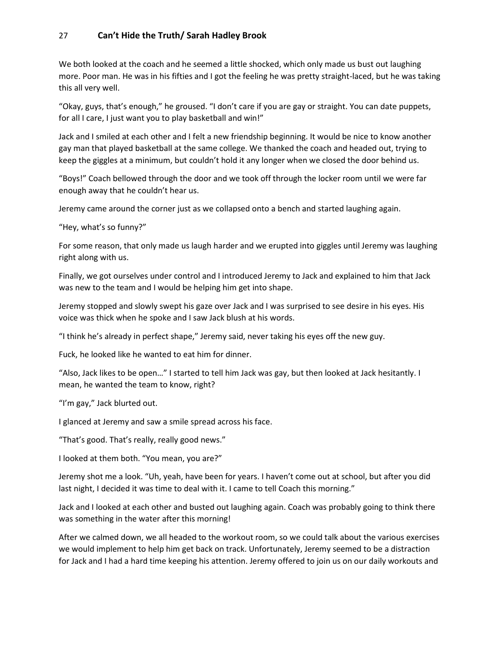We both looked at the coach and he seemed a little shocked, which only made us bust out laughing more. Poor man. He was in his fifties and I got the feeling he was pretty straight-laced, but he was taking this all very well.

"Okay, guys, that's enough," he groused. "I don't care if you are gay or straight. You can date puppets, for all I care, I just want you to play basketball and win!"

Jack and I smiled at each other and I felt a new friendship beginning. It would be nice to know another gay man that played basketball at the same college. We thanked the coach and headed out, trying to keep the giggles at a minimum, but couldn't hold it any longer when we closed the door behind us.

"Boys!" Coach bellowed through the door and we took off through the locker room until we were far enough away that he couldn't hear us.

Jeremy came around the corner just as we collapsed onto a bench and started laughing again.

"Hey, what's so funny?"

For some reason, that only made us laugh harder and we erupted into giggles until Jeremy was laughing right along with us.

Finally, we got ourselves under control and I introduced Jeremy to Jack and explained to him that Jack was new to the team and I would be helping him get into shape.

Jeremy stopped and slowly swept his gaze over Jack and I was surprised to see desire in his eyes. His voice was thick when he spoke and I saw Jack blush at his words.

"I think he's already in perfect shape," Jeremy said, never taking his eyes off the new guy.

Fuck, he looked like he wanted to eat him for dinner.

"Also, Jack likes to be open…" I started to tell him Jack was gay, but then looked at Jack hesitantly. I mean, he wanted the team to know, right?

"I'm gay," Jack blurted out.

I glanced at Jeremy and saw a smile spread across his face.

"That's good. That's really, really good news."

I looked at them both. "You mean, you are?"

Jeremy shot me a look. "Uh, yeah, have been for years. I haven't come out at school, but after you did last night, I decided it was time to deal with it. I came to tell Coach this morning."

Jack and I looked at each other and busted out laughing again. Coach was probably going to think there was something in the water after this morning!

After we calmed down, we all headed to the workout room, so we could talk about the various exercises we would implement to help him get back on track. Unfortunately, Jeremy seemed to be a distraction for Jack and I had a hard time keeping his attention. Jeremy offered to join us on our daily workouts and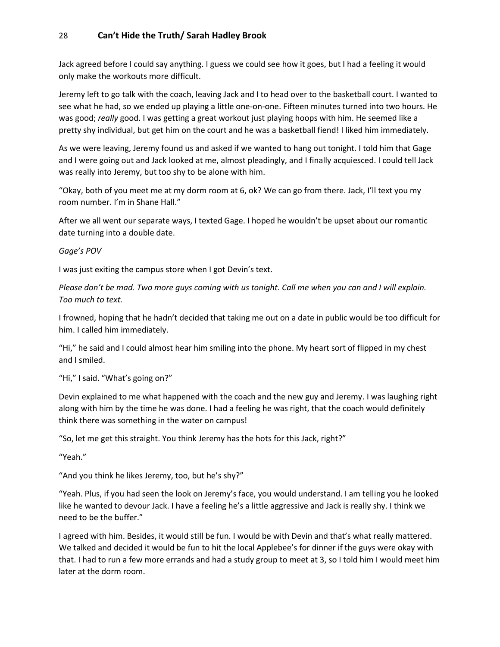Jack agreed before I could say anything. I guess we could see how it goes, but I had a feeling it would only make the workouts more difficult.

Jeremy left to go talk with the coach, leaving Jack and I to head over to the basketball court. I wanted to see what he had, so we ended up playing a little one-on-one. Fifteen minutes turned into two hours. He was good; *really* good. I was getting a great workout just playing hoops with him. He seemed like a pretty shy individual, but get him on the court and he was a basketball fiend! I liked him immediately.

As we were leaving, Jeremy found us and asked if we wanted to hang out tonight. I told him that Gage and I were going out and Jack looked at me, almost pleadingly, and I finally acquiesced. I could tell Jack was really into Jeremy, but too shy to be alone with him.

"Okay, both of you meet me at my dorm room at 6, ok? We can go from there. Jack, I'll text you my room number. I'm in Shane Hall."

After we all went our separate ways, I texted Gage. I hoped he wouldn't be upset about our romantic date turning into a double date.

#### *Gage's POV*

I was just exiting the campus store when I got Devin's text.

*Please don't be mad. Two more guys coming with us tonight. Call me when you can and I will explain. Too much to text.*

I frowned, hoping that he hadn't decided that taking me out on a date in public would be too difficult for him. I called him immediately.

"Hi," he said and I could almost hear him smiling into the phone. My heart sort of flipped in my chest and I smiled.

"Hi," I said. "What's going on?"

Devin explained to me what happened with the coach and the new guy and Jeremy. I was laughing right along with him by the time he was done. I had a feeling he was right, that the coach would definitely think there was something in the water on campus!

"So, let me get this straight. You think Jeremy has the hots for this Jack, right?"

"Yeah."

"And you think he likes Jeremy, too, but he's shy?"

"Yeah. Plus, if you had seen the look on Jeremy's face, you would understand. I am telling you he looked like he wanted to devour Jack. I have a feeling he's a little aggressive and Jack is really shy. I think we need to be the buffer."

I agreed with him. Besides, it would still be fun. I would be with Devin and that's what really mattered. We talked and decided it would be fun to hit the local Applebee's for dinner if the guys were okay with that. I had to run a few more errands and had a study group to meet at 3, so I told him I would meet him later at the dorm room.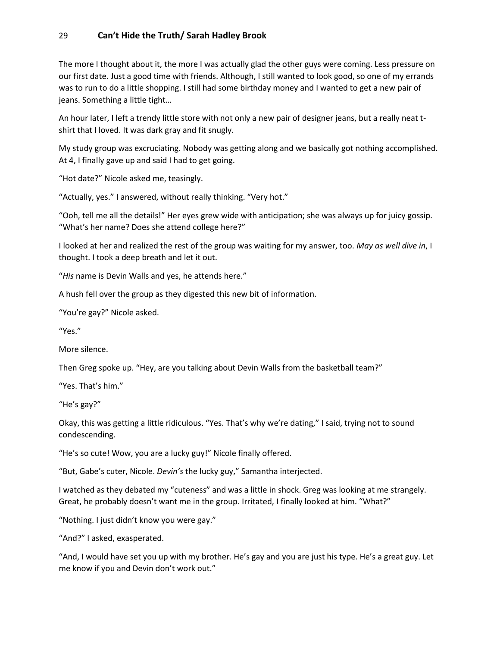The more I thought about it, the more I was actually glad the other guys were coming. Less pressure on our first date. Just a good time with friends. Although, I still wanted to look good, so one of my errands was to run to do a little shopping. I still had some birthday money and I wanted to get a new pair of jeans. Something a little tight…

An hour later, I left a trendy little store with not only a new pair of designer jeans, but a really neat tshirt that I loved. It was dark gray and fit snugly.

My study group was excruciating. Nobody was getting along and we basically got nothing accomplished. At 4, I finally gave up and said I had to get going.

"Hot date?" Nicole asked me, teasingly.

"Actually, yes." I answered, without really thinking. "Very hot."

"Ooh, tell me all the details!" Her eyes grew wide with anticipation; she was always up for juicy gossip. "What's her name? Does she attend college here?"

I looked at her and realized the rest of the group was waiting for my answer, too. *May as well dive in*, I thought. I took a deep breath and let it out.

"*His* name is Devin Walls and yes, he attends here."

A hush fell over the group as they digested this new bit of information.

"You're gay?" Nicole asked.

"Yes."

More silence.

Then Greg spoke up. "Hey, are you talking about Devin Walls from the basketball team?"

"Yes. That's him."

"He's gay?"

Okay, this was getting a little ridiculous. "Yes. That's why we're dating," I said, trying not to sound condescending.

"He's so cute! Wow, you are a lucky guy!" Nicole finally offered.

"But, Gabe's cuter, Nicole. *Devin's* the lucky guy," Samantha interjected.

I watched as they debated my "cuteness" and was a little in shock. Greg was looking at me strangely. Great, he probably doesn't want me in the group. Irritated, I finally looked at him. "What?"

"Nothing. I just didn't know you were gay."

"And?" I asked, exasperated.

"And, I would have set you up with my brother. He's gay and you are just his type. He's a great guy. Let me know if you and Devin don't work out."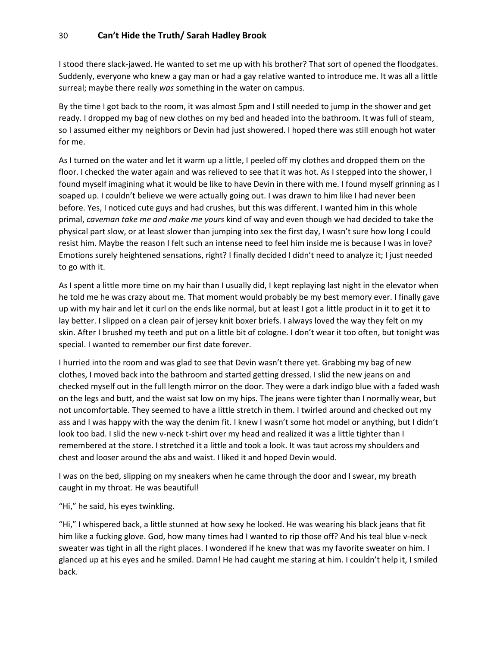I stood there slack-jawed. He wanted to set me up with his brother? That sort of opened the floodgates. Suddenly, everyone who knew a gay man or had a gay relative wanted to introduce me. It was all a little surreal; maybe there really *was* something in the water on campus.

By the time I got back to the room, it was almost 5pm and I still needed to jump in the shower and get ready. I dropped my bag of new clothes on my bed and headed into the bathroom. It was full of steam, so I assumed either my neighbors or Devin had just showered. I hoped there was still enough hot water for me.

As I turned on the water and let it warm up a little, I peeled off my clothes and dropped them on the floor. I checked the water again and was relieved to see that it was hot. As I stepped into the shower, I found myself imagining what it would be like to have Devin in there with me. I found myself grinning as I soaped up. I couldn't believe we were actually going out. I was drawn to him like I had never been before. Yes, I noticed cute guys and had crushes, but this was different. I wanted him in this whole primal, *caveman take me and make me yours* kind of way and even though we had decided to take the physical part slow, or at least slower than jumping into sex the first day, I wasn't sure how long I could resist him. Maybe the reason I felt such an intense need to feel him inside me is because I was in love? Emotions surely heightened sensations, right? I finally decided I didn't need to analyze it; I just needed to go with it.

As I spent a little more time on my hair than I usually did, I kept replaying last night in the elevator when he told me he was crazy about me. That moment would probably be my best memory ever. I finally gave up with my hair and let it curl on the ends like normal, but at least I got a little product in it to get it to lay better. I slipped on a clean pair of jersey knit boxer briefs. I always loved the way they felt on my skin. After I brushed my teeth and put on a little bit of cologne. I don't wear it too often, but tonight was special. I wanted to remember our first date forever.

I hurried into the room and was glad to see that Devin wasn't there yet. Grabbing my bag of new clothes, I moved back into the bathroom and started getting dressed. I slid the new jeans on and checked myself out in the full length mirror on the door. They were a dark indigo blue with a faded wash on the legs and butt, and the waist sat low on my hips. The jeans were tighter than I normally wear, but not uncomfortable. They seemed to have a little stretch in them. I twirled around and checked out my ass and I was happy with the way the denim fit. I knew I wasn't some hot model or anything, but I didn't look too bad. I slid the new v-neck t-shirt over my head and realized it was a little tighter than I remembered at the store. I stretched it a little and took a look. It was taut across my shoulders and chest and looser around the abs and waist. I liked it and hoped Devin would.

I was on the bed, slipping on my sneakers when he came through the door and I swear, my breath caught in my throat. He was beautiful!

#### "Hi," he said, his eyes twinkling.

"Hi," I whispered back, a little stunned at how sexy he looked. He was wearing his black jeans that fit him like a fucking glove. God, how many times had I wanted to rip those off? And his teal blue v-neck sweater was tight in all the right places. I wondered if he knew that was my favorite sweater on him. I glanced up at his eyes and he smiled. Damn! He had caught me staring at him. I couldn't help it, I smiled back.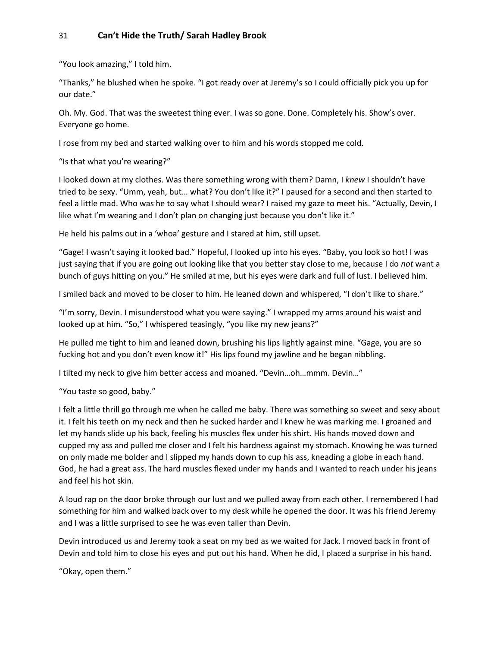"You look amazing," I told him.

"Thanks," he blushed when he spoke. "I got ready over at Jeremy's so I could officially pick you up for our date."

Oh. My. God. That was the sweetest thing ever. I was so gone. Done. Completely his. Show's over. Everyone go home.

I rose from my bed and started walking over to him and his words stopped me cold.

"Is that what you're wearing?"

I looked down at my clothes. Was there something wrong with them? Damn, I *knew* I shouldn't have tried to be sexy. "Umm, yeah, but… what? You don't like it?" I paused for a second and then started to feel a little mad. Who was he to say what I should wear? I raised my gaze to meet his. "Actually, Devin, I like what I'm wearing and I don't plan on changing just because you don't like it."

He held his palms out in a 'whoa' gesture and I stared at him, still upset.

"Gage! I wasn't saying it looked bad." Hopeful, I looked up into his eyes. "Baby, you look so hot! I was just saying that if you are going out looking like that you better stay close to me, because I do *not* want a bunch of guys hitting on you." He smiled at me, but his eyes were dark and full of lust. I believed him.

I smiled back and moved to be closer to him. He leaned down and whispered, "I don't like to share."

"I'm sorry, Devin. I misunderstood what you were saying." I wrapped my arms around his waist and looked up at him. "So," I whispered teasingly, "you like my new jeans?"

He pulled me tight to him and leaned down, brushing his lips lightly against mine. "Gage, you are so fucking hot and you don't even know it!" His lips found my jawline and he began nibbling.

I tilted my neck to give him better access and moaned. "Devin…oh…mmm. Devin…"

"You taste so good, baby."

I felt a little thrill go through me when he called me baby. There was something so sweet and sexy about it. I felt his teeth on my neck and then he sucked harder and I knew he was marking me. I groaned and let my hands slide up his back, feeling his muscles flex under his shirt. His hands moved down and cupped my ass and pulled me closer and I felt his hardness against my stomach. Knowing he was turned on only made me bolder and I slipped my hands down to cup his ass, kneading a globe in each hand. God, he had a great ass. The hard muscles flexed under my hands and I wanted to reach under his jeans and feel his hot skin.

A loud rap on the door broke through our lust and we pulled away from each other. I remembered I had something for him and walked back over to my desk while he opened the door. It was his friend Jeremy and I was a little surprised to see he was even taller than Devin.

Devin introduced us and Jeremy took a seat on my bed as we waited for Jack. I moved back in front of Devin and told him to close his eyes and put out his hand. When he did, I placed a surprise in his hand.

"Okay, open them."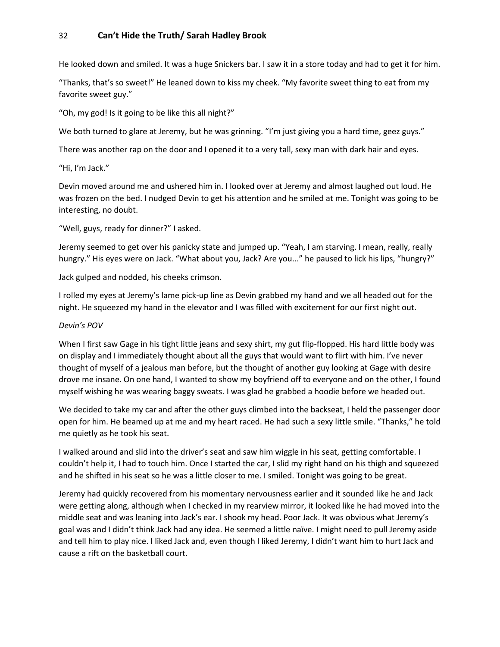He looked down and smiled. It was a huge Snickers bar. I saw it in a store today and had to get it for him.

"Thanks, that's so sweet!" He leaned down to kiss my cheek. "My favorite sweet thing to eat from my favorite sweet guy."

"Oh, my god! Is it going to be like this all night?"

We both turned to glare at Jeremy, but he was grinning. "I'm just giving you a hard time, geez guys."

There was another rap on the door and I opened it to a very tall, sexy man with dark hair and eyes.

"Hi, I'm Jack."

Devin moved around me and ushered him in. I looked over at Jeremy and almost laughed out loud. He was frozen on the bed. I nudged Devin to get his attention and he smiled at me. Tonight was going to be interesting, no doubt.

"Well, guys, ready for dinner?" I asked.

Jeremy seemed to get over his panicky state and jumped up. "Yeah, I am starving. I mean, really, really hungry." His eyes were on Jack. "What about you, Jack? Are you..." he paused to lick his lips, "hungry?"

Jack gulped and nodded, his cheeks crimson.

I rolled my eyes at Jeremy's lame pick-up line as Devin grabbed my hand and we all headed out for the night. He squeezed my hand in the elevator and I was filled with excitement for our first night out.

#### *Devin's POV*

When I first saw Gage in his tight little jeans and sexy shirt, my gut flip-flopped. His hard little body was on display and I immediately thought about all the guys that would want to flirt with him. I've never thought of myself of a jealous man before, but the thought of another guy looking at Gage with desire drove me insane. On one hand, I wanted to show my boyfriend off to everyone and on the other, I found myself wishing he was wearing baggy sweats. I was glad he grabbed a hoodie before we headed out.

We decided to take my car and after the other guys climbed into the backseat, I held the passenger door open for him. He beamed up at me and my heart raced. He had such a sexy little smile. "Thanks," he told me quietly as he took his seat.

I walked around and slid into the driver's seat and saw him wiggle in his seat, getting comfortable. I couldn't help it, I had to touch him. Once I started the car, I slid my right hand on his thigh and squeezed and he shifted in his seat so he was a little closer to me. I smiled. Tonight was going to be great.

Jeremy had quickly recovered from his momentary nervousness earlier and it sounded like he and Jack were getting along, although when I checked in my rearview mirror, it looked like he had moved into the middle seat and was leaning into Jack's ear. I shook my head. Poor Jack. It was obvious what Jeremy's goal was and I didn't think Jack had any idea. He seemed a little naïve. I might need to pull Jeremy aside and tell him to play nice. I liked Jack and, even though I liked Jeremy, I didn't want him to hurt Jack and cause a rift on the basketball court.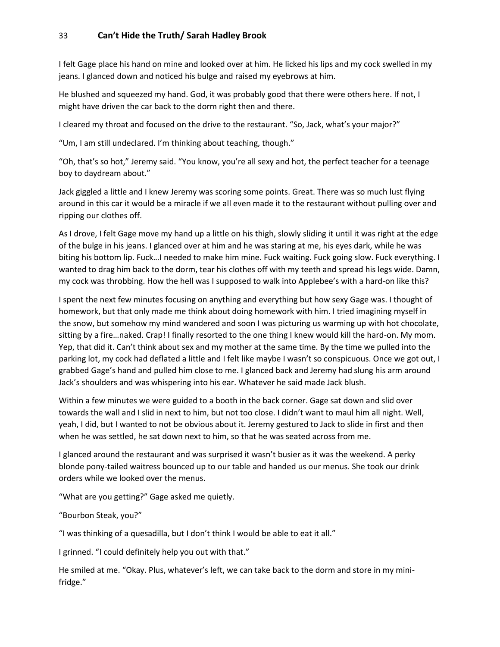I felt Gage place his hand on mine and looked over at him. He licked his lips and my cock swelled in my jeans. I glanced down and noticed his bulge and raised my eyebrows at him.

He blushed and squeezed my hand. God, it was probably good that there were others here. If not, I might have driven the car back to the dorm right then and there.

I cleared my throat and focused on the drive to the restaurant. "So, Jack, what's your major?"

"Um, I am still undeclared. I'm thinking about teaching, though."

"Oh, that's so hot," Jeremy said. "You know, you're all sexy and hot, the perfect teacher for a teenage boy to daydream about."

Jack giggled a little and I knew Jeremy was scoring some points. Great. There was so much lust flying around in this car it would be a miracle if we all even made it to the restaurant without pulling over and ripping our clothes off.

As I drove, I felt Gage move my hand up a little on his thigh, slowly sliding it until it was right at the edge of the bulge in his jeans. I glanced over at him and he was staring at me, his eyes dark, while he was biting his bottom lip. Fuck...I needed to make him mine. Fuck waiting. Fuck going slow. Fuck everything. I wanted to drag him back to the dorm, tear his clothes off with my teeth and spread his legs wide. Damn, my cock was throbbing. How the hell was I supposed to walk into Applebee's with a hard-on like this?

I spent the next few minutes focusing on anything and everything but how sexy Gage was. I thought of homework, but that only made me think about doing homework with him. I tried imagining myself in the snow, but somehow my mind wandered and soon I was picturing us warming up with hot chocolate, sitting by a fire…naked. Crap! I finally resorted to the one thing I knew would kill the hard-on. My mom. Yep, that did it. Can't think about sex and my mother at the same time. By the time we pulled into the parking lot, my cock had deflated a little and I felt like maybe I wasn't so conspicuous. Once we got out, I grabbed Gage's hand and pulled him close to me. I glanced back and Jeremy had slung his arm around Jack's shoulders and was whispering into his ear. Whatever he said made Jack blush.

Within a few minutes we were guided to a booth in the back corner. Gage sat down and slid over towards the wall and I slid in next to him, but not too close. I didn't want to maul him all night. Well, yeah, I did, but I wanted to not be obvious about it. Jeremy gestured to Jack to slide in first and then when he was settled, he sat down next to him, so that he was seated across from me.

I glanced around the restaurant and was surprised it wasn't busier as it was the weekend. A perky blonde pony-tailed waitress bounced up to our table and handed us our menus. She took our drink orders while we looked over the menus.

"What are you getting?" Gage asked me quietly.

"Bourbon Steak, you?"

"I was thinking of a quesadilla, but I don't think I would be able to eat it all."

I grinned. "I could definitely help you out with that."

He smiled at me. "Okay. Plus, whatever's left, we can take back to the dorm and store in my minifridge."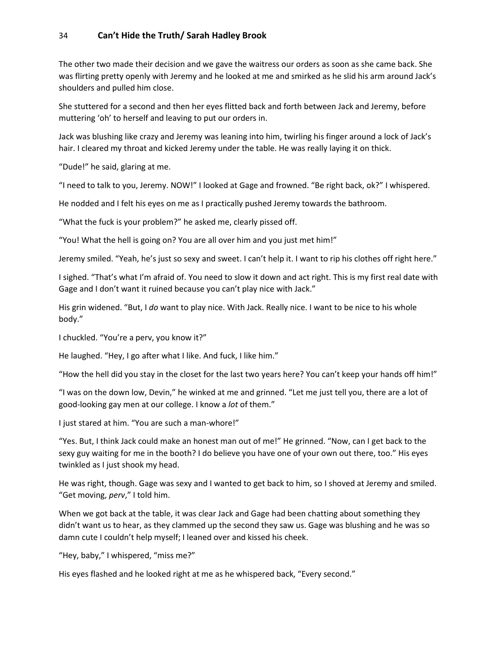The other two made their decision and we gave the waitress our orders as soon as she came back. She was flirting pretty openly with Jeremy and he looked at me and smirked as he slid his arm around Jack's shoulders and pulled him close.

She stuttered for a second and then her eyes flitted back and forth between Jack and Jeremy, before muttering 'oh' to herself and leaving to put our orders in.

Jack was blushing like crazy and Jeremy was leaning into him, twirling his finger around a lock of Jack's hair. I cleared my throat and kicked Jeremy under the table. He was really laying it on thick.

"Dude!" he said, glaring at me.

"I need to talk to you, Jeremy. NOW!" I looked at Gage and frowned. "Be right back, ok?" I whispered.

He nodded and I felt his eyes on me as I practically pushed Jeremy towards the bathroom.

"What the fuck is your problem?" he asked me, clearly pissed off.

"You! What the hell is going on? You are all over him and you just met him!"

Jeremy smiled. "Yeah, he's just so sexy and sweet. I can't help it. I want to rip his clothes off right here."

I sighed. "That's what I'm afraid of. You need to slow it down and act right. This is my first real date with Gage and I don't want it ruined because you can't play nice with Jack."

His grin widened. "But, I *do* want to play nice. With Jack. Really nice. I want to be nice to his whole body."

I chuckled. "You're a perv, you know it?"

He laughed. "Hey, I go after what I like. And fuck, I like him."

"How the hell did you stay in the closet for the last two years here? You can't keep your hands off him!"

"I was on the down low, Devin," he winked at me and grinned. "Let me just tell you, there are a lot of good-looking gay men at our college. I know a *lot* of them."

I just stared at him. "You are such a man-whore!"

"Yes. But, I think Jack could make an honest man out of me!" He grinned. "Now, can I get back to the sexy guy waiting for me in the booth? I do believe you have one of your own out there, too." His eyes twinkled as I just shook my head.

He was right, though. Gage was sexy and I wanted to get back to him, so I shoved at Jeremy and smiled. "Get moving, *perv*," I told him.

When we got back at the table, it was clear Jack and Gage had been chatting about something they didn't want us to hear, as they clammed up the second they saw us. Gage was blushing and he was so damn cute I couldn't help myself; I leaned over and kissed his cheek.

"Hey, baby," I whispered, "miss me?"

His eyes flashed and he looked right at me as he whispered back, "Every second."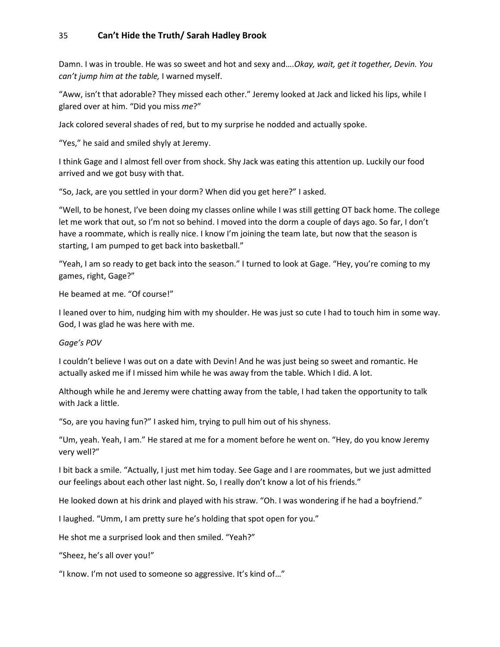Damn. I was in trouble. He was so sweet and hot and sexy and….*Okay, wait, get it together, Devin. You can't jump him at the table,* I warned myself.

"Aww, isn't that adorable? They missed each other." Jeremy looked at Jack and licked his lips, while I glared over at him. "Did you miss *me*?"

Jack colored several shades of red, but to my surprise he nodded and actually spoke.

"Yes," he said and smiled shyly at Jeremy.

I think Gage and I almost fell over from shock. Shy Jack was eating this attention up. Luckily our food arrived and we got busy with that.

"So, Jack, are you settled in your dorm? When did you get here?" I asked.

"Well, to be honest, I've been doing my classes online while I was still getting OT back home. The college let me work that out, so I'm not so behind. I moved into the dorm a couple of days ago. So far, I don't have a roommate, which is really nice. I know I'm joining the team late, but now that the season is starting, I am pumped to get back into basketball."

"Yeah, I am so ready to get back into the season." I turned to look at Gage. "Hey, you're coming to my games, right, Gage?"

He beamed at me. "Of course!"

I leaned over to him, nudging him with my shoulder. He was just so cute I had to touch him in some way. God, I was glad he was here with me.

#### *Gage's POV*

I couldn't believe I was out on a date with Devin! And he was just being so sweet and romantic. He actually asked me if I missed him while he was away from the table. Which I did. A lot.

Although while he and Jeremy were chatting away from the table, I had taken the opportunity to talk with Jack a little.

"So, are you having fun?" I asked him, trying to pull him out of his shyness.

"Um, yeah. Yeah, I am." He stared at me for a moment before he went on. "Hey, do you know Jeremy very well?"

I bit back a smile. "Actually, I just met him today. See Gage and I are roommates, but we just admitted our feelings about each other last night. So, I really don't know a lot of his friends."

He looked down at his drink and played with his straw. "Oh. I was wondering if he had a boyfriend."

I laughed. "Umm, I am pretty sure he's holding that spot open for you."

He shot me a surprised look and then smiled. "Yeah?"

"Sheez, he's all over you!"

"I know. I'm not used to someone so aggressive. It's kind of…"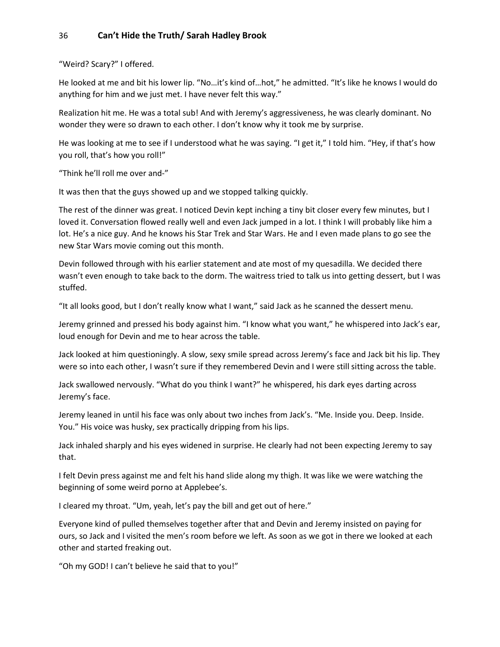"Weird? Scary?" I offered.

He looked at me and bit his lower lip. "No…it's kind of…hot," he admitted. "It's like he knows I would do anything for him and we just met. I have never felt this way."

Realization hit me. He was a total sub! And with Jeremy's aggressiveness, he was clearly dominant. No wonder they were so drawn to each other. I don't know why it took me by surprise.

He was looking at me to see if I understood what he was saying. "I get it," I told him. "Hey, if that's how you roll, that's how you roll!"

"Think he'll roll me over and-"

It was then that the guys showed up and we stopped talking quickly.

The rest of the dinner was great. I noticed Devin kept inching a tiny bit closer every few minutes, but I loved it. Conversation flowed really well and even Jack jumped in a lot. I think I will probably like him a lot. He's a nice guy. And he knows his Star Trek and Star Wars. He and I even made plans to go see the new Star Wars movie coming out this month.

Devin followed through with his earlier statement and ate most of my quesadilla. We decided there wasn't even enough to take back to the dorm. The waitress tried to talk us into getting dessert, but I was stuffed.

"It all looks good, but I don't really know what I want," said Jack as he scanned the dessert menu.

Jeremy grinned and pressed his body against him. "I know what you want," he whispered into Jack's ear, loud enough for Devin and me to hear across the table.

Jack looked at him questioningly. A slow, sexy smile spread across Jeremy's face and Jack bit his lip. They were so into each other, I wasn't sure if they remembered Devin and I were still sitting across the table.

Jack swallowed nervously. "What do you think I want?" he whispered, his dark eyes darting across Jeremy's face.

Jeremy leaned in until his face was only about two inches from Jack's. "Me. Inside you. Deep. Inside. You." His voice was husky, sex practically dripping from his lips.

Jack inhaled sharply and his eyes widened in surprise. He clearly had not been expecting Jeremy to say that.

I felt Devin press against me and felt his hand slide along my thigh. It was like we were watching the beginning of some weird porno at Applebee's.

I cleared my throat. "Um, yeah, let's pay the bill and get out of here."

Everyone kind of pulled themselves together after that and Devin and Jeremy insisted on paying for ours, so Jack and I visited the men's room before we left. As soon as we got in there we looked at each other and started freaking out.

"Oh my GOD! I can't believe he said that to you!"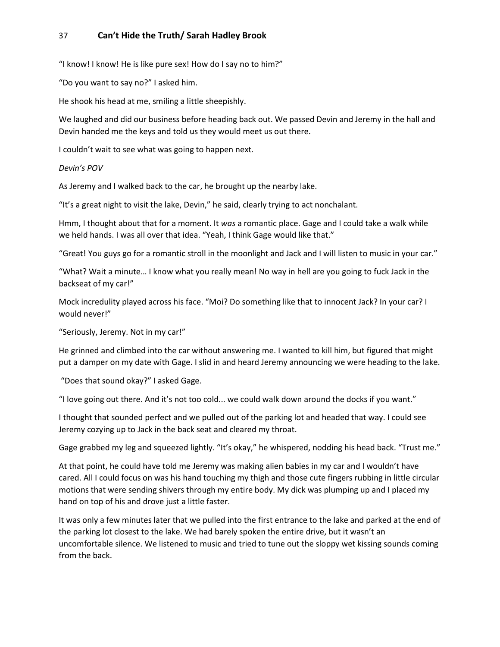"I know! I know! He is like pure sex! How do I say no to him?"

"Do you want to say no?" I asked him.

He shook his head at me, smiling a little sheepishly.

We laughed and did our business before heading back out. We passed Devin and Jeremy in the hall and Devin handed me the keys and told us they would meet us out there.

I couldn't wait to see what was going to happen next.

#### *Devin's POV*

As Jeremy and I walked back to the car, he brought up the nearby lake.

"It's a great night to visit the lake, Devin," he said, clearly trying to act nonchalant.

Hmm, I thought about that for a moment. It *was* a romantic place. Gage and I could take a walk while we held hands. I was all over that idea. "Yeah, I think Gage would like that."

"Great! You guys go for a romantic stroll in the moonlight and Jack and I will listen to music in your car."

"What? Wait a minute… I know what you really mean! No way in hell are you going to fuck Jack in the backseat of my car!"

Mock incredulity played across his face. "Moi? Do something like that to innocent Jack? In your car? I would never!"

"Seriously, Jeremy. Not in my car!"

He grinned and climbed into the car without answering me. I wanted to kill him, but figured that might put a damper on my date with Gage. I slid in and heard Jeremy announcing we were heading to the lake.

"Does that sound okay?" I asked Gage.

"I love going out there. And it's not too cold... we could walk down around the docks if you want."

I thought that sounded perfect and we pulled out of the parking lot and headed that way. I could see Jeremy cozying up to Jack in the back seat and cleared my throat.

Gage grabbed my leg and squeezed lightly. "It's okay," he whispered, nodding his head back. "Trust me."

At that point, he could have told me Jeremy was making alien babies in my car and I wouldn't have cared. All I could focus on was his hand touching my thigh and those cute fingers rubbing in little circular motions that were sending shivers through my entire body. My dick was plumping up and I placed my hand on top of his and drove just a little faster.

It was only a few minutes later that we pulled into the first entrance to the lake and parked at the end of the parking lot closest to the lake. We had barely spoken the entire drive, but it wasn't an uncomfortable silence. We listened to music and tried to tune out the sloppy wet kissing sounds coming from the back.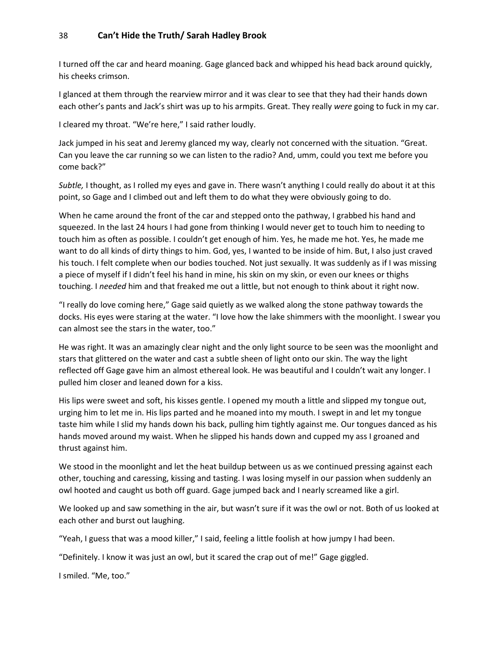I turned off the car and heard moaning. Gage glanced back and whipped his head back around quickly, his cheeks crimson.

I glanced at them through the rearview mirror and it was clear to see that they had their hands down each other's pants and Jack's shirt was up to his armpits. Great. They really *were* going to fuck in my car.

I cleared my throat. "We're here," I said rather loudly.

Jack jumped in his seat and Jeremy glanced my way, clearly not concerned with the situation. "Great. Can you leave the car running so we can listen to the radio? And, umm, could you text me before you come back?"

*Subtle,* I thought, as I rolled my eyes and gave in. There wasn't anything I could really do about it at this point, so Gage and I climbed out and left them to do what they were obviously going to do.

When he came around the front of the car and stepped onto the pathway, I grabbed his hand and squeezed. In the last 24 hours I had gone from thinking I would never get to touch him to needing to touch him as often as possible. I couldn't get enough of him. Yes, he made me hot. Yes, he made me want to do all kinds of dirty things to him. God, yes, I wanted to be inside of him. But, I also just craved his touch. I felt complete when our bodies touched. Not just sexually. It was suddenly as if I was missing a piece of myself if I didn't feel his hand in mine, his skin on my skin, or even our knees or thighs touching. I *needed* him and that freaked me out a little, but not enough to think about it right now.

"I really do love coming here," Gage said quietly as we walked along the stone pathway towards the docks. His eyes were staring at the water. "I love how the lake shimmers with the moonlight. I swear you can almost see the stars in the water, too."

He was right. It was an amazingly clear night and the only light source to be seen was the moonlight and stars that glittered on the water and cast a subtle sheen of light onto our skin. The way the light reflected off Gage gave him an almost ethereal look. He was beautiful and I couldn't wait any longer. I pulled him closer and leaned down for a kiss.

His lips were sweet and soft, his kisses gentle. I opened my mouth a little and slipped my tongue out, urging him to let me in. His lips parted and he moaned into my mouth. I swept in and let my tongue taste him while I slid my hands down his back, pulling him tightly against me. Our tongues danced as his hands moved around my waist. When he slipped his hands down and cupped my ass I groaned and thrust against him.

We stood in the moonlight and let the heat buildup between us as we continued pressing against each other, touching and caressing, kissing and tasting. I was losing myself in our passion when suddenly an owl hooted and caught us both off guard. Gage jumped back and I nearly screamed like a girl.

We looked up and saw something in the air, but wasn't sure if it was the owl or not. Both of us looked at each other and burst out laughing.

"Yeah, I guess that was a mood killer," I said, feeling a little foolish at how jumpy I had been.

"Definitely. I know it was just an owl, but it scared the crap out of me!" Gage giggled.

I smiled. "Me, too."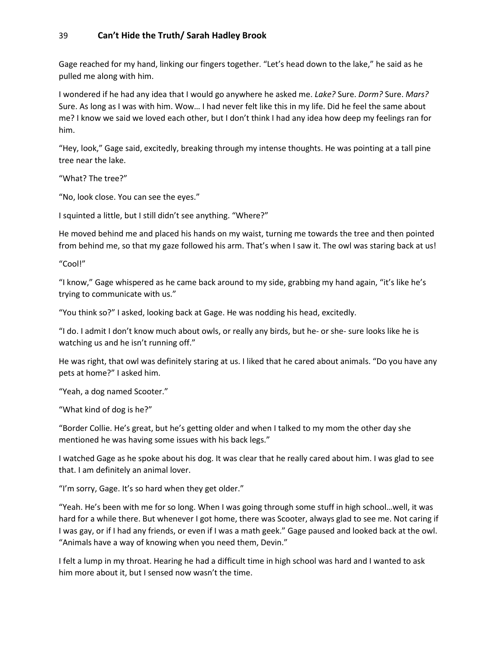Gage reached for my hand, linking our fingers together. "Let's head down to the lake," he said as he pulled me along with him.

I wondered if he had any idea that I would go anywhere he asked me. *Lake?* Sure. *Dorm?* Sure. *Mars?* Sure. As long as I was with him. Wow… I had never felt like this in my life. Did he feel the same about me? I know we said we loved each other, but I don't think I had any idea how deep my feelings ran for him.

"Hey, look," Gage said, excitedly, breaking through my intense thoughts. He was pointing at a tall pine tree near the lake.

"What? The tree?"

"No, look close. You can see the eyes."

I squinted a little, but I still didn't see anything. "Where?"

He moved behind me and placed his hands on my waist, turning me towards the tree and then pointed from behind me, so that my gaze followed his arm. That's when I saw it. The owl was staring back at us!

"Cool!"

"I know," Gage whispered as he came back around to my side, grabbing my hand again, "it's like he's trying to communicate with us."

"You think so?" I asked, looking back at Gage. He was nodding his head, excitedly.

"I do. I admit I don't know much about owls, or really any birds, but he- or she- sure looks like he is watching us and he isn't running off."

He was right, that owl was definitely staring at us. I liked that he cared about animals. "Do you have any pets at home?" I asked him.

"Yeah, a dog named Scooter."

"What kind of dog is he?"

"Border Collie. He's great, but he's getting older and when I talked to my mom the other day she mentioned he was having some issues with his back legs."

I watched Gage as he spoke about his dog. It was clear that he really cared about him. I was glad to see that. I am definitely an animal lover.

"I'm sorry, Gage. It's so hard when they get older."

"Yeah. He's been with me for so long. When I was going through some stuff in high school…well, it was hard for a while there. But whenever I got home, there was Scooter, always glad to see me. Not caring if I was gay, or if I had any friends, or even if I was a math geek." Gage paused and looked back at the owl. "Animals have a way of knowing when you need them, Devin."

I felt a lump in my throat. Hearing he had a difficult time in high school was hard and I wanted to ask him more about it, but I sensed now wasn't the time.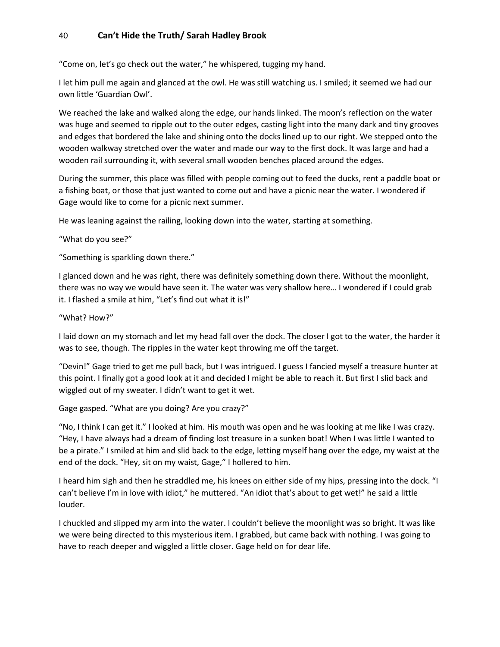"Come on, let's go check out the water," he whispered, tugging my hand.

I let him pull me again and glanced at the owl. He was still watching us. I smiled; it seemed we had our own little 'Guardian Owl'.

We reached the lake and walked along the edge, our hands linked. The moon's reflection on the water was huge and seemed to ripple out to the outer edges, casting light into the many dark and tiny grooves and edges that bordered the lake and shining onto the docks lined up to our right. We stepped onto the wooden walkway stretched over the water and made our way to the first dock. It was large and had a wooden rail surrounding it, with several small wooden benches placed around the edges.

During the summer, this place was filled with people coming out to feed the ducks, rent a paddle boat or a fishing boat, or those that just wanted to come out and have a picnic near the water. I wondered if Gage would like to come for a picnic next summer.

He was leaning against the railing, looking down into the water, starting at something.

"What do you see?"

"Something is sparkling down there."

I glanced down and he was right, there was definitely something down there. Without the moonlight, there was no way we would have seen it. The water was very shallow here… I wondered if I could grab it. I flashed a smile at him, "Let's find out what it is!"

"What? How?"

I laid down on my stomach and let my head fall over the dock. The closer I got to the water, the harder it was to see, though. The ripples in the water kept throwing me off the target.

"Devin!" Gage tried to get me pull back, but I was intrigued. I guess I fancied myself a treasure hunter at this point. I finally got a good look at it and decided I might be able to reach it. But first I slid back and wiggled out of my sweater. I didn't want to get it wet.

Gage gasped. "What are you doing? Are you crazy?"

"No, I think I can get it." I looked at him. His mouth was open and he was looking at me like I was crazy. "Hey, I have always had a dream of finding lost treasure in a sunken boat! When I was little I wanted to be a pirate." I smiled at him and slid back to the edge, letting myself hang over the edge, my waist at the end of the dock. "Hey, sit on my waist, Gage," I hollered to him.

I heard him sigh and then he straddled me, his knees on either side of my hips, pressing into the dock. "I can't believe I'm in love with idiot," he muttered. "An idiot that's about to get wet!" he said a little louder.

I chuckled and slipped my arm into the water. I couldn't believe the moonlight was so bright. It was like we were being directed to this mysterious item. I grabbed, but came back with nothing. I was going to have to reach deeper and wiggled a little closer. Gage held on for dear life.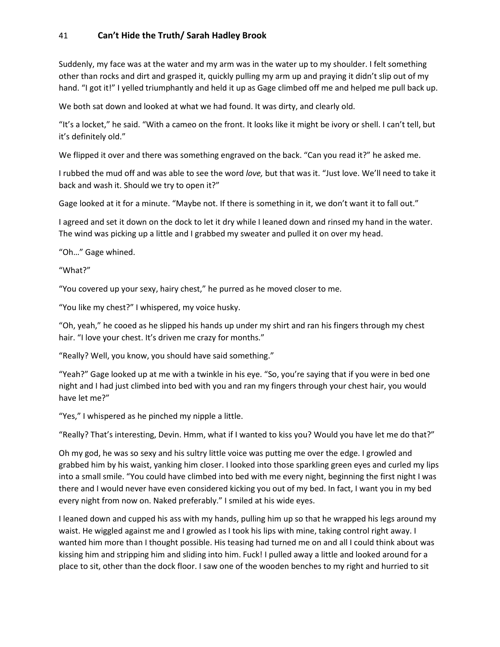Suddenly, my face was at the water and my arm was in the water up to my shoulder. I felt something other than rocks and dirt and grasped it, quickly pulling my arm up and praying it didn't slip out of my hand. "I got it!" I yelled triumphantly and held it up as Gage climbed off me and helped me pull back up.

We both sat down and looked at what we had found. It was dirty, and clearly old.

"It's a locket," he said. "With a cameo on the front. It looks like it might be ivory or shell. I can't tell, but it's definitely old."

We flipped it over and there was something engraved on the back. "Can you read it?" he asked me.

I rubbed the mud off and was able to see the word *love,* but that was it. "Just love. We'll need to take it back and wash it. Should we try to open it?"

Gage looked at it for a minute. "Maybe not. If there is something in it, we don't want it to fall out."

I agreed and set it down on the dock to let it dry while I leaned down and rinsed my hand in the water. The wind was picking up a little and I grabbed my sweater and pulled it on over my head.

"Oh…" Gage whined.

"What?"

"You covered up your sexy, hairy chest," he purred as he moved closer to me.

"You like my chest?" I whispered, my voice husky.

"Oh, yeah," he cooed as he slipped his hands up under my shirt and ran his fingers through my chest hair. "I love your chest. It's driven me crazy for months."

"Really? Well, you know, you should have said something."

"Yeah?" Gage looked up at me with a twinkle in his eye. "So, you're saying that if you were in bed one night and I had just climbed into bed with you and ran my fingers through your chest hair, you would have let me?"

"Yes," I whispered as he pinched my nipple a little.

"Really? That's interesting, Devin. Hmm, what if I wanted to kiss you? Would you have let me do that?"

Oh my god, he was so sexy and his sultry little voice was putting me over the edge. I growled and grabbed him by his waist, yanking him closer. I looked into those sparkling green eyes and curled my lips into a small smile. "You could have climbed into bed with me every night, beginning the first night I was there and I would never have even considered kicking you out of my bed. In fact, I want you in my bed every night from now on. Naked preferably." I smiled at his wide eyes.

I leaned down and cupped his ass with my hands, pulling him up so that he wrapped his legs around my waist. He wiggled against me and I growled as I took his lips with mine, taking control right away. I wanted him more than I thought possible. His teasing had turned me on and all I could think about was kissing him and stripping him and sliding into him. Fuck! I pulled away a little and looked around for a place to sit, other than the dock floor. I saw one of the wooden benches to my right and hurried to sit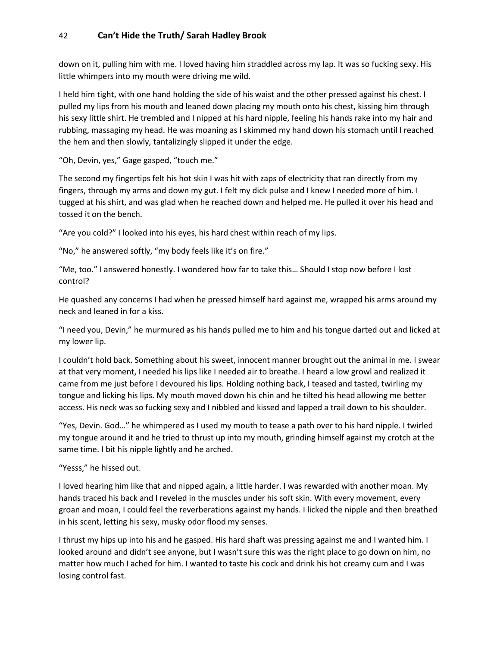down on it, pulling him with me. I loved having him straddled across my lap. It was so fucking sexy. His little whimpers into my mouth were driving me wild.

I held him tight, with one hand holding the side of his waist and the other pressed against his chest. I pulled my lips from his mouth and leaned down placing my mouth onto his chest, kissing him through his sexy little shirt. He trembled and I nipped at his hard nipple, feeling his hands rake into my hair and rubbing, massaging my head. He was moaning as I skimmed my hand down his stomach until I reached the hem and then slowly, tantalizingly slipped it under the edge.

"Oh, Devin, yes," Gage gasped, "touch me."

The second my fingertips felt his hot skin I was hit with zaps of electricity that ran directly from my fingers, through my arms and down my gut. I felt my dick pulse and I knew I needed more of him. I tugged at his shirt, and was glad when he reached down and helped me. He pulled it over his head and tossed it on the bench.

"Are you cold?" I looked into his eyes, his hard chest within reach of my lips.

"No," he answered softly, "my body feels like it's on fire."

"Me, too." I answered honestly. I wondered how far to take this… Should I stop now before I lost control?

He quashed any concerns I had when he pressed himself hard against me, wrapped his arms around my neck and leaned in for a kiss.

"I need you, Devin," he murmured as his hands pulled me to him and his tongue darted out and licked at my lower lip.

I couldn't hold back. Something about his sweet, innocent manner brought out the animal in me. I swear at that very moment, I needed his lips like I needed air to breathe. I heard a low growl and realized it came from me just before I devoured his lips. Holding nothing back, I teased and tasted, twirling my tongue and licking his lips. My mouth moved down his chin and he tilted his head allowing me better access. His neck was so fucking sexy and I nibbled and kissed and lapped a trail down to his shoulder.

"Yes, Devin. God…" he whimpered as I used my mouth to tease a path over to his hard nipple. I twirled my tongue around it and he tried to thrust up into my mouth, grinding himself against my crotch at the same time. I bit his nipple lightly and he arched.

#### "Yesss," he hissed out.

I loved hearing him like that and nipped again, a little harder. I was rewarded with another moan. My hands traced his back and I reveled in the muscles under his soft skin. With every movement, every groan and moan, I could feel the reverberations against my hands. I licked the nipple and then breathed in his scent, letting his sexy, musky odor flood my senses.

I thrust my hips up into his and he gasped. His hard shaft was pressing against me and I wanted him. I looked around and didn't see anyone, but I wasn't sure this was the right place to go down on him, no matter how much I ached for him. I wanted to taste his cock and drink his hot creamy cum and I was losing control fast.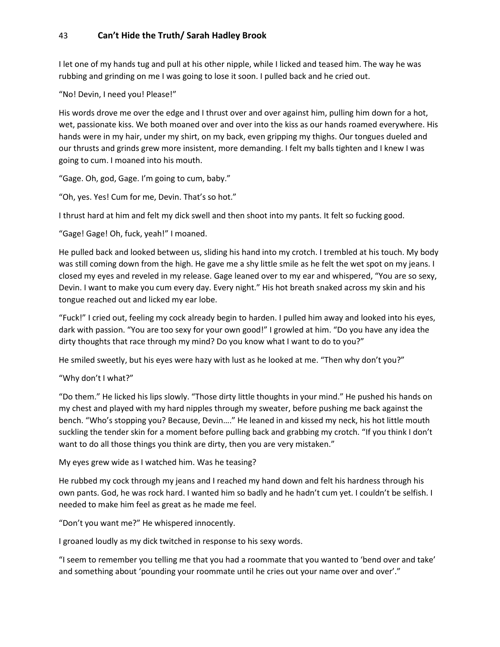I let one of my hands tug and pull at his other nipple, while I licked and teased him. The way he was rubbing and grinding on me I was going to lose it soon. I pulled back and he cried out.

"No! Devin, I need you! Please!"

His words drove me over the edge and I thrust over and over against him, pulling him down for a hot, wet, passionate kiss. We both moaned over and over into the kiss as our hands roamed everywhere. His hands were in my hair, under my shirt, on my back, even gripping my thighs. Our tongues dueled and our thrusts and grinds grew more insistent, more demanding. I felt my balls tighten and I knew I was going to cum. I moaned into his mouth.

"Gage. Oh, god, Gage. I'm going to cum, baby."

"Oh, yes. Yes! Cum for me, Devin. That's so hot."

I thrust hard at him and felt my dick swell and then shoot into my pants. It felt so fucking good.

"Gage! Gage! Oh, fuck, yeah!" I moaned.

He pulled back and looked between us, sliding his hand into my crotch. I trembled at his touch. My body was still coming down from the high. He gave me a shy little smile as he felt the wet spot on my jeans. I closed my eyes and reveled in my release. Gage leaned over to my ear and whispered, "You are so sexy, Devin. I want to make you cum every day. Every night." His hot breath snaked across my skin and his tongue reached out and licked my ear lobe.

"Fuck!" I cried out, feeling my cock already begin to harden. I pulled him away and looked into his eyes, dark with passion. "You are too sexy for your own good!" I growled at him. "Do you have any idea the dirty thoughts that race through my mind? Do you know what I want to do to you?"

He smiled sweetly, but his eyes were hazy with lust as he looked at me. "Then why don't you?"

#### "Why don't I what?"

"Do them." He licked his lips slowly. "Those dirty little thoughts in your mind." He pushed his hands on my chest and played with my hard nipples through my sweater, before pushing me back against the bench. "Who's stopping you? Because, Devin…." He leaned in and kissed my neck, his hot little mouth suckling the tender skin for a moment before pulling back and grabbing my crotch. "If you think I don't want to do all those things you think are dirty, then you are very mistaken."

My eyes grew wide as I watched him. Was he teasing?

He rubbed my cock through my jeans and I reached my hand down and felt his hardness through his own pants. God, he was rock hard. I wanted him so badly and he hadn't cum yet. I couldn't be selfish. I needed to make him feel as great as he made me feel.

"Don't you want me?" He whispered innocently.

I groaned loudly as my dick twitched in response to his sexy words.

"I seem to remember you telling me that you had a roommate that you wanted to 'bend over and take' and something about 'pounding your roommate until he cries out your name over and over'."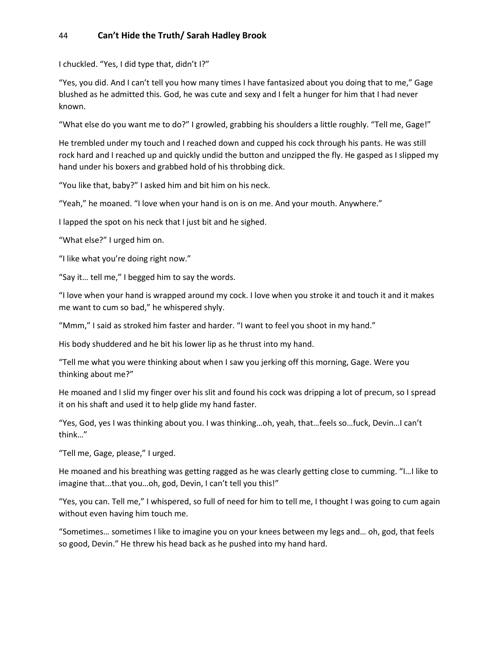I chuckled. "Yes, I did type that, didn't I?"

"Yes, you did. And I can't tell you how many times I have fantasized about you doing that to me," Gage blushed as he admitted this. God, he was cute and sexy and I felt a hunger for him that I had never known.

"What else do you want me to do?" I growled, grabbing his shoulders a little roughly. "Tell me, Gage!"

He trembled under my touch and I reached down and cupped his cock through his pants. He was still rock hard and I reached up and quickly undid the button and unzipped the fly. He gasped as I slipped my hand under his boxers and grabbed hold of his throbbing dick.

"You like that, baby?" I asked him and bit him on his neck.

"Yeah," he moaned. "I love when your hand is on is on me. And your mouth. Anywhere."

I lapped the spot on his neck that I just bit and he sighed.

"What else?" I urged him on.

"I like what you're doing right now."

"Say it… tell me," I begged him to say the words.

"I love when your hand is wrapped around my cock. I love when you stroke it and touch it and it makes me want to cum so bad," he whispered shyly.

"Mmm," I said as stroked him faster and harder. "I want to feel you shoot in my hand."

His body shuddered and he bit his lower lip as he thrust into my hand.

"Tell me what you were thinking about when I saw you jerking off this morning, Gage. Were you thinking about me?"

He moaned and I slid my finger over his slit and found his cock was dripping a lot of precum, so I spread it on his shaft and used it to help glide my hand faster.

"Yes, God, yes I was thinking about you. I was thinking…oh, yeah, that…feels so…fuck, Devin…I can't think…"

"Tell me, Gage, please," I urged.

He moaned and his breathing was getting ragged as he was clearly getting close to cumming. "I…I like to imagine that...that you…oh, god, Devin, I can't tell you this!"

"Yes, you can. Tell me," I whispered, so full of need for him to tell me, I thought I was going to cum again without even having him touch me.

"Sometimes… sometimes I like to imagine you on your knees between my legs and… oh, god, that feels so good, Devin." He threw his head back as he pushed into my hand hard.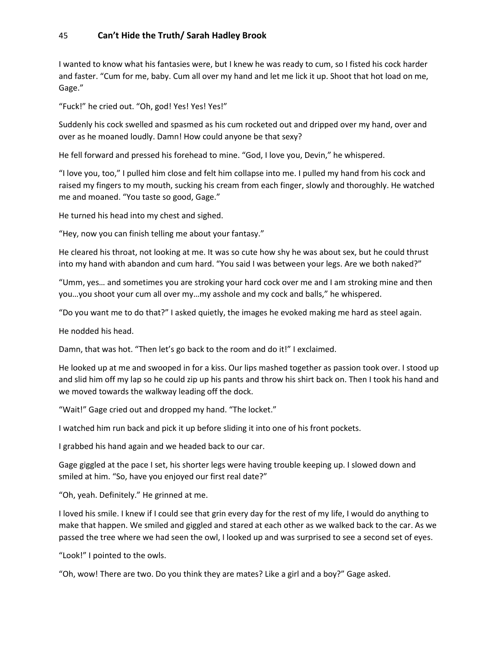I wanted to know what his fantasies were, but I knew he was ready to cum, so I fisted his cock harder and faster. "Cum for me, baby. Cum all over my hand and let me lick it up. Shoot that hot load on me, Gage."

"Fuck!" he cried out. "Oh, god! Yes! Yes! Yes!"

Suddenly his cock swelled and spasmed as his cum rocketed out and dripped over my hand, over and over as he moaned loudly. Damn! How could anyone be that sexy?

He fell forward and pressed his forehead to mine. "God, I love you, Devin," he whispered.

"I love you, too," I pulled him close and felt him collapse into me. I pulled my hand from his cock and raised my fingers to my mouth, sucking his cream from each finger, slowly and thoroughly. He watched me and moaned. "You taste so good, Gage."

He turned his head into my chest and sighed.

"Hey, now you can finish telling me about your fantasy."

He cleared his throat, not looking at me. It was so cute how shy he was about sex, but he could thrust into my hand with abandon and cum hard. "You said I was between your legs. Are we both naked?"

"Umm, yes… and sometimes you are stroking your hard cock over me and I am stroking mine and then you…you shoot your cum all over my…my asshole and my cock and balls," he whispered.

"Do you want me to do that?" I asked quietly, the images he evoked making me hard as steel again.

He nodded his head.

Damn, that was hot. "Then let's go back to the room and do it!" I exclaimed.

He looked up at me and swooped in for a kiss. Our lips mashed together as passion took over. I stood up and slid him off my lap so he could zip up his pants and throw his shirt back on. Then I took his hand and we moved towards the walkway leading off the dock.

"Wait!" Gage cried out and dropped my hand. "The locket."

I watched him run back and pick it up before sliding it into one of his front pockets.

I grabbed his hand again and we headed back to our car.

Gage giggled at the pace I set, his shorter legs were having trouble keeping up. I slowed down and smiled at him. "So, have you enjoyed our first real date?"

"Oh, yeah. Definitely." He grinned at me.

I loved his smile. I knew if I could see that grin every day for the rest of my life, I would do anything to make that happen. We smiled and giggled and stared at each other as we walked back to the car. As we passed the tree where we had seen the owl, I looked up and was surprised to see a second set of eyes.

"Look!" I pointed to the owls.

"Oh, wow! There are two. Do you think they are mates? Like a girl and a boy?" Gage asked.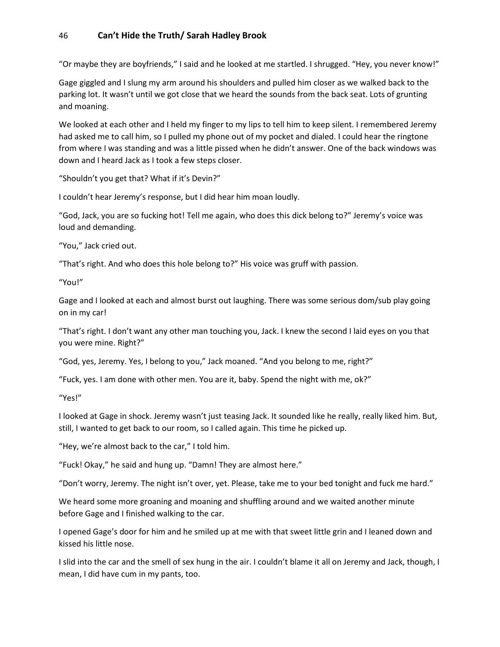"Or maybe they are boyfriends," I said and he looked at me startled. I shrugged. "Hey, you never know!"

Gage giggled and I slung my arm around his shoulders and pulled him closer as we walked back to the parking lot. It wasn't until we got close that we heard the sounds from the back seat. Lots of grunting and moaning.

We looked at each other and I held my finger to my lips to tell him to keep silent. I remembered Jeremy had asked me to call him, so I pulled my phone out of my pocket and dialed. I could hear the ringtone from where I was standing and was a little pissed when he didn't answer. One of the back windows was down and I heard Jack as I took a few steps closer.

"Shouldn't you get that? What if it's Devin?"

I couldn't hear Jeremy's response, but I did hear him moan loudly.

"God, Jack, you are so fucking hot! Tell me again, who does this dick belong to?" Jeremy's voice was loud and demanding.

"You," Jack cried out.

"That's right. And who does this hole belong to?" His voice was gruff with passion.

"You!"

Gage and I looked at each and almost burst out laughing. There was some serious dom/sub play going on in my car!

"That's right. I don't want any other man touching you, Jack. I knew the second I laid eyes on you that you were mine. Right?"

"God, yes, Jeremy. Yes, I belong to you," Jack moaned. "And you belong to me, right?"

"Fuck, yes. I am done with other men. You are it, baby. Spend the night with me, ok?"

"Yes!"

I looked at Gage in shock. Jeremy wasn't just teasing Jack. It sounded like he really, really liked him. But, still, I wanted to get back to our room, so I called again. This time he picked up.

"Hey, we're almost back to the car," I told him.

"Fuck! Okay," he said and hung up. "Damn! They are almost here."

"Don't worry, Jeremy. The night isn't over, yet. Please, take me to your bed tonight and fuck me hard."

We heard some more groaning and moaning and shuffling around and we waited another minute before Gage and I finished walking to the car.

I opened Gage's door for him and he smiled up at me with that sweet little grin and I leaned down and kissed his little nose.

I slid into the car and the smell of sex hung in the air. I couldn't blame it all on Jeremy and Jack, though, I mean, I did have cum in my pants, too.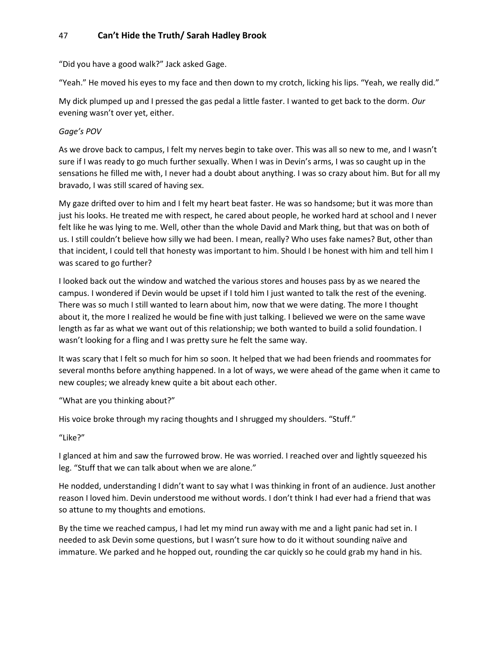"Did you have a good walk?" Jack asked Gage.

"Yeah." He moved his eyes to my face and then down to my crotch, licking his lips. "Yeah, we really did."

My dick plumped up and I pressed the gas pedal a little faster. I wanted to get back to the dorm. *Our* evening wasn't over yet, either.

### *Gage's POV*

As we drove back to campus, I felt my nerves begin to take over. This was all so new to me, and I wasn't sure if I was ready to go much further sexually. When I was in Devin's arms, I was so caught up in the sensations he filled me with, I never had a doubt about anything. I was so crazy about him. But for all my bravado, I was still scared of having sex.

My gaze drifted over to him and I felt my heart beat faster. He was so handsome; but it was more than just his looks. He treated me with respect, he cared about people, he worked hard at school and I never felt like he was lying to me. Well, other than the whole David and Mark thing, but that was on both of us. I still couldn't believe how silly we had been. I mean, really? Who uses fake names? But, other than that incident, I could tell that honesty was important to him. Should I be honest with him and tell him I was scared to go further?

I looked back out the window and watched the various stores and houses pass by as we neared the campus. I wondered if Devin would be upset if I told him I just wanted to talk the rest of the evening. There was so much I still wanted to learn about him, now that we were dating. The more I thought about it, the more I realized he would be fine with just talking. I believed we were on the same wave length as far as what we want out of this relationship; we both wanted to build a solid foundation. I wasn't looking for a fling and I was pretty sure he felt the same way.

It was scary that I felt so much for him so soon. It helped that we had been friends and roommates for several months before anything happened. In a lot of ways, we were ahead of the game when it came to new couples; we already knew quite a bit about each other.

"What are you thinking about?"

His voice broke through my racing thoughts and I shrugged my shoulders. "Stuff."

"Like?"

I glanced at him and saw the furrowed brow. He was worried. I reached over and lightly squeezed his leg. "Stuff that we can talk about when we are alone."

He nodded, understanding I didn't want to say what I was thinking in front of an audience. Just another reason I loved him. Devin understood me without words. I don't think I had ever had a friend that was so attune to my thoughts and emotions.

By the time we reached campus, I had let my mind run away with me and a light panic had set in. I needed to ask Devin some questions, but I wasn't sure how to do it without sounding naïve and immature. We parked and he hopped out, rounding the car quickly so he could grab my hand in his.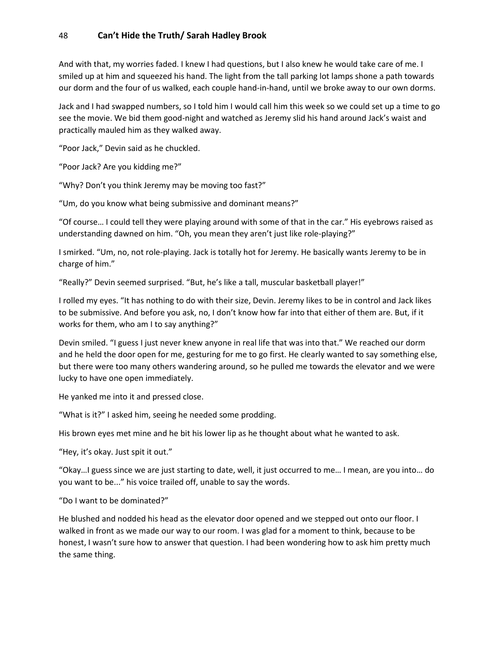And with that, my worries faded. I knew I had questions, but I also knew he would take care of me. I smiled up at him and squeezed his hand. The light from the tall parking lot lamps shone a path towards our dorm and the four of us walked, each couple hand-in-hand, until we broke away to our own dorms.

Jack and I had swapped numbers, so I told him I would call him this week so we could set up a time to go see the movie. We bid them good-night and watched as Jeremy slid his hand around Jack's waist and practically mauled him as they walked away.

"Poor Jack," Devin said as he chuckled.

"Poor Jack? Are you kidding me?"

"Why? Don't you think Jeremy may be moving too fast?"

"Um, do you know what being submissive and dominant means?"

"Of course… I could tell they were playing around with some of that in the car." His eyebrows raised as understanding dawned on him. "Oh, you mean they aren't just like role-playing?"

I smirked. "Um, no, not role-playing. Jack is totally hot for Jeremy. He basically wants Jeremy to be in charge of him."

"Really?" Devin seemed surprised. "But, he's like a tall, muscular basketball player!"

I rolled my eyes. "It has nothing to do with their size, Devin. Jeremy likes to be in control and Jack likes to be submissive. And before you ask, no, I don't know how far into that either of them are. But, if it works for them, who am I to say anything?"

Devin smiled. "I guess I just never knew anyone in real life that was into that." We reached our dorm and he held the door open for me, gesturing for me to go first. He clearly wanted to say something else, but there were too many others wandering around, so he pulled me towards the elevator and we were lucky to have one open immediately.

He yanked me into it and pressed close.

"What is it?" I asked him, seeing he needed some prodding.

His brown eyes met mine and he bit his lower lip as he thought about what he wanted to ask.

"Hey, it's okay. Just spit it out."

"Okay…I guess since we are just starting to date, well, it just occurred to me… I mean, are you into… do you want to be..." his voice trailed off, unable to say the words.

"Do I want to be dominated?"

He blushed and nodded his head as the elevator door opened and we stepped out onto our floor. I walked in front as we made our way to our room. I was glad for a moment to think, because to be honest, I wasn't sure how to answer that question. I had been wondering how to ask him pretty much the same thing.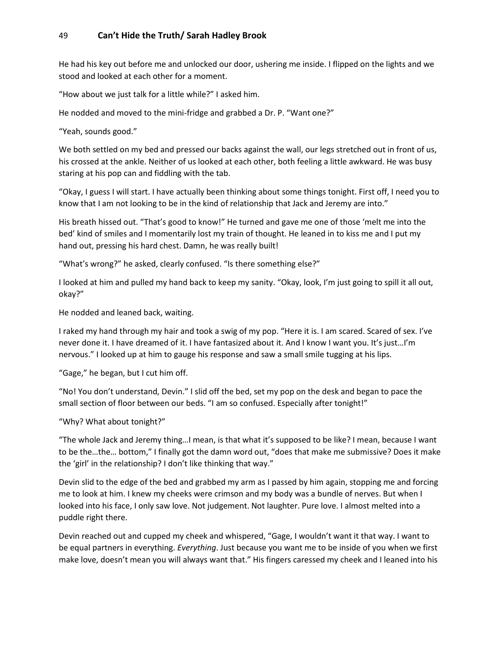He had his key out before me and unlocked our door, ushering me inside. I flipped on the lights and we stood and looked at each other for a moment.

"How about we just talk for a little while?" I asked him.

He nodded and moved to the mini-fridge and grabbed a Dr. P. "Want one?"

"Yeah, sounds good."

We both settled on my bed and pressed our backs against the wall, our legs stretched out in front of us, his crossed at the ankle. Neither of us looked at each other, both feeling a little awkward. He was busy staring at his pop can and fiddling with the tab.

"Okay, I guess I will start. I have actually been thinking about some things tonight. First off, I need you to know that I am not looking to be in the kind of relationship that Jack and Jeremy are into."

His breath hissed out. "That's good to know!" He turned and gave me one of those 'melt me into the bed' kind of smiles and I momentarily lost my train of thought. He leaned in to kiss me and I put my hand out, pressing his hard chest. Damn, he was really built!

"What's wrong?" he asked, clearly confused. "Is there something else?"

I looked at him and pulled my hand back to keep my sanity. "Okay, look, I'm just going to spill it all out, okay?"

He nodded and leaned back, waiting.

I raked my hand through my hair and took a swig of my pop. "Here it is. I am scared. Scared of sex. I've never done it. I have dreamed of it. I have fantasized about it. And I know I want you. It's just…I'm nervous." I looked up at him to gauge his response and saw a small smile tugging at his lips.

"Gage," he began, but I cut him off.

"No! You don't understand, Devin." I slid off the bed, set my pop on the desk and began to pace the small section of floor between our beds. "I am so confused. Especially after tonight!"

"Why? What about tonight?"

"The whole Jack and Jeremy thing…I mean, is that what it's supposed to be like? I mean, because I want to be the…the… bottom," I finally got the damn word out, "does that make me submissive? Does it make the 'girl' in the relationship? I don't like thinking that way."

Devin slid to the edge of the bed and grabbed my arm as I passed by him again, stopping me and forcing me to look at him. I knew my cheeks were crimson and my body was a bundle of nerves. But when I looked into his face, I only saw love. Not judgement. Not laughter. Pure love. I almost melted into a puddle right there.

Devin reached out and cupped my cheek and whispered, "Gage, I wouldn't want it that way. I want to be equal partners in everything. *Everything*. Just because you want me to be inside of you when we first make love, doesn't mean you will always want that." His fingers caressed my cheek and I leaned into his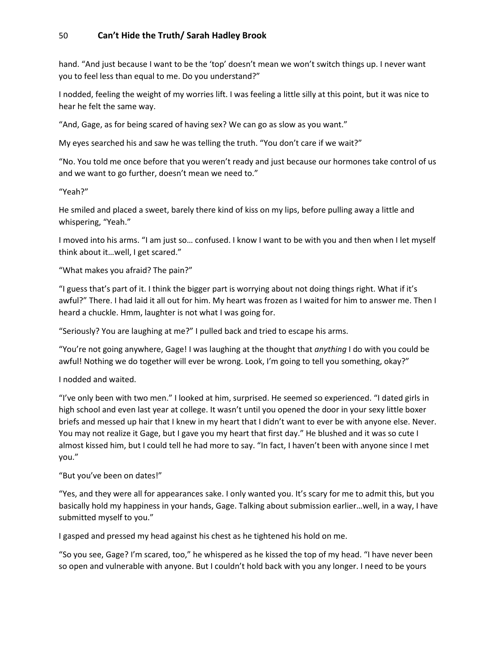hand. "And just because I want to be the 'top' doesn't mean we won't switch things up. I never want you to feel less than equal to me. Do you understand?"

I nodded, feeling the weight of my worries lift. I was feeling a little silly at this point, but it was nice to hear he felt the same way.

"And, Gage, as for being scared of having sex? We can go as slow as you want."

My eyes searched his and saw he was telling the truth. "You don't care if we wait?"

"No. You told me once before that you weren't ready and just because our hormones take control of us and we want to go further, doesn't mean we need to."

"Yeah?"

He smiled and placed a sweet, barely there kind of kiss on my lips, before pulling away a little and whispering, "Yeah."

I moved into his arms. "I am just so… confused. I know I want to be with you and then when I let myself think about it…well, I get scared."

"What makes you afraid? The pain?"

"I guess that's part of it. I think the bigger part is worrying about not doing things right. What if it's awful?" There. I had laid it all out for him. My heart was frozen as I waited for him to answer me. Then I heard a chuckle. Hmm, laughter is not what I was going for.

"Seriously? You are laughing at me?" I pulled back and tried to escape his arms.

"You're not going anywhere, Gage! I was laughing at the thought that *anything* I do with you could be awful! Nothing we do together will ever be wrong. Look, I'm going to tell you something, okay?"

I nodded and waited.

"I've only been with two men." I looked at him, surprised. He seemed so experienced. "I dated girls in high school and even last year at college. It wasn't until you opened the door in your sexy little boxer briefs and messed up hair that I knew in my heart that I didn't want to ever be with anyone else. Never. You may not realize it Gage, but I gave you my heart that first day." He blushed and it was so cute I almost kissed him, but I could tell he had more to say. "In fact, I haven't been with anyone since I met you."

"But you've been on dates!"

"Yes, and they were all for appearances sake. I only wanted you. It's scary for me to admit this, but you basically hold my happiness in your hands, Gage. Talking about submission earlier…well, in a way, I have submitted myself to you."

I gasped and pressed my head against his chest as he tightened his hold on me.

"So you see, Gage? I'm scared, too," he whispered as he kissed the top of my head. "I have never been so open and vulnerable with anyone. But I couldn't hold back with you any longer. I need to be yours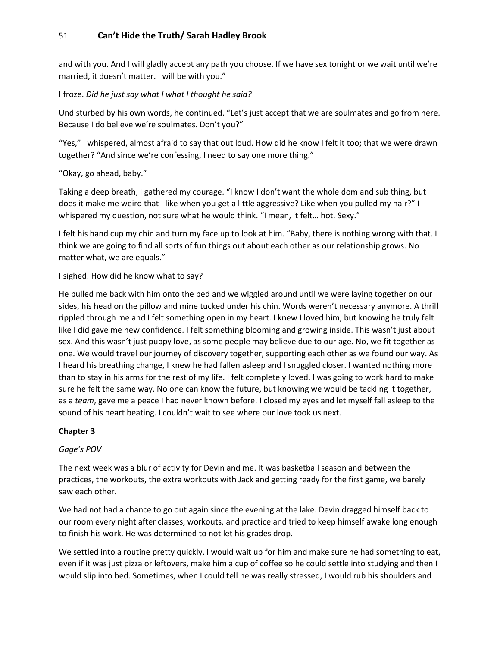and with you. And I will gladly accept any path you choose. If we have sex tonight or we wait until we're married, it doesn't matter. I will be with you."

I froze. *Did he just say what I what I thought he said?*

Undisturbed by his own words, he continued. "Let's just accept that we are soulmates and go from here. Because I do believe we're soulmates. Don't you?"

"Yes," I whispered, almost afraid to say that out loud. How did he know I felt it too; that we were drawn together? "And since we're confessing, I need to say one more thing."

### "Okay, go ahead, baby."

Taking a deep breath, I gathered my courage. "I know I don't want the whole dom and sub thing, but does it make me weird that I like when you get a little aggressive? Like when you pulled my hair?" I whispered my question, not sure what he would think. "I mean, it felt... hot. Sexy."

I felt his hand cup my chin and turn my face up to look at him. "Baby, there is nothing wrong with that. I think we are going to find all sorts of fun things out about each other as our relationship grows. No matter what, we are equals."

I sighed. How did he know what to say?

He pulled me back with him onto the bed and we wiggled around until we were laying together on our sides, his head on the pillow and mine tucked under his chin. Words weren't necessary anymore. A thrill rippled through me and I felt something open in my heart. I knew I loved him, but knowing he truly felt like I did gave me new confidence. I felt something blooming and growing inside. This wasn't just about sex. And this wasn't just puppy love, as some people may believe due to our age. No, we fit together as one. We would travel our journey of discovery together, supporting each other as we found our way. As I heard his breathing change, I knew he had fallen asleep and I snuggled closer. I wanted nothing more than to stay in his arms for the rest of my life. I felt completely loved. I was going to work hard to make sure he felt the same way. No one can know the future, but knowing we would be tackling it together, as a *team*, gave me a peace I had never known before. I closed my eyes and let myself fall asleep to the sound of his heart beating. I couldn't wait to see where our love took us next.

### **Chapter 3**

### *Gage's POV*

The next week was a blur of activity for Devin and me. It was basketball season and between the practices, the workouts, the extra workouts with Jack and getting ready for the first game, we barely saw each other.

We had not had a chance to go out again since the evening at the lake. Devin dragged himself back to our room every night after classes, workouts, and practice and tried to keep himself awake long enough to finish his work. He was determined to not let his grades drop.

We settled into a routine pretty quickly. I would wait up for him and make sure he had something to eat, even if it was just pizza or leftovers, make him a cup of coffee so he could settle into studying and then I would slip into bed. Sometimes, when I could tell he was really stressed, I would rub his shoulders and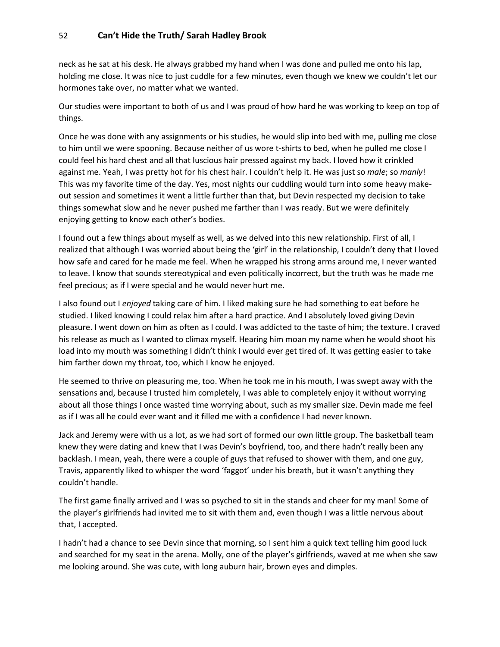neck as he sat at his desk. He always grabbed my hand when I was done and pulled me onto his lap, holding me close. It was nice to just cuddle for a few minutes, even though we knew we couldn't let our hormones take over, no matter what we wanted.

Our studies were important to both of us and I was proud of how hard he was working to keep on top of things.

Once he was done with any assignments or his studies, he would slip into bed with me, pulling me close to him until we were spooning. Because neither of us wore t-shirts to bed, when he pulled me close I could feel his hard chest and all that luscious hair pressed against my back. I loved how it crinkled against me. Yeah, I was pretty hot for his chest hair. I couldn't help it. He was just so *male*; so *manly*! This was my favorite time of the day. Yes, most nights our cuddling would turn into some heavy makeout session and sometimes it went a little further than that, but Devin respected my decision to take things somewhat slow and he never pushed me farther than I was ready. But we were definitely enjoying getting to know each other's bodies.

I found out a few things about myself as well, as we delved into this new relationship. First of all, I realized that although I was worried about being the 'girl' in the relationship, I couldn't deny that I loved how safe and cared for he made me feel. When he wrapped his strong arms around me, I never wanted to leave. I know that sounds stereotypical and even politically incorrect, but the truth was he made me feel precious; as if I were special and he would never hurt me.

I also found out I *enjoyed* taking care of him. I liked making sure he had something to eat before he studied. I liked knowing I could relax him after a hard practice. And I absolutely loved giving Devin pleasure. I went down on him as often as I could. I was addicted to the taste of him; the texture. I craved his release as much as I wanted to climax myself. Hearing him moan my name when he would shoot his load into my mouth was something I didn't think I would ever get tired of. It was getting easier to take him farther down my throat, too, which I know he enjoyed.

He seemed to thrive on pleasuring me, too. When he took me in his mouth, I was swept away with the sensations and, because I trusted him completely, I was able to completely enjoy it without worrying about all those things I once wasted time worrying about, such as my smaller size. Devin made me feel as if I was all he could ever want and it filled me with a confidence I had never known.

Jack and Jeremy were with us a lot, as we had sort of formed our own little group. The basketball team knew they were dating and knew that I was Devin's boyfriend, too, and there hadn't really been any backlash. I mean, yeah, there were a couple of guys that refused to shower with them, and one guy, Travis, apparently liked to whisper the word 'faggot' under his breath, but it wasn't anything they couldn't handle.

The first game finally arrived and I was so psyched to sit in the stands and cheer for my man! Some of the player's girlfriends had invited me to sit with them and, even though I was a little nervous about that, I accepted.

I hadn't had a chance to see Devin since that morning, so I sent him a quick text telling him good luck and searched for my seat in the arena. Molly, one of the player's girlfriends, waved at me when she saw me looking around. She was cute, with long auburn hair, brown eyes and dimples.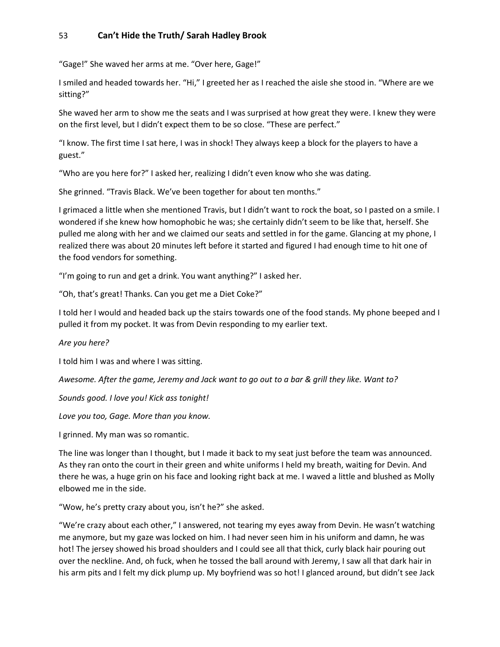"Gage!" She waved her arms at me. "Over here, Gage!"

I smiled and headed towards her. "Hi," I greeted her as I reached the aisle she stood in. "Where are we sitting?"

She waved her arm to show me the seats and I was surprised at how great they were. I knew they were on the first level, but I didn't expect them to be so close. "These are perfect."

"I know. The first time I sat here, I was in shock! They always keep a block for the players to have a guest."

"Who are you here for?" I asked her, realizing I didn't even know who she was dating.

She grinned. "Travis Black. We've been together for about ten months."

I grimaced a little when she mentioned Travis, but I didn't want to rock the boat, so I pasted on a smile. I wondered if she knew how homophobic he was; she certainly didn't seem to be like that, herself. She pulled me along with her and we claimed our seats and settled in for the game. Glancing at my phone, I realized there was about 20 minutes left before it started and figured I had enough time to hit one of the food vendors for something.

"I'm going to run and get a drink. You want anything?" I asked her.

"Oh, that's great! Thanks. Can you get me a Diet Coke?"

I told her I would and headed back up the stairs towards one of the food stands. My phone beeped and I pulled it from my pocket. It was from Devin responding to my earlier text.

*Are you here?*

I told him I was and where I was sitting.

*Awesome. After the game, Jeremy and Jack want to go out to a bar & grill they like. Want to?*

*Sounds good. I love you! Kick ass tonight!*

*Love you too, Gage. More than you know.* 

I grinned. My man was so romantic.

The line was longer than I thought, but I made it back to my seat just before the team was announced. As they ran onto the court in their green and white uniforms I held my breath, waiting for Devin. And there he was, a huge grin on his face and looking right back at me. I waved a little and blushed as Molly elbowed me in the side.

"Wow, he's pretty crazy about you, isn't he?" she asked.

"We're crazy about each other," I answered, not tearing my eyes away from Devin. He wasn't watching me anymore, but my gaze was locked on him. I had never seen him in his uniform and damn, he was hot! The jersey showed his broad shoulders and I could see all that thick, curly black hair pouring out over the neckline. And, oh fuck, when he tossed the ball around with Jeremy, I saw all that dark hair in his arm pits and I felt my dick plump up. My boyfriend was so hot! I glanced around, but didn't see Jack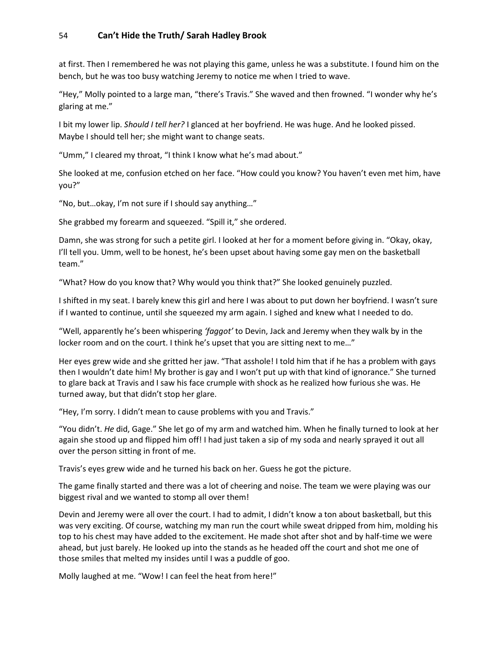at first. Then I remembered he was not playing this game, unless he was a substitute. I found him on the bench, but he was too busy watching Jeremy to notice me when I tried to wave.

"Hey," Molly pointed to a large man, "there's Travis." She waved and then frowned. "I wonder why he's glaring at me."

I bit my lower lip. *Should I tell her?* I glanced at her boyfriend. He was huge. And he looked pissed. Maybe I should tell her; she might want to change seats.

"Umm," I cleared my throat, "I think I know what he's mad about."

She looked at me, confusion etched on her face. "How could you know? You haven't even met him, have you?"

"No, but…okay, I'm not sure if I should say anything…"

She grabbed my forearm and squeezed. "Spill it," she ordered.

Damn, she was strong for such a petite girl. I looked at her for a moment before giving in. "Okay, okay, I'll tell you. Umm, well to be honest, he's been upset about having some gay men on the basketball team."

"What? How do you know that? Why would you think that?" She looked genuinely puzzled.

I shifted in my seat. I barely knew this girl and here I was about to put down her boyfriend. I wasn't sure if I wanted to continue, until she squeezed my arm again. I sighed and knew what I needed to do.

"Well, apparently he's been whispering *'faggot'* to Devin, Jack and Jeremy when they walk by in the locker room and on the court. I think he's upset that you are sitting next to me…"

Her eyes grew wide and she gritted her jaw. "That asshole! I told him that if he has a problem with gays then I wouldn't date him! My brother is gay and I won't put up with that kind of ignorance." She turned to glare back at Travis and I saw his face crumple with shock as he realized how furious she was. He turned away, but that didn't stop her glare.

"Hey, I'm sorry. I didn't mean to cause problems with you and Travis."

"You didn't. *He* did, Gage." She let go of my arm and watched him. When he finally turned to look at her again she stood up and flipped him off! I had just taken a sip of my soda and nearly sprayed it out all over the person sitting in front of me.

Travis's eyes grew wide and he turned his back on her. Guess he got the picture.

The game finally started and there was a lot of cheering and noise. The team we were playing was our biggest rival and we wanted to stomp all over them!

Devin and Jeremy were all over the court. I had to admit, I didn't know a ton about basketball, but this was very exciting. Of course, watching my man run the court while sweat dripped from him, molding his top to his chest may have added to the excitement. He made shot after shot and by half-time we were ahead, but just barely. He looked up into the stands as he headed off the court and shot me one of those smiles that melted my insides until I was a puddle of goo.

Molly laughed at me. "Wow! I can feel the heat from here!"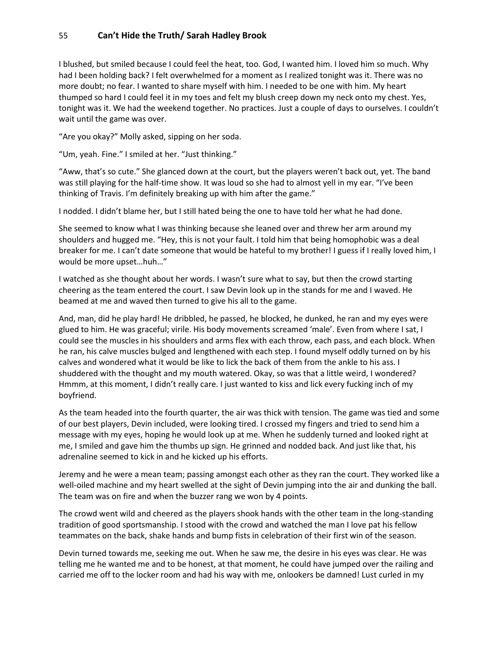I blushed, but smiled because I could feel the heat, too. God, I wanted him. I loved him so much. Why had I been holding back? I felt overwhelmed for a moment as I realized tonight was it. There was no more doubt; no fear. I wanted to share myself with him. I needed to be one with him. My heart thumped so hard I could feel it in my toes and felt my blush creep down my neck onto my chest. Yes, tonight was it. We had the weekend together. No practices. Just a couple of days to ourselves. I couldn't wait until the game was over.

"Are you okay?" Molly asked, sipping on her soda.

"Um, yeah. Fine." I smiled at her. "Just thinking."

"Aww, that's so cute." She glanced down at the court, but the players weren't back out, yet. The band was still playing for the half-time show. It was loud so she had to almost yell in my ear. "I've been thinking of Travis. I'm definitely breaking up with him after the game."

I nodded. I didn't blame her, but I still hated being the one to have told her what he had done.

She seemed to know what I was thinking because she leaned over and threw her arm around my shoulders and hugged me. "Hey, this is not your fault. I told him that being homophobic was a deal breaker for me. I can't date someone that would be hateful to my brother! I guess if I really loved him, I would be more upset…huh…"

I watched as she thought about her words. I wasn't sure what to say, but then the crowd starting cheering as the team entered the court. I saw Devin look up in the stands for me and I waved. He beamed at me and waved then turned to give his all to the game.

And, man, did he play hard! He dribbled, he passed, he blocked, he dunked, he ran and my eyes were glued to him. He was graceful; virile. His body movements screamed 'male'. Even from where I sat, I could see the muscles in his shoulders and arms flex with each throw, each pass, and each block. When he ran, his calve muscles bulged and lengthened with each step. I found myself oddly turned on by his calves and wondered what it would be like to lick the back of them from the ankle to his ass. I shuddered with the thought and my mouth watered. Okay, so was that a little weird, I wondered? Hmmm, at this moment, I didn't really care. I just wanted to kiss and lick every fucking inch of my boyfriend.

As the team headed into the fourth quarter, the air was thick with tension. The game was tied and some of our best players, Devin included, were looking tired. I crossed my fingers and tried to send him a message with my eyes, hoping he would look up at me. When he suddenly turned and looked right at me, I smiled and gave him the thumbs up sign. He grinned and nodded back. And just like that, his adrenaline seemed to kick in and he kicked up his efforts.

Jeremy and he were a mean team; passing amongst each other as they ran the court. They worked like a well-oiled machine and my heart swelled at the sight of Devin jumping into the air and dunking the ball. The team was on fire and when the buzzer rang we won by 4 points.

The crowd went wild and cheered as the players shook hands with the other team in the long-standing tradition of good sportsmanship. I stood with the crowd and watched the man I love pat his fellow teammates on the back, shake hands and bump fists in celebration of their first win of the season.

Devin turned towards me, seeking me out. When he saw me, the desire in his eyes was clear. He was telling me he wanted me and to be honest, at that moment, he could have jumped over the railing and carried me off to the locker room and had his way with me, onlookers be damned! Lust curled in my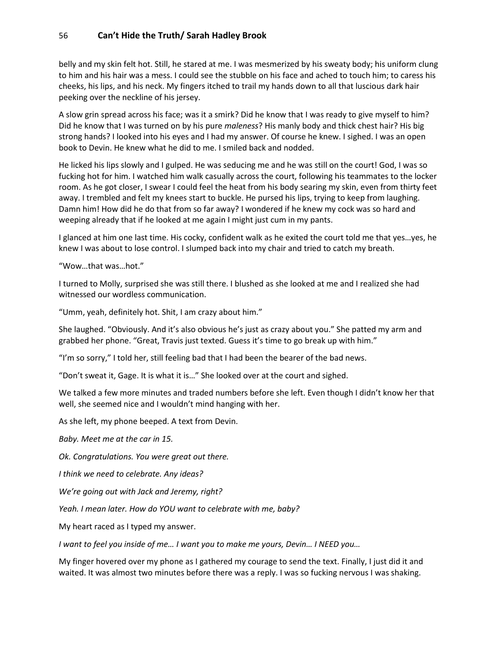belly and my skin felt hot. Still, he stared at me. I was mesmerized by his sweaty body; his uniform clung to him and his hair was a mess. I could see the stubble on his face and ached to touch him; to caress his cheeks, his lips, and his neck. My fingers itched to trail my hands down to all that luscious dark hair peeking over the neckline of his jersey.

A slow grin spread across his face; was it a smirk? Did he know that I was ready to give myself to him? Did he know that I was turned on by his pure *maleness*? His manly body and thick chest hair? His big strong hands? I looked into his eyes and I had my answer. Of course he knew. I sighed. I was an open book to Devin. He knew what he did to me. I smiled back and nodded.

He licked his lips slowly and I gulped. He was seducing me and he was still on the court! God, I was so fucking hot for him. I watched him walk casually across the court, following his teammates to the locker room. As he got closer, I swear I could feel the heat from his body searing my skin, even from thirty feet away. I trembled and felt my knees start to buckle. He pursed his lips, trying to keep from laughing. Damn him! How did he do that from so far away? I wondered if he knew my cock was so hard and weeping already that if he looked at me again I might just cum in my pants.

I glanced at him one last time. His cocky, confident walk as he exited the court told me that yes…yes, he knew I was about to lose control. I slumped back into my chair and tried to catch my breath.

"Wow…that was…hot."

I turned to Molly, surprised she was still there. I blushed as she looked at me and I realized she had witnessed our wordless communication.

"Umm, yeah, definitely hot. Shit, I am crazy about him."

She laughed. "Obviously. And it's also obvious he's just as crazy about you." She patted my arm and grabbed her phone. "Great, Travis just texted. Guess it's time to go break up with him."

"I'm so sorry," I told her, still feeling bad that I had been the bearer of the bad news.

"Don't sweat it, Gage. It is what it is…" She looked over at the court and sighed.

We talked a few more minutes and traded numbers before she left. Even though I didn't know her that well, she seemed nice and I wouldn't mind hanging with her.

As she left, my phone beeped. A text from Devin.

*Baby. Meet me at the car in 15.* 

*Ok. Congratulations. You were great out there.* 

*I think we need to celebrate. Any ideas?*

*We're going out with Jack and Jeremy, right?*

*Yeah. I mean later. How do YOU want to celebrate with me, baby?*

My heart raced as I typed my answer.

*I want to feel you inside of me… I want you to make me yours, Devin… I NEED you…*

My finger hovered over my phone as I gathered my courage to send the text. Finally, I just did it and waited. It was almost two minutes before there was a reply. I was so fucking nervous I was shaking.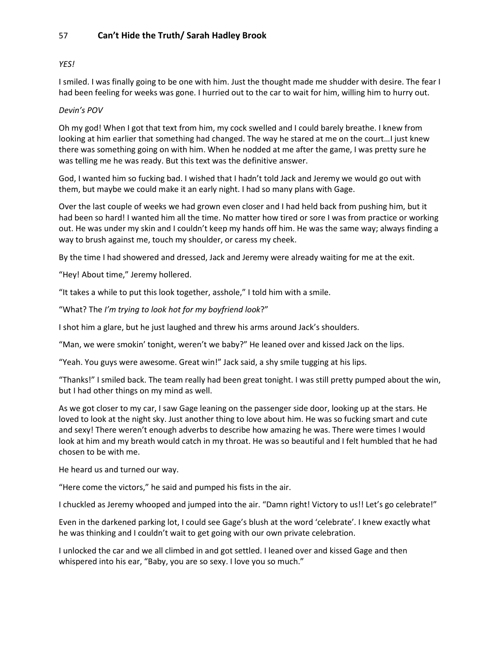### *YES!*

I smiled. I was finally going to be one with him. Just the thought made me shudder with desire. The fear I had been feeling for weeks was gone. I hurried out to the car to wait for him, willing him to hurry out.

### *Devin's POV*

Oh my god! When I got that text from him, my cock swelled and I could barely breathe. I knew from looking at him earlier that something had changed. The way he stared at me on the court...I just knew there was something going on with him. When he nodded at me after the game, I was pretty sure he was telling me he was ready. But this text was the definitive answer.

God, I wanted him so fucking bad. I wished that I hadn't told Jack and Jeremy we would go out with them, but maybe we could make it an early night. I had so many plans with Gage.

Over the last couple of weeks we had grown even closer and I had held back from pushing him, but it had been so hard! I wanted him all the time. No matter how tired or sore I was from practice or working out. He was under my skin and I couldn't keep my hands off him. He was the same way; always finding a way to brush against me, touch my shoulder, or caress my cheek.

By the time I had showered and dressed, Jack and Jeremy were already waiting for me at the exit.

"Hey! About time," Jeremy hollered.

"It takes a while to put this look together, asshole," I told him with a smile.

"What? The *I'm trying to look hot for my boyfriend look*?"

I shot him a glare, but he just laughed and threw his arms around Jack's shoulders.

"Man, we were smokin' tonight, weren't we baby?" He leaned over and kissed Jack on the lips.

"Yeah. You guys were awesome. Great win!" Jack said, a shy smile tugging at his lips.

"Thanks!" I smiled back. The team really had been great tonight. I was still pretty pumped about the win, but I had other things on my mind as well.

As we got closer to my car, I saw Gage leaning on the passenger side door, looking up at the stars. He loved to look at the night sky. Just another thing to love about him. He was so fucking smart and cute and sexy! There weren't enough adverbs to describe how amazing he was. There were times I would look at him and my breath would catch in my throat. He was so beautiful and I felt humbled that he had chosen to be with me.

He heard us and turned our way.

"Here come the victors," he said and pumped his fists in the air.

I chuckled as Jeremy whooped and jumped into the air. "Damn right! Victory to us!! Let's go celebrate!"

Even in the darkened parking lot, I could see Gage's blush at the word 'celebrate'. I knew exactly what he was thinking and I couldn't wait to get going with our own private celebration.

I unlocked the car and we all climbed in and got settled. I leaned over and kissed Gage and then whispered into his ear, "Baby, you are so sexy. I love you so much."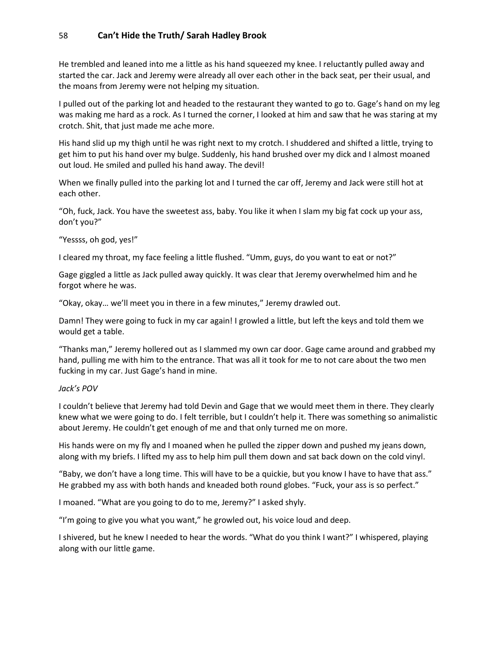He trembled and leaned into me a little as his hand squeezed my knee. I reluctantly pulled away and started the car. Jack and Jeremy were already all over each other in the back seat, per their usual, and the moans from Jeremy were not helping my situation.

I pulled out of the parking lot and headed to the restaurant they wanted to go to. Gage's hand on my leg was making me hard as a rock. As I turned the corner, I looked at him and saw that he was staring at my crotch. Shit, that just made me ache more.

His hand slid up my thigh until he was right next to my crotch. I shuddered and shifted a little, trying to get him to put his hand over my bulge. Suddenly, his hand brushed over my dick and I almost moaned out loud. He smiled and pulled his hand away. The devil!

When we finally pulled into the parking lot and I turned the car off, Jeremy and Jack were still hot at each other.

"Oh, fuck, Jack. You have the sweetest ass, baby. You like it when I slam my big fat cock up your ass, don't you?"

"Yessss, oh god, yes!"

I cleared my throat, my face feeling a little flushed. "Umm, guys, do you want to eat or not?"

Gage giggled a little as Jack pulled away quickly. It was clear that Jeremy overwhelmed him and he forgot where he was.

"Okay, okay… we'll meet you in there in a few minutes," Jeremy drawled out.

Damn! They were going to fuck in my car again! I growled a little, but left the keys and told them we would get a table.

"Thanks man," Jeremy hollered out as I slammed my own car door. Gage came around and grabbed my hand, pulling me with him to the entrance. That was all it took for me to not care about the two men fucking in my car. Just Gage's hand in mine.

#### *Jack's POV*

I couldn't believe that Jeremy had told Devin and Gage that we would meet them in there. They clearly knew what we were going to do. I felt terrible, but I couldn't help it. There was something so animalistic about Jeremy. He couldn't get enough of me and that only turned me on more.

His hands were on my fly and I moaned when he pulled the zipper down and pushed my jeans down, along with my briefs. I lifted my ass to help him pull them down and sat back down on the cold vinyl.

"Baby, we don't have a long time. This will have to be a quickie, but you know I have to have that ass." He grabbed my ass with both hands and kneaded both round globes. "Fuck, your ass is so perfect."

I moaned. "What are you going to do to me, Jeremy?" I asked shyly.

"I'm going to give you what you want," he growled out, his voice loud and deep.

I shivered, but he knew I needed to hear the words. "What do you think I want?" I whispered, playing along with our little game.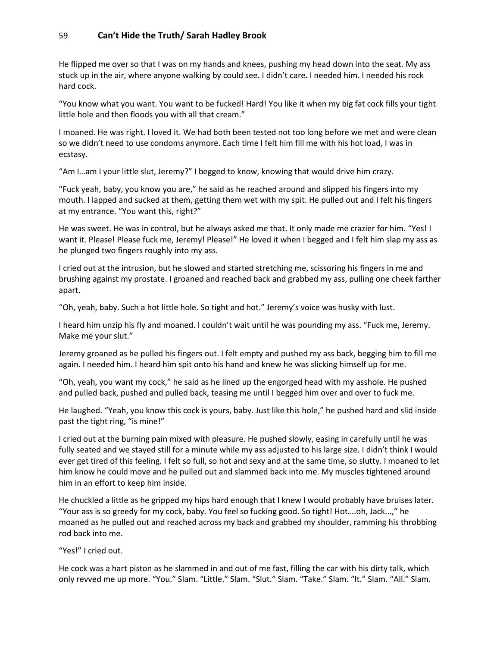He flipped me over so that I was on my hands and knees, pushing my head down into the seat. My ass stuck up in the air, where anyone walking by could see. I didn't care. I needed him. I needed his rock hard cock.

"You know what you want. You want to be fucked! Hard! You like it when my big fat cock fills your tight little hole and then floods you with all that cream."

I moaned. He was right. I loved it. We had both been tested not too long before we met and were clean so we didn't need to use condoms anymore. Each time I felt him fill me with his hot load, I was in ecstasy.

"Am I…am I your little slut, Jeremy?" I begged to know, knowing that would drive him crazy.

"Fuck yeah, baby, you know you are," he said as he reached around and slipped his fingers into my mouth. I lapped and sucked at them, getting them wet with my spit. He pulled out and I felt his fingers at my entrance. "You want this, right?"

He was sweet. He was in control, but he always asked me that. It only made me crazier for him. "Yes! I want it. Please! Please fuck me, Jeremy! Please!" He loved it when I begged and I felt him slap my ass as he plunged two fingers roughly into my ass.

I cried out at the intrusion, but he slowed and started stretching me, scissoring his fingers in me and brushing against my prostate. I groaned and reached back and grabbed my ass, pulling one cheek farther apart.

"Oh, yeah, baby. Such a hot little hole. So tight and hot." Jeremy's voice was husky with lust.

I heard him unzip his fly and moaned. I couldn't wait until he was pounding my ass. "Fuck me, Jeremy. Make me your slut."

Jeremy groaned as he pulled his fingers out. I felt empty and pushed my ass back, begging him to fill me again. I needed him. I heard him spit onto his hand and knew he was slicking himself up for me.

"Oh, yeah, you want my cock," he said as he lined up the engorged head with my asshole. He pushed and pulled back, pushed and pulled back, teasing me until I begged him over and over to fuck me.

He laughed. "Yeah, you know this cock is yours, baby. Just like this hole," he pushed hard and slid inside past the tight ring, "is mine!"

I cried out at the burning pain mixed with pleasure. He pushed slowly, easing in carefully until he was fully seated and we stayed still for a minute while my ass adjusted to his large size. I didn't think I would ever get tired of this feeling. I felt so full, so hot and sexy and at the same time, so slutty. I moaned to let him know he could move and he pulled out and slammed back into me. My muscles tightened around him in an effort to keep him inside.

He chuckled a little as he gripped my hips hard enough that I knew I would probably have bruises later. "Your ass is so greedy for my cock, baby. You feel so fucking good. So tight! Hot….oh, Jack...," he moaned as he pulled out and reached across my back and grabbed my shoulder, ramming his throbbing rod back into me.

"Yes!" I cried out.

He cock was a hart piston as he slammed in and out of me fast, filling the car with his dirty talk, which only revved me up more. "You." Slam. "Little." Slam. "Slut." Slam. "Take." Slam. "It." Slam. "All." Slam.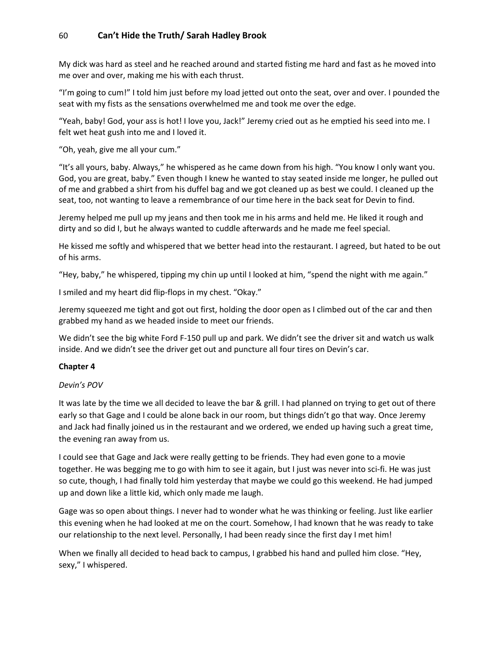My dick was hard as steel and he reached around and started fisting me hard and fast as he moved into me over and over, making me his with each thrust.

"I'm going to cum!" I told him just before my load jetted out onto the seat, over and over. I pounded the seat with my fists as the sensations overwhelmed me and took me over the edge.

"Yeah, baby! God, your ass is hot! I love you, Jack!" Jeremy cried out as he emptied his seed into me. I felt wet heat gush into me and I loved it.

"Oh, yeah, give me all your cum."

"It's all yours, baby. Always," he whispered as he came down from his high. "You know I only want you. God, you are great, baby." Even though I knew he wanted to stay seated inside me longer, he pulled out of me and grabbed a shirt from his duffel bag and we got cleaned up as best we could. I cleaned up the seat, too, not wanting to leave a remembrance of our time here in the back seat for Devin to find.

Jeremy helped me pull up my jeans and then took me in his arms and held me. He liked it rough and dirty and so did I, but he always wanted to cuddle afterwards and he made me feel special.

He kissed me softly and whispered that we better head into the restaurant. I agreed, but hated to be out of his arms.

"Hey, baby," he whispered, tipping my chin up until I looked at him, "spend the night with me again."

I smiled and my heart did flip-flops in my chest. "Okay."

Jeremy squeezed me tight and got out first, holding the door open as I climbed out of the car and then grabbed my hand as we headed inside to meet our friends.

We didn't see the big white Ford F-150 pull up and park. We didn't see the driver sit and watch us walk inside. And we didn't see the driver get out and puncture all four tires on Devin's car.

#### **Chapter 4**

#### *Devin's POV*

It was late by the time we all decided to leave the bar & grill. I had planned on trying to get out of there early so that Gage and I could be alone back in our room, but things didn't go that way. Once Jeremy and Jack had finally joined us in the restaurant and we ordered, we ended up having such a great time, the evening ran away from us.

I could see that Gage and Jack were really getting to be friends. They had even gone to a movie together. He was begging me to go with him to see it again, but I just was never into sci-fi. He was just so cute, though, I had finally told him yesterday that maybe we could go this weekend. He had jumped up and down like a little kid, which only made me laugh.

Gage was so open about things. I never had to wonder what he was thinking or feeling. Just like earlier this evening when he had looked at me on the court. Somehow, l had known that he was ready to take our relationship to the next level. Personally, I had been ready since the first day I met him!

When we finally all decided to head back to campus, I grabbed his hand and pulled him close. "Hey, sexy," I whispered.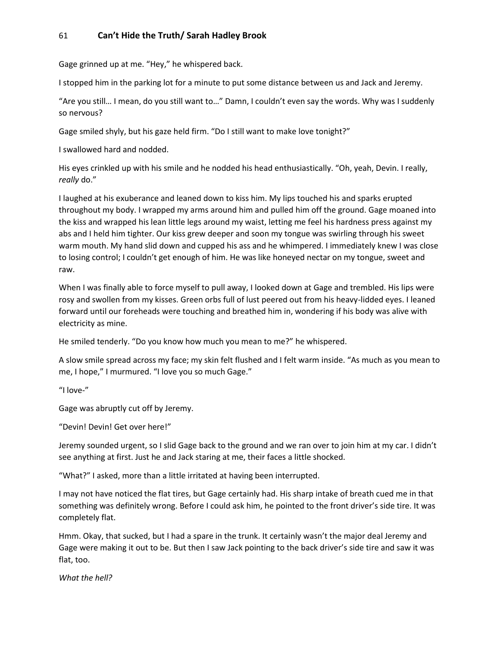Gage grinned up at me. "Hey," he whispered back.

I stopped him in the parking lot for a minute to put some distance between us and Jack and Jeremy.

"Are you still… I mean, do you still want to…" Damn, I couldn't even say the words. Why was I suddenly so nervous?

Gage smiled shyly, but his gaze held firm. "Do I still want to make love tonight?"

I swallowed hard and nodded.

His eyes crinkled up with his smile and he nodded his head enthusiastically. "Oh, yeah, Devin. I really, *really* do."

I laughed at his exuberance and leaned down to kiss him. My lips touched his and sparks erupted throughout my body. I wrapped my arms around him and pulled him off the ground. Gage moaned into the kiss and wrapped his lean little legs around my waist, letting me feel his hardness press against my abs and I held him tighter. Our kiss grew deeper and soon my tongue was swirling through his sweet warm mouth. My hand slid down and cupped his ass and he whimpered. I immediately knew I was close to losing control; I couldn't get enough of him. He was like honeyed nectar on my tongue, sweet and raw.

When I was finally able to force myself to pull away, I looked down at Gage and trembled. His lips were rosy and swollen from my kisses. Green orbs full of lust peered out from his heavy-lidded eyes. I leaned forward until our foreheads were touching and breathed him in, wondering if his body was alive with electricity as mine.

He smiled tenderly. "Do you know how much you mean to me?" he whispered.

A slow smile spread across my face; my skin felt flushed and I felt warm inside. "As much as you mean to me, I hope," I murmured. "I love you so much Gage."

"I love-"

Gage was abruptly cut off by Jeremy.

"Devin! Devin! Get over here!"

Jeremy sounded urgent, so I slid Gage back to the ground and we ran over to join him at my car. I didn't see anything at first. Just he and Jack staring at me, their faces a little shocked.

"What?" I asked, more than a little irritated at having been interrupted.

I may not have noticed the flat tires, but Gage certainly had. His sharp intake of breath cued me in that something was definitely wrong. Before I could ask him, he pointed to the front driver's side tire. It was completely flat.

Hmm. Okay, that sucked, but I had a spare in the trunk. It certainly wasn't the major deal Jeremy and Gage were making it out to be. But then I saw Jack pointing to the back driver's side tire and saw it was flat, too.

*What the hell?*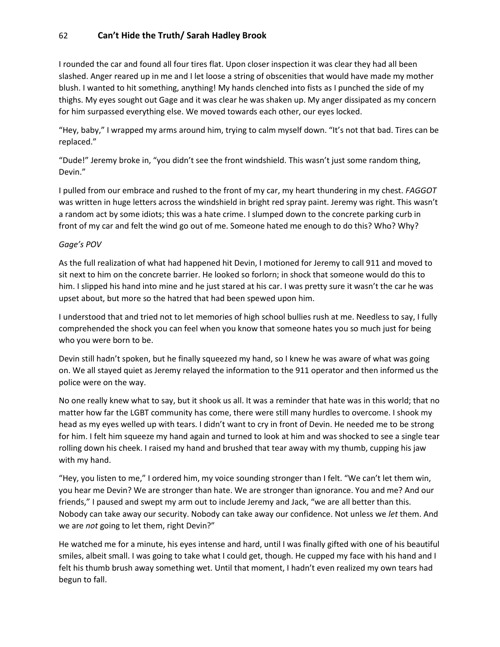I rounded the car and found all four tires flat. Upon closer inspection it was clear they had all been slashed. Anger reared up in me and I let loose a string of obscenities that would have made my mother blush. I wanted to hit something, anything! My hands clenched into fists as I punched the side of my thighs. My eyes sought out Gage and it was clear he was shaken up. My anger dissipated as my concern for him surpassed everything else. We moved towards each other, our eyes locked.

"Hey, baby," I wrapped my arms around him, trying to calm myself down. "It's not that bad. Tires can be replaced."

"Dude!" Jeremy broke in, "you didn't see the front windshield. This wasn't just some random thing, Devin."

I pulled from our embrace and rushed to the front of my car, my heart thundering in my chest. *FAGGOT* was written in huge letters across the windshield in bright red spray paint. Jeremy was right. This wasn't a random act by some idiots; this was a hate crime. I slumped down to the concrete parking curb in front of my car and felt the wind go out of me. Someone hated me enough to do this? Who? Why?

#### *Gage's POV*

As the full realization of what had happened hit Devin, I motioned for Jeremy to call 911 and moved to sit next to him on the concrete barrier. He looked so forlorn; in shock that someone would do this to him. I slipped his hand into mine and he just stared at his car. I was pretty sure it wasn't the car he was upset about, but more so the hatred that had been spewed upon him.

I understood that and tried not to let memories of high school bullies rush at me. Needless to say, I fully comprehended the shock you can feel when you know that someone hates you so much just for being who you were born to be.

Devin still hadn't spoken, but he finally squeezed my hand, so I knew he was aware of what was going on. We all stayed quiet as Jeremy relayed the information to the 911 operator and then informed us the police were on the way.

No one really knew what to say, but it shook us all. It was a reminder that hate was in this world; that no matter how far the LGBT community has come, there were still many hurdles to overcome. I shook my head as my eyes welled up with tears. I didn't want to cry in front of Devin. He needed me to be strong for him. I felt him squeeze my hand again and turned to look at him and was shocked to see a single tear rolling down his cheek. I raised my hand and brushed that tear away with my thumb, cupping his jaw with my hand.

"Hey, you listen to me," I ordered him, my voice sounding stronger than I felt. "We can't let them win, you hear me Devin? We are stronger than hate. We are stronger than ignorance. You and me? And our friends," I paused and swept my arm out to include Jeremy and Jack, "we are all better than this. Nobody can take away our security. Nobody can take away our confidence. Not unless we *let* them. And we are *not* going to let them, right Devin?"

He watched me for a minute, his eyes intense and hard, until I was finally gifted with one of his beautiful smiles, albeit small. I was going to take what I could get, though. He cupped my face with his hand and I felt his thumb brush away something wet. Until that moment, I hadn't even realized my own tears had begun to fall.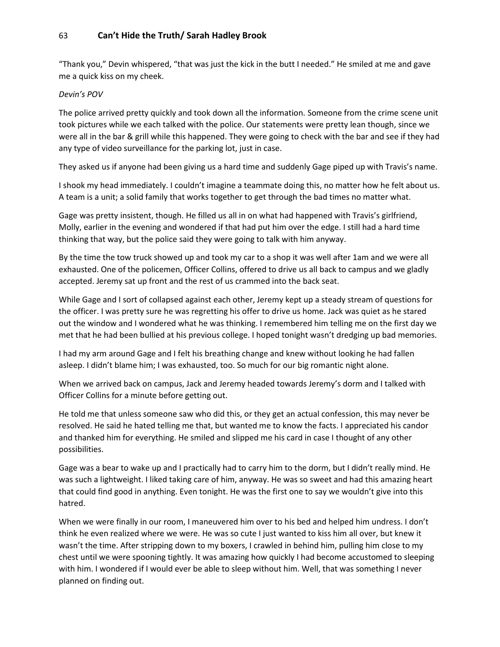"Thank you," Devin whispered, "that was just the kick in the butt I needed." He smiled at me and gave me a quick kiss on my cheek.

#### *Devin's POV*

The police arrived pretty quickly and took down all the information. Someone from the crime scene unit took pictures while we each talked with the police. Our statements were pretty lean though, since we were all in the bar & grill while this happened. They were going to check with the bar and see if they had any type of video surveillance for the parking lot, just in case.

They asked us if anyone had been giving us a hard time and suddenly Gage piped up with Travis's name.

I shook my head immediately. I couldn't imagine a teammate doing this, no matter how he felt about us. A team is a unit; a solid family that works together to get through the bad times no matter what.

Gage was pretty insistent, though. He filled us all in on what had happened with Travis's girlfriend, Molly, earlier in the evening and wondered if that had put him over the edge. I still had a hard time thinking that way, but the police said they were going to talk with him anyway.

By the time the tow truck showed up and took my car to a shop it was well after 1am and we were all exhausted. One of the policemen, Officer Collins, offered to drive us all back to campus and we gladly accepted. Jeremy sat up front and the rest of us crammed into the back seat.

While Gage and I sort of collapsed against each other, Jeremy kept up a steady stream of questions for the officer. I was pretty sure he was regretting his offer to drive us home. Jack was quiet as he stared out the window and I wondered what he was thinking. I remembered him telling me on the first day we met that he had been bullied at his previous college. I hoped tonight wasn't dredging up bad memories.

I had my arm around Gage and I felt his breathing change and knew without looking he had fallen asleep. I didn't blame him; I was exhausted, too. So much for our big romantic night alone.

When we arrived back on campus, Jack and Jeremy headed towards Jeremy's dorm and I talked with Officer Collins for a minute before getting out.

He told me that unless someone saw who did this, or they get an actual confession, this may never be resolved. He said he hated telling me that, but wanted me to know the facts. I appreciated his candor and thanked him for everything. He smiled and slipped me his card in case I thought of any other possibilities.

Gage was a bear to wake up and I practically had to carry him to the dorm, but I didn't really mind. He was such a lightweight. I liked taking care of him, anyway. He was so sweet and had this amazing heart that could find good in anything. Even tonight. He was the first one to say we wouldn't give into this hatred.

When we were finally in our room, I maneuvered him over to his bed and helped him undress. I don't think he even realized where we were. He was so cute I just wanted to kiss him all over, but knew it wasn't the time. After stripping down to my boxers, I crawled in behind him, pulling him close to my chest until we were spooning tightly. It was amazing how quickly I had become accustomed to sleeping with him. I wondered if I would ever be able to sleep without him. Well, that was something I never planned on finding out.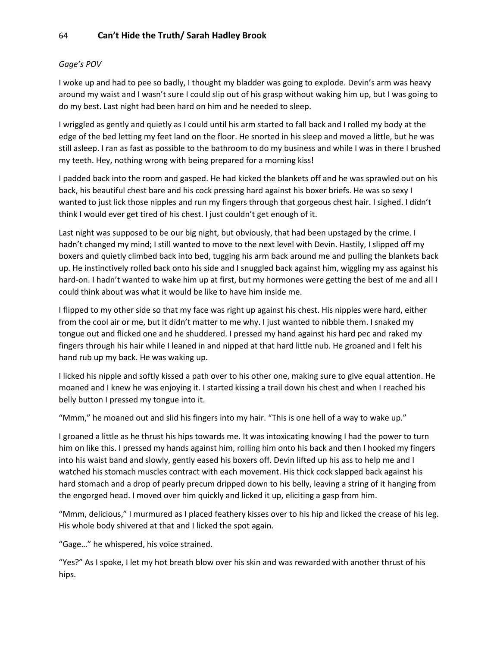### *Gage's POV*

I woke up and had to pee so badly, I thought my bladder was going to explode. Devin's arm was heavy around my waist and I wasn't sure I could slip out of his grasp without waking him up, but I was going to do my best. Last night had been hard on him and he needed to sleep.

I wriggled as gently and quietly as I could until his arm started to fall back and I rolled my body at the edge of the bed letting my feet land on the floor. He snorted in his sleep and moved a little, but he was still asleep. I ran as fast as possible to the bathroom to do my business and while I was in there I brushed my teeth. Hey, nothing wrong with being prepared for a morning kiss!

I padded back into the room and gasped. He had kicked the blankets off and he was sprawled out on his back, his beautiful chest bare and his cock pressing hard against his boxer briefs. He was so sexy I wanted to just lick those nipples and run my fingers through that gorgeous chest hair. I sighed. I didn't think I would ever get tired of his chest. I just couldn't get enough of it.

Last night was supposed to be our big night, but obviously, that had been upstaged by the crime. I hadn't changed my mind; I still wanted to move to the next level with Devin. Hastily, I slipped off my boxers and quietly climbed back into bed, tugging his arm back around me and pulling the blankets back up. He instinctively rolled back onto his side and I snuggled back against him, wiggling my ass against his hard-on. I hadn't wanted to wake him up at first, but my hormones were getting the best of me and all I could think about was what it would be like to have him inside me.

I flipped to my other side so that my face was right up against his chest. His nipples were hard, either from the cool air or me, but it didn't matter to me why. I just wanted to nibble them. I snaked my tongue out and flicked one and he shuddered. I pressed my hand against his hard pec and raked my fingers through his hair while I leaned in and nipped at that hard little nub. He groaned and I felt his hand rub up my back. He was waking up.

I licked his nipple and softly kissed a path over to his other one, making sure to give equal attention. He moaned and I knew he was enjoying it. I started kissing a trail down his chest and when I reached his belly button I pressed my tongue into it.

"Mmm," he moaned out and slid his fingers into my hair. "This is one hell of a way to wake up."

I groaned a little as he thrust his hips towards me. It was intoxicating knowing I had the power to turn him on like this. I pressed my hands against him, rolling him onto his back and then I hooked my fingers into his waist band and slowly, gently eased his boxers off. Devin lifted up his ass to help me and I watched his stomach muscles contract with each movement. His thick cock slapped back against his hard stomach and a drop of pearly precum dripped down to his belly, leaving a string of it hanging from the engorged head. I moved over him quickly and licked it up, eliciting a gasp from him.

"Mmm, delicious," I murmured as I placed feathery kisses over to his hip and licked the crease of his leg. His whole body shivered at that and I licked the spot again.

"Gage…" he whispered, his voice strained.

"Yes?" As I spoke, I let my hot breath blow over his skin and was rewarded with another thrust of his hips.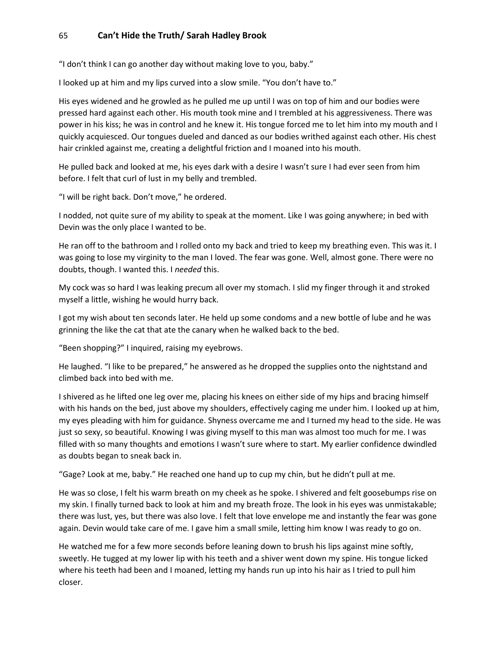"I don't think I can go another day without making love to you, baby."

I looked up at him and my lips curved into a slow smile. "You don't have to."

His eyes widened and he growled as he pulled me up until I was on top of him and our bodies were pressed hard against each other. His mouth took mine and I trembled at his aggressiveness. There was power in his kiss; he was in control and he knew it. His tongue forced me to let him into my mouth and I quickly acquiesced. Our tongues dueled and danced as our bodies writhed against each other. His chest hair crinkled against me, creating a delightful friction and I moaned into his mouth.

He pulled back and looked at me, his eyes dark with a desire I wasn't sure I had ever seen from him before. I felt that curl of lust in my belly and trembled.

"I will be right back. Don't move," he ordered.

I nodded, not quite sure of my ability to speak at the moment. Like I was going anywhere; in bed with Devin was the only place I wanted to be.

He ran off to the bathroom and I rolled onto my back and tried to keep my breathing even. This was it. I was going to lose my virginity to the man I loved. The fear was gone. Well, almost gone. There were no doubts, though. I wanted this. I *needed* this.

My cock was so hard I was leaking precum all over my stomach. I slid my finger through it and stroked myself a little, wishing he would hurry back.

I got my wish about ten seconds later. He held up some condoms and a new bottle of lube and he was grinning the like the cat that ate the canary when he walked back to the bed.

"Been shopping?" I inquired, raising my eyebrows.

He laughed. "I like to be prepared," he answered as he dropped the supplies onto the nightstand and climbed back into bed with me.

I shivered as he lifted one leg over me, placing his knees on either side of my hips and bracing himself with his hands on the bed, just above my shoulders, effectively caging me under him. I looked up at him, my eyes pleading with him for guidance. Shyness overcame me and I turned my head to the side. He was just so sexy, so beautiful. Knowing I was giving myself to this man was almost too much for me. I was filled with so many thoughts and emotions I wasn't sure where to start. My earlier confidence dwindled as doubts began to sneak back in.

"Gage? Look at me, baby." He reached one hand up to cup my chin, but he didn't pull at me.

He was so close, I felt his warm breath on my cheek as he spoke. I shivered and felt goosebumps rise on my skin. I finally turned back to look at him and my breath froze. The look in his eyes was unmistakable; there was lust, yes, but there was also love. I felt that love envelope me and instantly the fear was gone again. Devin would take care of me. I gave him a small smile, letting him know I was ready to go on.

He watched me for a few more seconds before leaning down to brush his lips against mine softly, sweetly. He tugged at my lower lip with his teeth and a shiver went down my spine. His tongue licked where his teeth had been and I moaned, letting my hands run up into his hair as I tried to pull him closer.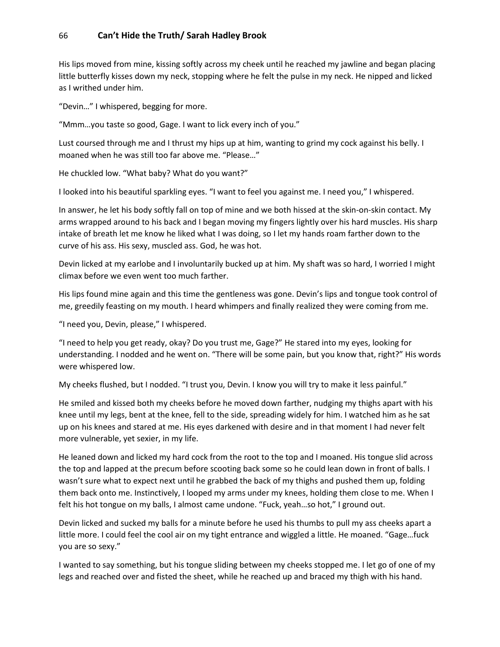His lips moved from mine, kissing softly across my cheek until he reached my jawline and began placing little butterfly kisses down my neck, stopping where he felt the pulse in my neck. He nipped and licked as I writhed under him.

"Devin…" I whispered, begging for more.

"Mmm…you taste so good, Gage. I want to lick every inch of you."

Lust coursed through me and I thrust my hips up at him, wanting to grind my cock against his belly. I moaned when he was still too far above me. "Please…"

He chuckled low. "What baby? What do you want?"

I looked into his beautiful sparkling eyes. "I want to feel you against me. I need you," I whispered.

In answer, he let his body softly fall on top of mine and we both hissed at the skin-on-skin contact. My arms wrapped around to his back and I began moving my fingers lightly over his hard muscles. His sharp intake of breath let me know he liked what I was doing, so I let my hands roam farther down to the curve of his ass. His sexy, muscled ass. God, he was hot.

Devin licked at my earlobe and I involuntarily bucked up at him. My shaft was so hard, I worried I might climax before we even went too much farther.

His lips found mine again and this time the gentleness was gone. Devin's lips and tongue took control of me, greedily feasting on my mouth. I heard whimpers and finally realized they were coming from me.

"I need you, Devin, please," I whispered.

"I need to help you get ready, okay? Do you trust me, Gage?" He stared into my eyes, looking for understanding. I nodded and he went on. "There will be some pain, but you know that, right?" His words were whispered low.

My cheeks flushed, but I nodded. "I trust you, Devin. I know you will try to make it less painful."

He smiled and kissed both my cheeks before he moved down farther, nudging my thighs apart with his knee until my legs, bent at the knee, fell to the side, spreading widely for him. I watched him as he sat up on his knees and stared at me. His eyes darkened with desire and in that moment I had never felt more vulnerable, yet sexier, in my life.

He leaned down and licked my hard cock from the root to the top and I moaned. His tongue slid across the top and lapped at the precum before scooting back some so he could lean down in front of balls. I wasn't sure what to expect next until he grabbed the back of my thighs and pushed them up, folding them back onto me. Instinctively, I looped my arms under my knees, holding them close to me. When I felt his hot tongue on my balls, I almost came undone. "Fuck, yeah…so hot," I ground out.

Devin licked and sucked my balls for a minute before he used his thumbs to pull my ass cheeks apart a little more. I could feel the cool air on my tight entrance and wiggled a little. He moaned. "Gage…fuck you are so sexy."

I wanted to say something, but his tongue sliding between my cheeks stopped me. I let go of one of my legs and reached over and fisted the sheet, while he reached up and braced my thigh with his hand.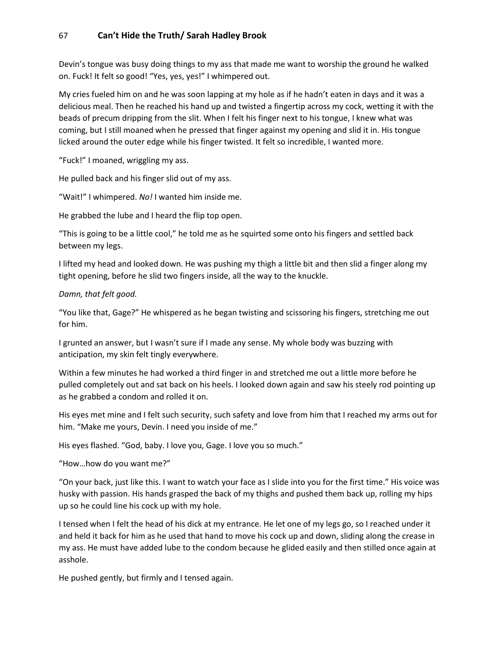Devin's tongue was busy doing things to my ass that made me want to worship the ground he walked on. Fuck! It felt so good! "Yes, yes, yes!" I whimpered out.

My cries fueled him on and he was soon lapping at my hole as if he hadn't eaten in days and it was a delicious meal. Then he reached his hand up and twisted a fingertip across my cock, wetting it with the beads of precum dripping from the slit. When I felt his finger next to his tongue, I knew what was coming, but I still moaned when he pressed that finger against my opening and slid it in. His tongue licked around the outer edge while his finger twisted. It felt so incredible, I wanted more.

"Fuck!" I moaned, wriggling my ass.

He pulled back and his finger slid out of my ass.

"Wait!" I whimpered. *No!* I wanted him inside me.

He grabbed the lube and I heard the flip top open.

"This is going to be a little cool," he told me as he squirted some onto his fingers and settled back between my legs.

I lifted my head and looked down. He was pushing my thigh a little bit and then slid a finger along my tight opening, before he slid two fingers inside, all the way to the knuckle.

*Damn, that felt good.*

"You like that, Gage?" He whispered as he began twisting and scissoring his fingers, stretching me out for him.

I grunted an answer, but I wasn't sure if I made any sense. My whole body was buzzing with anticipation, my skin felt tingly everywhere.

Within a few minutes he had worked a third finger in and stretched me out a little more before he pulled completely out and sat back on his heels. I looked down again and saw his steely rod pointing up as he grabbed a condom and rolled it on.

His eyes met mine and I felt such security, such safety and love from him that I reached my arms out for him. "Make me yours, Devin. I need you inside of me."

His eyes flashed. "God, baby. I love you, Gage. I love you so much."

"How…how do you want me?"

"On your back, just like this. I want to watch your face as I slide into you for the first time." His voice was husky with passion. His hands grasped the back of my thighs and pushed them back up, rolling my hips up so he could line his cock up with my hole.

I tensed when I felt the head of his dick at my entrance. He let one of my legs go, so I reached under it and held it back for him as he used that hand to move his cock up and down, sliding along the crease in my ass. He must have added lube to the condom because he glided easily and then stilled once again at asshole.

He pushed gently, but firmly and I tensed again.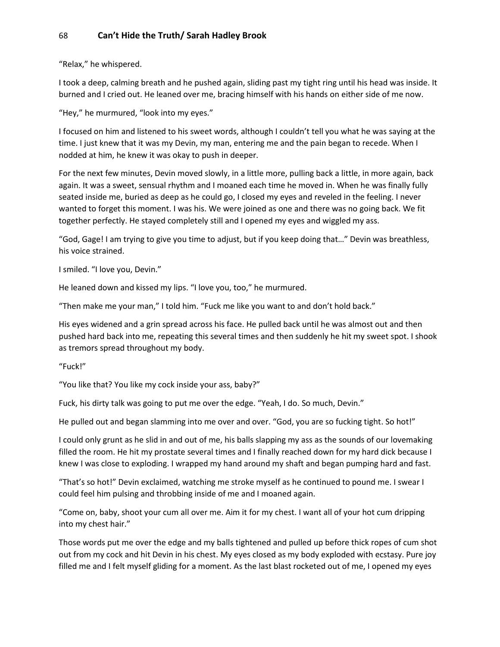"Relax," he whispered.

I took a deep, calming breath and he pushed again, sliding past my tight ring until his head was inside. It burned and I cried out. He leaned over me, bracing himself with his hands on either side of me now.

"Hey," he murmured, "look into my eyes."

I focused on him and listened to his sweet words, although I couldn't tell you what he was saying at the time. I just knew that it was my Devin, my man, entering me and the pain began to recede. When I nodded at him, he knew it was okay to push in deeper.

For the next few minutes, Devin moved slowly, in a little more, pulling back a little, in more again, back again. It was a sweet, sensual rhythm and I moaned each time he moved in. When he was finally fully seated inside me, buried as deep as he could go, I closed my eyes and reveled in the feeling. I never wanted to forget this moment. I was his. We were joined as one and there was no going back. We fit together perfectly. He stayed completely still and I opened my eyes and wiggled my ass.

"God, Gage! I am trying to give you time to adjust, but if you keep doing that…" Devin was breathless, his voice strained.

I smiled. "I love you, Devin."

He leaned down and kissed my lips. "I love you, too," he murmured.

"Then make me your man," I told him. "Fuck me like you want to and don't hold back."

His eyes widened and a grin spread across his face. He pulled back until he was almost out and then pushed hard back into me, repeating this several times and then suddenly he hit my sweet spot. I shook as tremors spread throughout my body.

"Fuck!"

"You like that? You like my cock inside your ass, baby?"

Fuck, his dirty talk was going to put me over the edge. "Yeah, I do. So much, Devin."

He pulled out and began slamming into me over and over. "God, you are so fucking tight. So hot!"

I could only grunt as he slid in and out of me, his balls slapping my ass as the sounds of our lovemaking filled the room. He hit my prostate several times and I finally reached down for my hard dick because I knew I was close to exploding. I wrapped my hand around my shaft and began pumping hard and fast.

"That's so hot!" Devin exclaimed, watching me stroke myself as he continued to pound me. I swear I could feel him pulsing and throbbing inside of me and I moaned again.

"Come on, baby, shoot your cum all over me. Aim it for my chest. I want all of your hot cum dripping into my chest hair."

Those words put me over the edge and my balls tightened and pulled up before thick ropes of cum shot out from my cock and hit Devin in his chest. My eyes closed as my body exploded with ecstasy. Pure joy filled me and I felt myself gliding for a moment. As the last blast rocketed out of me, I opened my eyes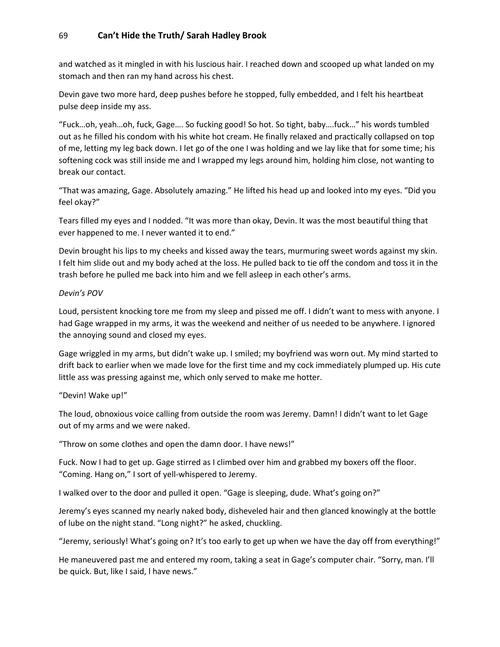and watched as it mingled in with his luscious hair. I reached down and scooped up what landed on my stomach and then ran my hand across his chest.

Devin gave two more hard, deep pushes before he stopped, fully embedded, and I felt his heartbeat pulse deep inside my ass.

"Fuck…oh, yeah…oh, fuck, Gage…. So fucking good! So hot. So tight, baby….fuck…" his words tumbled out as he filled his condom with his white hot cream. He finally relaxed and practically collapsed on top of me, letting my leg back down. I let go of the one I was holding and we lay like that for some time; his softening cock was still inside me and I wrapped my legs around him, holding him close, not wanting to break our contact.

"That was amazing, Gage. Absolutely amazing." He lifted his head up and looked into my eyes. "Did you feel okay?"

Tears filled my eyes and I nodded. "It was more than okay, Devin. It was the most beautiful thing that ever happened to me. I never wanted it to end."

Devin brought his lips to my cheeks and kissed away the tears, murmuring sweet words against my skin. I felt him slide out and my body ached at the loss. He pulled back to tie off the condom and toss it in the trash before he pulled me back into him and we fell asleep in each other's arms.

#### *Devin's POV*

Loud, persistent knocking tore me from my sleep and pissed me off. I didn't want to mess with anyone. I had Gage wrapped in my arms, it was the weekend and neither of us needed to be anywhere. I ignored the annoying sound and closed my eyes.

Gage wriggled in my arms, but didn't wake up. I smiled; my boyfriend was worn out. My mind started to drift back to earlier when we made love for the first time and my cock immediately plumped up. His cute little ass was pressing against me, which only served to make me hotter.

"Devin! Wake up!"

The loud, obnoxious voice calling from outside the room was Jeremy. Damn! I didn't want to let Gage out of my arms and we were naked.

"Throw on some clothes and open the damn door. I have news!"

Fuck. Now I had to get up. Gage stirred as I climbed over him and grabbed my boxers off the floor. "Coming. Hang on," I sort of yell-whispered to Jeremy.

I walked over to the door and pulled it open. "Gage is sleeping, dude. What's going on?"

Jeremy's eyes scanned my nearly naked body, disheveled hair and then glanced knowingly at the bottle of lube on the night stand. "Long night?" he asked, chuckling.

"Jeremy, seriously! What's going on? It's too early to get up when we have the day off from everything!"

He maneuvered past me and entered my room, taking a seat in Gage's computer chair. "Sorry, man. I'll be quick. But, like I said, l have news."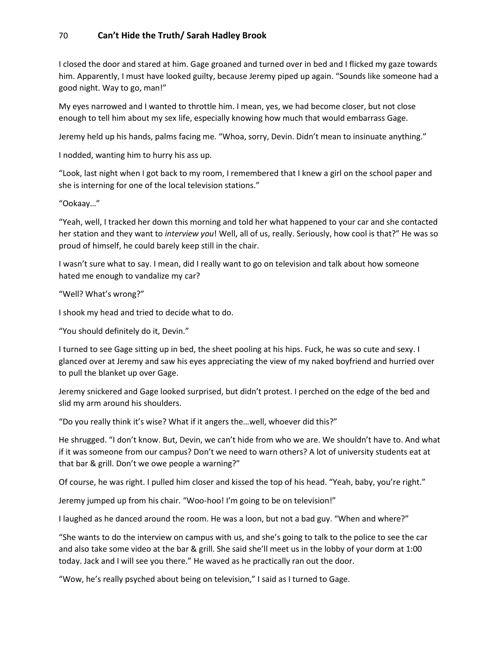I closed the door and stared at him. Gage groaned and turned over in bed and I flicked my gaze towards him. Apparently, I must have looked guilty, because Jeremy piped up again. "Sounds like someone had a good night. Way to go, man!"

My eyes narrowed and I wanted to throttle him. I mean, yes, we had become closer, but not close enough to tell him about my sex life, especially knowing how much that would embarrass Gage.

Jeremy held up his hands, palms facing me. "Whoa, sorry, Devin. Didn't mean to insinuate anything."

I nodded, wanting him to hurry his ass up.

"Look, last night when I got back to my room, I remembered that I knew a girl on the school paper and she is interning for one of the local television stations."

"Ookaay…"

"Yeah, well, I tracked her down this morning and told her what happened to your car and she contacted her station and they want to *interview you*! Well, all of us, really. Seriously, how cool is that?" He was so proud of himself, he could barely keep still in the chair.

I wasn't sure what to say. I mean, did I really want to go on television and talk about how someone hated me enough to vandalize my car?

"Well? What's wrong?"

I shook my head and tried to decide what to do.

"You should definitely do it, Devin."

I turned to see Gage sitting up in bed, the sheet pooling at his hips. Fuck, he was so cute and sexy. I glanced over at Jeremy and saw his eyes appreciating the view of my naked boyfriend and hurried over to pull the blanket up over Gage.

Jeremy snickered and Gage looked surprised, but didn't protest. I perched on the edge of the bed and slid my arm around his shoulders.

"Do you really think it's wise? What if it angers the…well, whoever did this?"

He shrugged. "I don't know. But, Devin, we can't hide from who we are. We shouldn't have to. And what if it was someone from our campus? Don't we need to warn others? A lot of university students eat at that bar & grill. Don't we owe people a warning?"

Of course, he was right. I pulled him closer and kissed the top of his head. "Yeah, baby, you're right."

Jeremy jumped up from his chair. "Woo-hoo! I'm going to be on television!"

I laughed as he danced around the room. He was a loon, but not a bad guy. "When and where?"

"She wants to do the interview on campus with us, and she's going to talk to the police to see the car and also take some video at the bar & grill. She said she'll meet us in the lobby of your dorm at 1:00 today. Jack and I will see you there." He waved as he practically ran out the door.

"Wow, he's really psyched about being on television," I said as I turned to Gage.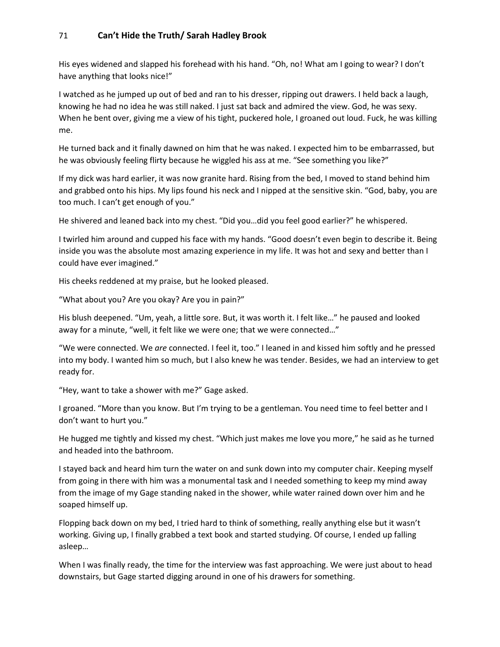His eyes widened and slapped his forehead with his hand. "Oh, no! What am I going to wear? I don't have anything that looks nice!"

I watched as he jumped up out of bed and ran to his dresser, ripping out drawers. I held back a laugh, knowing he had no idea he was still naked. I just sat back and admired the view. God, he was sexy. When he bent over, giving me a view of his tight, puckered hole, I groaned out loud. Fuck, he was killing me.

He turned back and it finally dawned on him that he was naked. I expected him to be embarrassed, but he was obviously feeling flirty because he wiggled his ass at me. "See something you like?"

If my dick was hard earlier, it was now granite hard. Rising from the bed, I moved to stand behind him and grabbed onto his hips. My lips found his neck and I nipped at the sensitive skin. "God, baby, you are too much. I can't get enough of you."

He shivered and leaned back into my chest. "Did you…did you feel good earlier?" he whispered.

I twirled him around and cupped his face with my hands. "Good doesn't even begin to describe it. Being inside you was the absolute most amazing experience in my life. It was hot and sexy and better than I could have ever imagined."

His cheeks reddened at my praise, but he looked pleased.

"What about you? Are you okay? Are you in pain?"

His blush deepened. "Um, yeah, a little sore. But, it was worth it. I felt like…" he paused and looked away for a minute, "well, it felt like we were one; that we were connected…"

"We were connected. We *are* connected. I feel it, too." I leaned in and kissed him softly and he pressed into my body. I wanted him so much, but I also knew he was tender. Besides, we had an interview to get ready for.

"Hey, want to take a shower with me?" Gage asked.

I groaned. "More than you know. But I'm trying to be a gentleman. You need time to feel better and I don't want to hurt you."

He hugged me tightly and kissed my chest. "Which just makes me love you more," he said as he turned and headed into the bathroom.

I stayed back and heard him turn the water on and sunk down into my computer chair. Keeping myself from going in there with him was a monumental task and I needed something to keep my mind away from the image of my Gage standing naked in the shower, while water rained down over him and he soaped himself up.

Flopping back down on my bed, I tried hard to think of something, really anything else but it wasn't working. Giving up, I finally grabbed a text book and started studying. Of course, I ended up falling asleep…

When I was finally ready, the time for the interview was fast approaching. We were just about to head downstairs, but Gage started digging around in one of his drawers for something.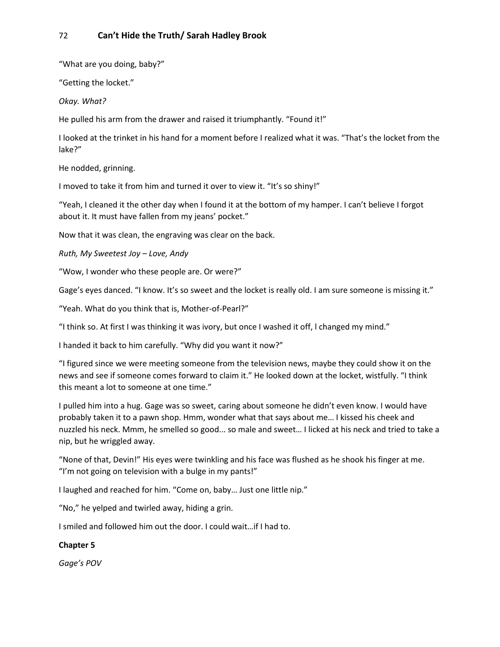"What are you doing, baby?"

"Getting the locket."

*Okay. What?*

He pulled his arm from the drawer and raised it triumphantly. "Found it!"

I looked at the trinket in his hand for a moment before I realized what it was. "That's the locket from the lake?"

He nodded, grinning.

I moved to take it from him and turned it over to view it. "It's so shiny!"

"Yeah, I cleaned it the other day when I found it at the bottom of my hamper. I can't believe I forgot about it. It must have fallen from my jeans' pocket."

Now that it was clean, the engraving was clear on the back.

*Ruth, My Sweetest Joy – Love, Andy*

"Wow, I wonder who these people are. Or were?"

Gage's eyes danced. "I know. It's so sweet and the locket is really old. I am sure someone is missing it."

"Yeah. What do you think that is, Mother-of-Pearl?"

"I think so. At first I was thinking it was ivory, but once I washed it off, l changed my mind."

I handed it back to him carefully. "Why did you want it now?"

"I figured since we were meeting someone from the television news, maybe they could show it on the news and see if someone comes forward to claim it." He looked down at the locket, wistfully. "I think this meant a lot to someone at one time."

I pulled him into a hug. Gage was so sweet, caring about someone he didn't even know. I would have probably taken it to a pawn shop. Hmm, wonder what that says about me… I kissed his cheek and nuzzled his neck. Mmm, he smelled so good... so male and sweet… I licked at his neck and tried to take a nip, but he wriggled away.

"None of that, Devin!" His eyes were twinkling and his face was flushed as he shook his finger at me. "I'm not going on television with a bulge in my pants!"

I laughed and reached for him. "Come on, baby… Just one little nip."

"No," he yelped and twirled away, hiding a grin.

I smiled and followed him out the door. I could wait…if I had to.

### **Chapter 5**

*Gage's POV*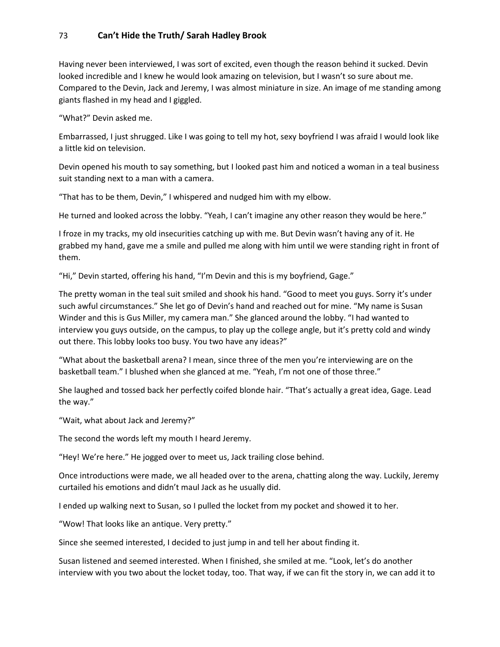Having never been interviewed, I was sort of excited, even though the reason behind it sucked. Devin looked incredible and I knew he would look amazing on television, but I wasn't so sure about me. Compared to the Devin, Jack and Jeremy, I was almost miniature in size. An image of me standing among giants flashed in my head and I giggled.

"What?" Devin asked me.

Embarrassed, I just shrugged. Like I was going to tell my hot, sexy boyfriend I was afraid I would look like a little kid on television.

Devin opened his mouth to say something, but I looked past him and noticed a woman in a teal business suit standing next to a man with a camera.

"That has to be them, Devin," I whispered and nudged him with my elbow.

He turned and looked across the lobby. "Yeah, I can't imagine any other reason they would be here."

I froze in my tracks, my old insecurities catching up with me. But Devin wasn't having any of it. He grabbed my hand, gave me a smile and pulled me along with him until we were standing right in front of them.

"Hi," Devin started, offering his hand, "I'm Devin and this is my boyfriend, Gage."

The pretty woman in the teal suit smiled and shook his hand. "Good to meet you guys. Sorry it's under such awful circumstances." She let go of Devin's hand and reached out for mine. "My name is Susan Winder and this is Gus Miller, my camera man." She glanced around the lobby. "I had wanted to interview you guys outside, on the campus, to play up the college angle, but it's pretty cold and windy out there. This lobby looks too busy. You two have any ideas?"

"What about the basketball arena? I mean, since three of the men you're interviewing are on the basketball team." I blushed when she glanced at me. "Yeah, I'm not one of those three."

She laughed and tossed back her perfectly coifed blonde hair. "That's actually a great idea, Gage. Lead the way."

"Wait, what about Jack and Jeremy?"

The second the words left my mouth I heard Jeremy.

"Hey! We're here." He jogged over to meet us, Jack trailing close behind.

Once introductions were made, we all headed over to the arena, chatting along the way. Luckily, Jeremy curtailed his emotions and didn't maul Jack as he usually did.

I ended up walking next to Susan, so I pulled the locket from my pocket and showed it to her.

"Wow! That looks like an antique. Very pretty."

Since she seemed interested, I decided to just jump in and tell her about finding it.

Susan listened and seemed interested. When I finished, she smiled at me. "Look, let's do another interview with you two about the locket today, too. That way, if we can fit the story in, we can add it to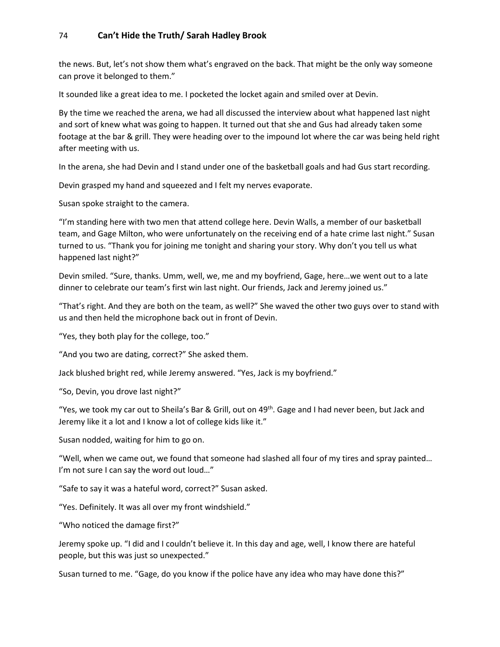the news. But, let's not show them what's engraved on the back. That might be the only way someone can prove it belonged to them."

It sounded like a great idea to me. I pocketed the locket again and smiled over at Devin.

By the time we reached the arena, we had all discussed the interview about what happened last night and sort of knew what was going to happen. It turned out that she and Gus had already taken some footage at the bar & grill. They were heading over to the impound lot where the car was being held right after meeting with us.

In the arena, she had Devin and I stand under one of the basketball goals and had Gus start recording.

Devin grasped my hand and squeezed and I felt my nerves evaporate.

Susan spoke straight to the camera.

"I'm standing here with two men that attend college here. Devin Walls, a member of our basketball team, and Gage Milton, who were unfortunately on the receiving end of a hate crime last night." Susan turned to us. "Thank you for joining me tonight and sharing your story. Why don't you tell us what happened last night?"

Devin smiled. "Sure, thanks. Umm, well, we, me and my boyfriend, Gage, here…we went out to a late dinner to celebrate our team's first win last night. Our friends, Jack and Jeremy joined us."

"That's right. And they are both on the team, as well?" She waved the other two guys over to stand with us and then held the microphone back out in front of Devin.

"Yes, they both play for the college, too."

"And you two are dating, correct?" She asked them.

Jack blushed bright red, while Jeremy answered. "Yes, Jack is my boyfriend."

"So, Devin, you drove last night?"

"Yes, we took my car out to Sheila's Bar & Grill, out on 49<sup>th</sup>. Gage and I had never been, but Jack and Jeremy like it a lot and I know a lot of college kids like it."

Susan nodded, waiting for him to go on.

"Well, when we came out, we found that someone had slashed all four of my tires and spray painted… I'm not sure I can say the word out loud..."

"Safe to say it was a hateful word, correct?" Susan asked.

"Yes. Definitely. It was all over my front windshield."

"Who noticed the damage first?"

Jeremy spoke up. "I did and I couldn't believe it. In this day and age, well, I know there are hateful people, but this was just so unexpected."

Susan turned to me. "Gage, do you know if the police have any idea who may have done this?"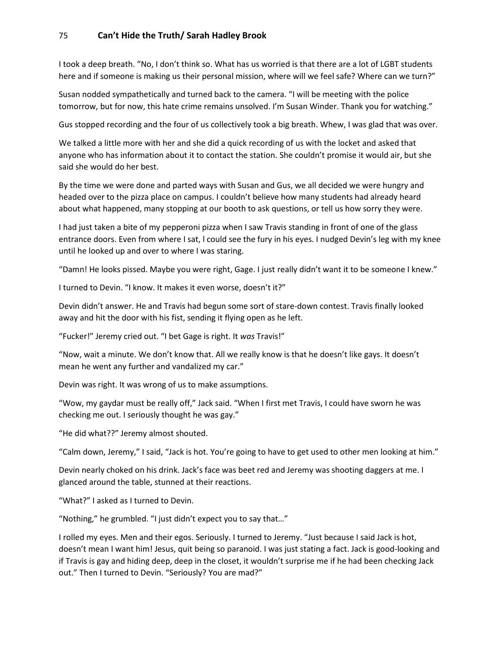I took a deep breath. "No, I don't think so. What has us worried is that there are a lot of LGBT students here and if someone is making us their personal mission, where will we feel safe? Where can we turn?"

Susan nodded sympathetically and turned back to the camera. "I will be meeting with the police tomorrow, but for now, this hate crime remains unsolved. I'm Susan Winder. Thank you for watching."

Gus stopped recording and the four of us collectively took a big breath. Whew, I was glad that was over.

We talked a little more with her and she did a quick recording of us with the locket and asked that anyone who has information about it to contact the station. She couldn't promise it would air, but she said she would do her best.

By the time we were done and parted ways with Susan and Gus, we all decided we were hungry and headed over to the pizza place on campus. I couldn't believe how many students had already heard about what happened, many stopping at our booth to ask questions, or tell us how sorry they were.

I had just taken a bite of my pepperoni pizza when I saw Travis standing in front of one of the glass entrance doors. Even from where I sat, l could see the fury in his eyes. I nudged Devin's leg with my knee until he looked up and over to where I was staring.

"Damn! He looks pissed. Maybe you were right, Gage. I just really didn't want it to be someone I knew."

I turned to Devin. "I know. It makes it even worse, doesn't it?"

Devin didn't answer. He and Travis had begun some sort of stare-down contest. Travis finally looked away and hit the door with his fist, sending it flying open as he left.

"Fucker!" Jeremy cried out. "I bet Gage is right. It *was* Travis!"

"Now, wait a minute. We don't know that. All we really know is that he doesn't like gays. It doesn't mean he went any further and vandalized my car."

Devin was right. It was wrong of us to make assumptions.

"Wow, my gaydar must be really off," Jack said. "When I first met Travis, I could have sworn he was checking me out. I seriously thought he was gay."

"He did what??" Jeremy almost shouted.

"Calm down, Jeremy," I said, "Jack is hot. You're going to have to get used to other men looking at him."

Devin nearly choked on his drink. Jack's face was beet red and Jeremy was shooting daggers at me. I glanced around the table, stunned at their reactions.

"What?" I asked as I turned to Devin.

"Nothing," he grumbled. "I just didn't expect you to say that…"

I rolled my eyes. Men and their egos. Seriously. I turned to Jeremy. "Just because I said Jack is hot, doesn't mean I want him! Jesus, quit being so paranoid. I was just stating a fact. Jack is good-looking and if Travis is gay and hiding deep, deep in the closet, it wouldn't surprise me if he had been checking Jack out." Then I turned to Devin. "Seriously? You are mad?"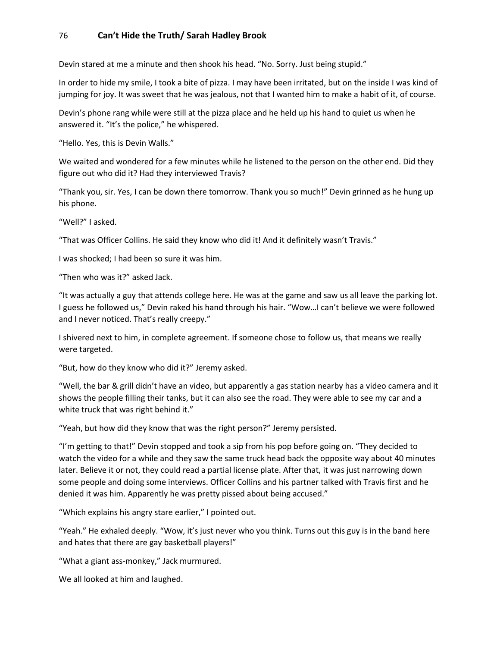Devin stared at me a minute and then shook his head. "No. Sorry. Just being stupid."

In order to hide my smile, I took a bite of pizza. I may have been irritated, but on the inside I was kind of jumping for joy. It was sweet that he was jealous, not that I wanted him to make a habit of it, of course.

Devin's phone rang while were still at the pizza place and he held up his hand to quiet us when he answered it. "It's the police," he whispered.

"Hello. Yes, this is Devin Walls."

We waited and wondered for a few minutes while he listened to the person on the other end. Did they figure out who did it? Had they interviewed Travis?

"Thank you, sir. Yes, I can be down there tomorrow. Thank you so much!" Devin grinned as he hung up his phone.

"Well?" I asked.

"That was Officer Collins. He said they know who did it! And it definitely wasn't Travis."

I was shocked; I had been so sure it was him.

"Then who was it?" asked Jack.

"It was actually a guy that attends college here. He was at the game and saw us all leave the parking lot. I guess he followed us," Devin raked his hand through his hair. "Wow…I can't believe we were followed and I never noticed. That's really creepy."

I shivered next to him, in complete agreement. If someone chose to follow us, that means we really were targeted.

"But, how do they know who did it?" Jeremy asked.

"Well, the bar & grill didn't have an video, but apparently a gas station nearby has a video camera and it shows the people filling their tanks, but it can also see the road. They were able to see my car and a white truck that was right behind it."

"Yeah, but how did they know that was the right person?" Jeremy persisted.

"I'm getting to that!" Devin stopped and took a sip from his pop before going on. "They decided to watch the video for a while and they saw the same truck head back the opposite way about 40 minutes later. Believe it or not, they could read a partial license plate. After that, it was just narrowing down some people and doing some interviews. Officer Collins and his partner talked with Travis first and he denied it was him. Apparently he was pretty pissed about being accused."

"Which explains his angry stare earlier," I pointed out.

"Yeah." He exhaled deeply. "Wow, it's just never who you think. Turns out this guy is in the band here and hates that there are gay basketball players!"

"What a giant ass-monkey," Jack murmured.

We all looked at him and laughed.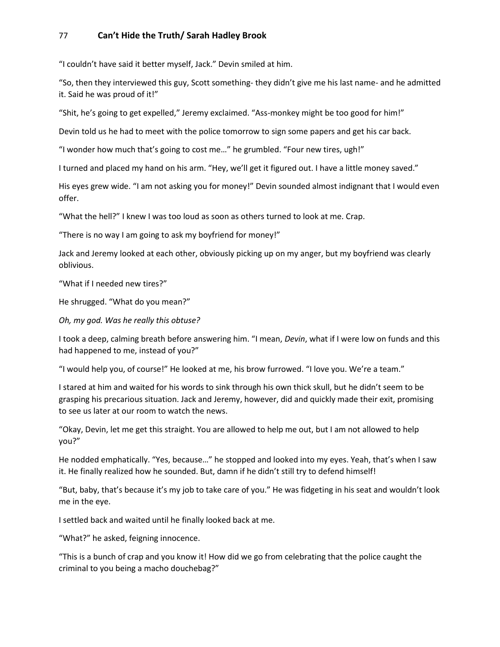"I couldn't have said it better myself, Jack." Devin smiled at him.

"So, then they interviewed this guy, Scott something- they didn't give me his last name- and he admitted it. Said he was proud of it!"

"Shit, he's going to get expelled," Jeremy exclaimed. "Ass-monkey might be too good for him!"

Devin told us he had to meet with the police tomorrow to sign some papers and get his car back.

"I wonder how much that's going to cost me…" he grumbled. "Four new tires, ugh!"

I turned and placed my hand on his arm. "Hey, we'll get it figured out. I have a little money saved."

His eyes grew wide. "I am not asking you for money!" Devin sounded almost indignant that I would even offer.

"What the hell?" I knew I was too loud as soon as others turned to look at me. Crap.

"There is no way I am going to ask my boyfriend for money!"

Jack and Jeremy looked at each other, obviously picking up on my anger, but my boyfriend was clearly oblivious.

"What if I needed new tires?"

He shrugged. "What do you mean?"

*Oh, my god. Was he really this obtuse?*

I took a deep, calming breath before answering him. "I mean, *Devin*, what if I were low on funds and this had happened to me, instead of you?"

"I would help you, of course!" He looked at me, his brow furrowed. "I love you. We're a team."

I stared at him and waited for his words to sink through his own thick skull, but he didn't seem to be grasping his precarious situation. Jack and Jeremy, however, did and quickly made their exit, promising to see us later at our room to watch the news.

"Okay, Devin, let me get this straight. You are allowed to help me out, but I am not allowed to help you?"

He nodded emphatically. "Yes, because…" he stopped and looked into my eyes. Yeah, that's when I saw it. He finally realized how he sounded. But, damn if he didn't still try to defend himself!

"But, baby, that's because it's my job to take care of you." He was fidgeting in his seat and wouldn't look me in the eye.

I settled back and waited until he finally looked back at me.

"What?" he asked, feigning innocence.

"This is a bunch of crap and you know it! How did we go from celebrating that the police caught the criminal to you being a macho douchebag?"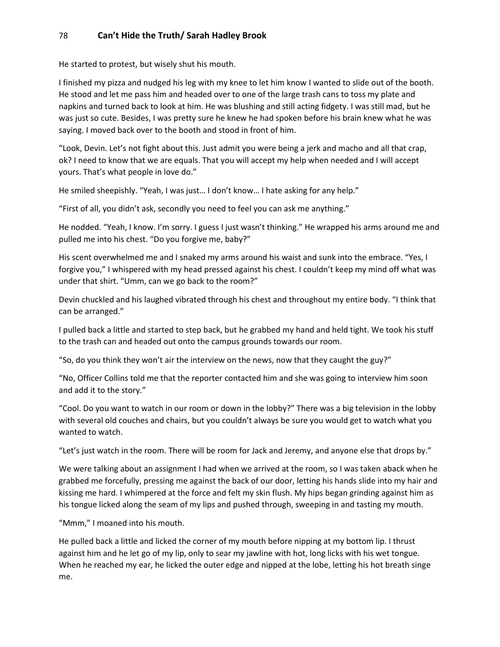He started to protest, but wisely shut his mouth.

I finished my pizza and nudged his leg with my knee to let him know I wanted to slide out of the booth. He stood and let me pass him and headed over to one of the large trash cans to toss my plate and napkins and turned back to look at him. He was blushing and still acting fidgety. I was still mad, but he was just so cute. Besides, I was pretty sure he knew he had spoken before his brain knew what he was saying. I moved back over to the booth and stood in front of him.

"Look, Devin. Let's not fight about this. Just admit you were being a jerk and macho and all that crap, ok? I need to know that we are equals. That you will accept my help when needed and I will accept yours. That's what people in love do."

He smiled sheepishly. "Yeah, I was just… I don't know… I hate asking for any help."

"First of all, you didn't ask, secondly you need to feel you can ask me anything."

He nodded. "Yeah, I know. I'm sorry. I guess I just wasn't thinking." He wrapped his arms around me and pulled me into his chest. "Do you forgive me, baby?"

His scent overwhelmed me and I snaked my arms around his waist and sunk into the embrace. "Yes, I forgive you," I whispered with my head pressed against his chest. I couldn't keep my mind off what was under that shirt. "Umm, can we go back to the room?"

Devin chuckled and his laughed vibrated through his chest and throughout my entire body. "I think that can be arranged."

I pulled back a little and started to step back, but he grabbed my hand and held tight. We took his stuff to the trash can and headed out onto the campus grounds towards our room.

"So, do you think they won't air the interview on the news, now that they caught the guy?"

"No, Officer Collins told me that the reporter contacted him and she was going to interview him soon and add it to the story."

"Cool. Do you want to watch in our room or down in the lobby?" There was a big television in the lobby with several old couches and chairs, but you couldn't always be sure you would get to watch what you wanted to watch.

"Let's just watch in the room. There will be room for Jack and Jeremy, and anyone else that drops by."

We were talking about an assignment I had when we arrived at the room, so I was taken aback when he grabbed me forcefully, pressing me against the back of our door, letting his hands slide into my hair and kissing me hard. I whimpered at the force and felt my skin flush. My hips began grinding against him as his tongue licked along the seam of my lips and pushed through, sweeping in and tasting my mouth.

"Mmm," I moaned into his mouth.

He pulled back a little and licked the corner of my mouth before nipping at my bottom lip. I thrust against him and he let go of my lip, only to sear my jawline with hot, long licks with his wet tongue. When he reached my ear, he licked the outer edge and nipped at the lobe, letting his hot breath singe me.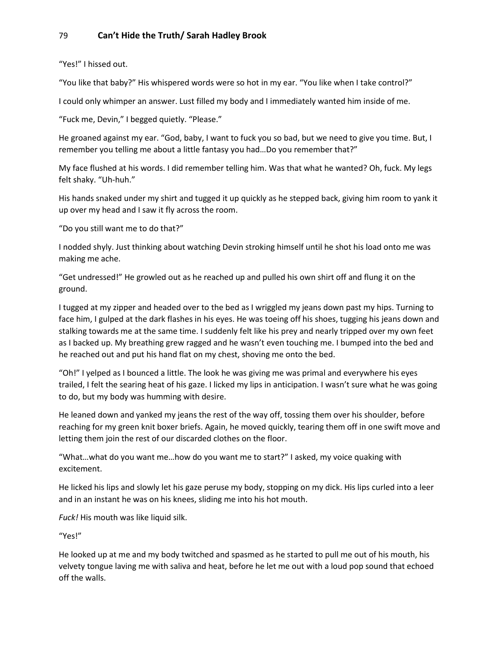"Yes!" I hissed out.

"You like that baby?" His whispered words were so hot in my ear. "You like when I take control?"

I could only whimper an answer. Lust filled my body and I immediately wanted him inside of me.

"Fuck me, Devin," I begged quietly. "Please."

He groaned against my ear. "God, baby, I want to fuck you so bad, but we need to give you time. But, I remember you telling me about a little fantasy you had…Do you remember that?"

My face flushed at his words. I did remember telling him. Was that what he wanted? Oh, fuck. My legs felt shaky. "Uh-huh."

His hands snaked under my shirt and tugged it up quickly as he stepped back, giving him room to yank it up over my head and I saw it fly across the room.

"Do you still want me to do that?"

I nodded shyly. Just thinking about watching Devin stroking himself until he shot his load onto me was making me ache.

"Get undressed!" He growled out as he reached up and pulled his own shirt off and flung it on the ground.

I tugged at my zipper and headed over to the bed as I wriggled my jeans down past my hips. Turning to face him, I gulped at the dark flashes in his eyes. He was toeing off his shoes, tugging his jeans down and stalking towards me at the same time. I suddenly felt like his prey and nearly tripped over my own feet as I backed up. My breathing grew ragged and he wasn't even touching me. I bumped into the bed and he reached out and put his hand flat on my chest, shoving me onto the bed.

"Oh!" I yelped as I bounced a little. The look he was giving me was primal and everywhere his eyes trailed, I felt the searing heat of his gaze. I licked my lips in anticipation. I wasn't sure what he was going to do, but my body was humming with desire.

He leaned down and yanked my jeans the rest of the way off, tossing them over his shoulder, before reaching for my green knit boxer briefs. Again, he moved quickly, tearing them off in one swift move and letting them join the rest of our discarded clothes on the floor.

"What…what do you want me…how do you want me to start?" I asked, my voice quaking with excitement.

He licked his lips and slowly let his gaze peruse my body, stopping on my dick. His lips curled into a leer and in an instant he was on his knees, sliding me into his hot mouth.

*Fuck!* His mouth was like liquid silk.

"Yes!"

He looked up at me and my body twitched and spasmed as he started to pull me out of his mouth, his velvety tongue laving me with saliva and heat, before he let me out with a loud pop sound that echoed off the walls.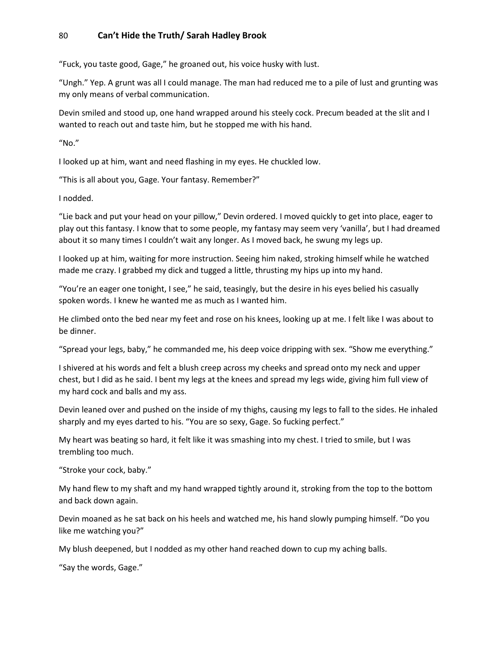"Fuck, you taste good, Gage," he groaned out, his voice husky with lust.

"Ungh." Yep. A grunt was all I could manage. The man had reduced me to a pile of lust and grunting was my only means of verbal communication.

Devin smiled and stood up, one hand wrapped around his steely cock. Precum beaded at the slit and I wanted to reach out and taste him, but he stopped me with his hand.

 $^{\prime\prime}$ No."

I looked up at him, want and need flashing in my eyes. He chuckled low.

"This is all about you, Gage. Your fantasy. Remember?"

I nodded.

"Lie back and put your head on your pillow," Devin ordered. I moved quickly to get into place, eager to play out this fantasy. I know that to some people, my fantasy may seem very 'vanilla', but I had dreamed about it so many times I couldn't wait any longer. As I moved back, he swung my legs up.

I looked up at him, waiting for more instruction. Seeing him naked, stroking himself while he watched made me crazy. I grabbed my dick and tugged a little, thrusting my hips up into my hand.

"You're an eager one tonight, I see," he said, teasingly, but the desire in his eyes belied his casually spoken words. I knew he wanted me as much as I wanted him.

He climbed onto the bed near my feet and rose on his knees, looking up at me. I felt like I was about to be dinner.

"Spread your legs, baby," he commanded me, his deep voice dripping with sex. "Show me everything."

I shivered at his words and felt a blush creep across my cheeks and spread onto my neck and upper chest, but I did as he said. I bent my legs at the knees and spread my legs wide, giving him full view of my hard cock and balls and my ass.

Devin leaned over and pushed on the inside of my thighs, causing my legs to fall to the sides. He inhaled sharply and my eyes darted to his. "You are so sexy, Gage. So fucking perfect."

My heart was beating so hard, it felt like it was smashing into my chest. I tried to smile, but I was trembling too much.

"Stroke your cock, baby."

My hand flew to my shaft and my hand wrapped tightly around it, stroking from the top to the bottom and back down again.

Devin moaned as he sat back on his heels and watched me, his hand slowly pumping himself. "Do you like me watching you?"

My blush deepened, but I nodded as my other hand reached down to cup my aching balls.

"Say the words, Gage."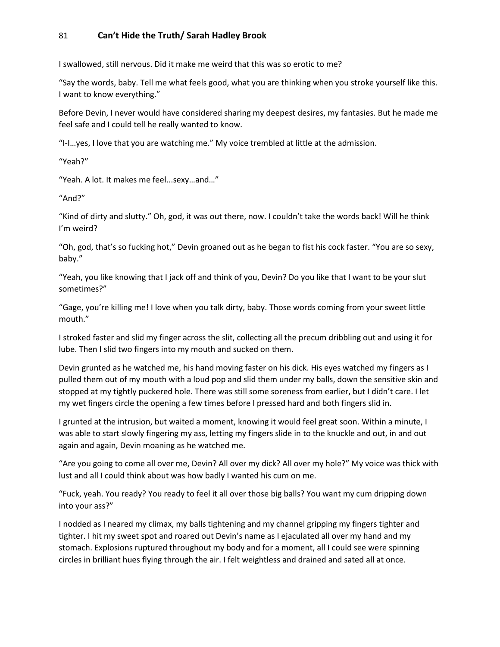I swallowed, still nervous. Did it make me weird that this was so erotic to me?

"Say the words, baby. Tell me what feels good, what you are thinking when you stroke yourself like this. I want to know everything."

Before Devin, I never would have considered sharing my deepest desires, my fantasies. But he made me feel safe and I could tell he really wanted to know.

"I-I…yes, I love that you are watching me." My voice trembled at little at the admission.

"Yeah?"

"Yeah. A lot. It makes me feel...sexy…and…"

"And?"

"Kind of dirty and slutty." Oh, god, it was out there, now. I couldn't take the words back! Will he think I'm weird?

"Oh, god, that's so fucking hot," Devin groaned out as he began to fist his cock faster. "You are so sexy, baby."

"Yeah, you like knowing that I jack off and think of you, Devin? Do you like that I want to be your slut sometimes?"

"Gage, you're killing me! I love when you talk dirty, baby. Those words coming from your sweet little mouth."

I stroked faster and slid my finger across the slit, collecting all the precum dribbling out and using it for lube. Then I slid two fingers into my mouth and sucked on them.

Devin grunted as he watched me, his hand moving faster on his dick. His eyes watched my fingers as I pulled them out of my mouth with a loud pop and slid them under my balls, down the sensitive skin and stopped at my tightly puckered hole. There was still some soreness from earlier, but I didn't care. I let my wet fingers circle the opening a few times before I pressed hard and both fingers slid in.

I grunted at the intrusion, but waited a moment, knowing it would feel great soon. Within a minute, I was able to start slowly fingering my ass, letting my fingers slide in to the knuckle and out, in and out again and again, Devin moaning as he watched me.

"Are you going to come all over me, Devin? All over my dick? All over my hole?" My voice was thick with lust and all I could think about was how badly I wanted his cum on me.

"Fuck, yeah. You ready? You ready to feel it all over those big balls? You want my cum dripping down into your ass?"

I nodded as I neared my climax, my balls tightening and my channel gripping my fingers tighter and tighter. I hit my sweet spot and roared out Devin's name as I ejaculated all over my hand and my stomach. Explosions ruptured throughout my body and for a moment, all I could see were spinning circles in brilliant hues flying through the air. I felt weightless and drained and sated all at once.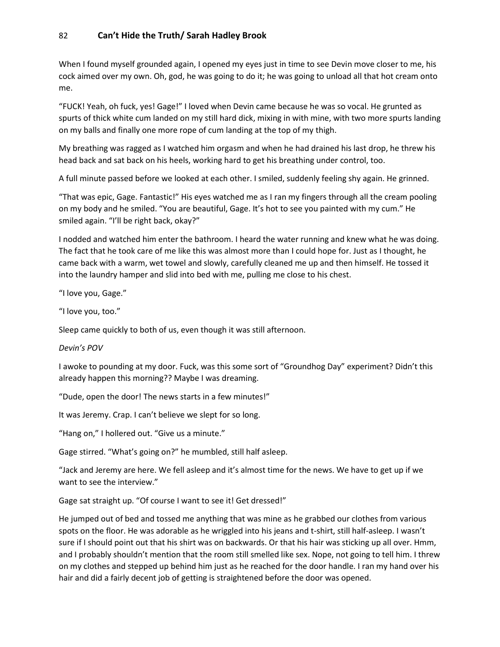When I found myself grounded again, I opened my eyes just in time to see Devin move closer to me, his cock aimed over my own. Oh, god, he was going to do it; he was going to unload all that hot cream onto me.

"FUCK! Yeah, oh fuck, yes! Gage!" I loved when Devin came because he was so vocal. He grunted as spurts of thick white cum landed on my still hard dick, mixing in with mine, with two more spurts landing on my balls and finally one more rope of cum landing at the top of my thigh.

My breathing was ragged as I watched him orgasm and when he had drained his last drop, he threw his head back and sat back on his heels, working hard to get his breathing under control, too.

A full minute passed before we looked at each other. I smiled, suddenly feeling shy again. He grinned.

"That was epic, Gage. Fantastic!" His eyes watched me as I ran my fingers through all the cream pooling on my body and he smiled. "You are beautiful, Gage. It's hot to see you painted with my cum." He smiled again. "I'll be right back, okay?"

I nodded and watched him enter the bathroom. I heard the water running and knew what he was doing. The fact that he took care of me like this was almost more than I could hope for. Just as I thought, he came back with a warm, wet towel and slowly, carefully cleaned me up and then himself. He tossed it into the laundry hamper and slid into bed with me, pulling me close to his chest.

"I love you, Gage."

"I love you, too."

Sleep came quickly to both of us, even though it was still afternoon.

*Devin's POV*

I awoke to pounding at my door. Fuck, was this some sort of "Groundhog Day" experiment? Didn't this already happen this morning?? Maybe I was dreaming.

"Dude, open the door! The news starts in a few minutes!"

It was Jeremy. Crap. I can't believe we slept for so long.

"Hang on," I hollered out. "Give us a minute."

Gage stirred. "What's going on?" he mumbled, still half asleep.

"Jack and Jeremy are here. We fell asleep and it's almost time for the news. We have to get up if we want to see the interview."

Gage sat straight up. "Of course I want to see it! Get dressed!"

He jumped out of bed and tossed me anything that was mine as he grabbed our clothes from various spots on the floor. He was adorable as he wriggled into his jeans and t-shirt, still half-asleep. I wasn't sure if I should point out that his shirt was on backwards. Or that his hair was sticking up all over. Hmm, and I probably shouldn't mention that the room still smelled like sex. Nope, not going to tell him. I threw on my clothes and stepped up behind him just as he reached for the door handle. I ran my hand over his hair and did a fairly decent job of getting is straightened before the door was opened.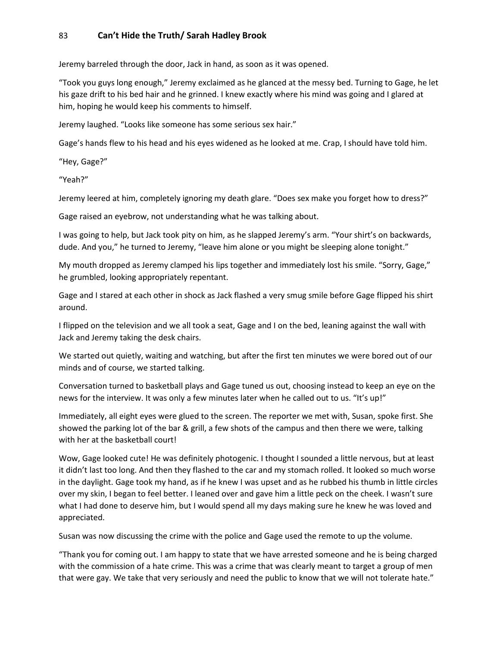Jeremy barreled through the door, Jack in hand, as soon as it was opened.

"Took you guys long enough," Jeremy exclaimed as he glanced at the messy bed. Turning to Gage, he let his gaze drift to his bed hair and he grinned. I knew exactly where his mind was going and I glared at him, hoping he would keep his comments to himself.

Jeremy laughed. "Looks like someone has some serious sex hair."

Gage's hands flew to his head and his eyes widened as he looked at me. Crap, I should have told him.

"Hey, Gage?"

"Yeah?"

Jeremy leered at him, completely ignoring my death glare. "Does sex make you forget how to dress?"

Gage raised an eyebrow, not understanding what he was talking about.

I was going to help, but Jack took pity on him, as he slapped Jeremy's arm. "Your shirt's on backwards, dude. And you," he turned to Jeremy, "leave him alone or you might be sleeping alone tonight."

My mouth dropped as Jeremy clamped his lips together and immediately lost his smile. "Sorry, Gage," he grumbled, looking appropriately repentant.

Gage and I stared at each other in shock as Jack flashed a very smug smile before Gage flipped his shirt around.

I flipped on the television and we all took a seat, Gage and I on the bed, leaning against the wall with Jack and Jeremy taking the desk chairs.

We started out quietly, waiting and watching, but after the first ten minutes we were bored out of our minds and of course, we started talking.

Conversation turned to basketball plays and Gage tuned us out, choosing instead to keep an eye on the news for the interview. It was only a few minutes later when he called out to us. "It's up!"

Immediately, all eight eyes were glued to the screen. The reporter we met with, Susan, spoke first. She showed the parking lot of the bar & grill, a few shots of the campus and then there we were, talking with her at the basketball court!

Wow, Gage looked cute! He was definitely photogenic. I thought I sounded a little nervous, but at least it didn't last too long. And then they flashed to the car and my stomach rolled. It looked so much worse in the daylight. Gage took my hand, as if he knew I was upset and as he rubbed his thumb in little circles over my skin, I began to feel better. I leaned over and gave him a little peck on the cheek. I wasn't sure what I had done to deserve him, but I would spend all my days making sure he knew he was loved and appreciated.

Susan was now discussing the crime with the police and Gage used the remote to up the volume.

"Thank you for coming out. I am happy to state that we have arrested someone and he is being charged with the commission of a hate crime. This was a crime that was clearly meant to target a group of men that were gay. We take that very seriously and need the public to know that we will not tolerate hate."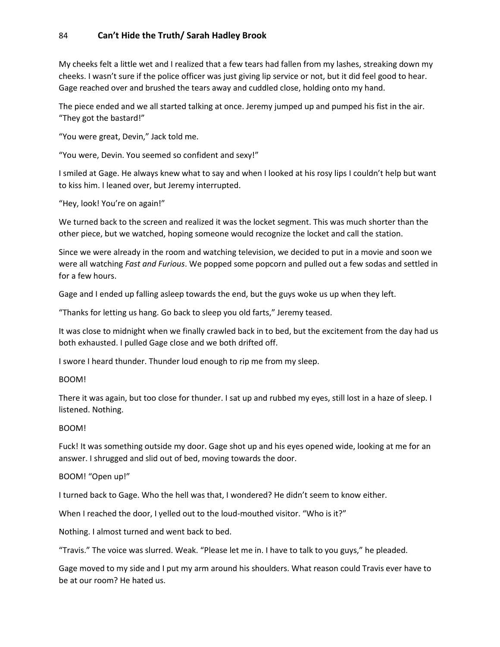My cheeks felt a little wet and I realized that a few tears had fallen from my lashes, streaking down my cheeks. I wasn't sure if the police officer was just giving lip service or not, but it did feel good to hear. Gage reached over and brushed the tears away and cuddled close, holding onto my hand.

The piece ended and we all started talking at once. Jeremy jumped up and pumped his fist in the air. "They got the bastard!"

"You were great, Devin," Jack told me.

"You were, Devin. You seemed so confident and sexy!"

I smiled at Gage. He always knew what to say and when I looked at his rosy lips I couldn't help but want to kiss him. I leaned over, but Jeremy interrupted.

"Hey, look! You're on again!"

We turned back to the screen and realized it was the locket segment. This was much shorter than the other piece, but we watched, hoping someone would recognize the locket and call the station.

Since we were already in the room and watching television, we decided to put in a movie and soon we were all watching *Fast and Furious*. We popped some popcorn and pulled out a few sodas and settled in for a few hours.

Gage and I ended up falling asleep towards the end, but the guys woke us up when they left.

"Thanks for letting us hang. Go back to sleep you old farts," Jeremy teased.

It was close to midnight when we finally crawled back in to bed, but the excitement from the day had us both exhausted. I pulled Gage close and we both drifted off.

I swore I heard thunder. Thunder loud enough to rip me from my sleep.

#### BOOM!

There it was again, but too close for thunder. I sat up and rubbed my eyes, still lost in a haze of sleep. I listened. Nothing.

#### BOOM!

Fuck! It was something outside my door. Gage shot up and his eyes opened wide, looking at me for an answer. I shrugged and slid out of bed, moving towards the door.

#### BOOM! "Open up!"

I turned back to Gage. Who the hell was that, I wondered? He didn't seem to know either.

When I reached the door, I yelled out to the loud-mouthed visitor. "Who is it?"

Nothing. I almost turned and went back to bed.

"Travis." The voice was slurred. Weak. "Please let me in. I have to talk to you guys," he pleaded.

Gage moved to my side and I put my arm around his shoulders. What reason could Travis ever have to be at our room? He hated us.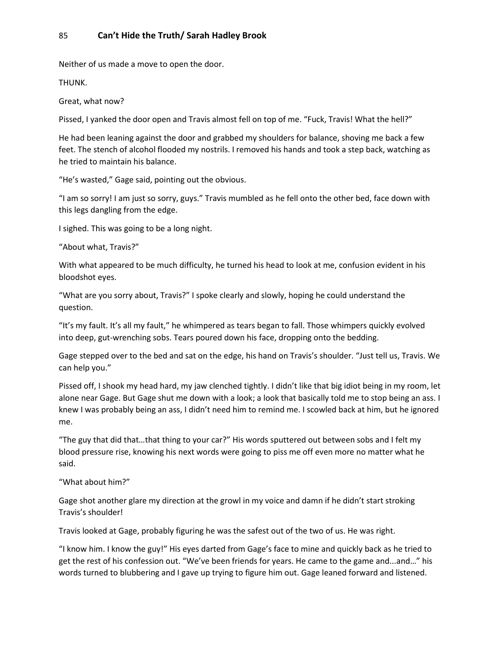Neither of us made a move to open the door.

THUNK.

Great, what now?

Pissed, I yanked the door open and Travis almost fell on top of me. "Fuck, Travis! What the hell?"

He had been leaning against the door and grabbed my shoulders for balance, shoving me back a few feet. The stench of alcohol flooded my nostrils. I removed his hands and took a step back, watching as he tried to maintain his balance.

"He's wasted," Gage said, pointing out the obvious.

"I am so sorry! I am just so sorry, guys." Travis mumbled as he fell onto the other bed, face down with this legs dangling from the edge.

I sighed. This was going to be a long night.

"About what, Travis?"

With what appeared to be much difficulty, he turned his head to look at me, confusion evident in his bloodshot eyes.

"What are you sorry about, Travis?" I spoke clearly and slowly, hoping he could understand the question.

"It's my fault. It's all my fault," he whimpered as tears began to fall. Those whimpers quickly evolved into deep, gut-wrenching sobs. Tears poured down his face, dropping onto the bedding.

Gage stepped over to the bed and sat on the edge, his hand on Travis's shoulder. "Just tell us, Travis. We can help you."

Pissed off, I shook my head hard, my jaw clenched tightly. I didn't like that big idiot being in my room, let alone near Gage. But Gage shut me down with a look; a look that basically told me to stop being an ass. I knew I was probably being an ass, I didn't need him to remind me. I scowled back at him, but he ignored me.

"The guy that did that…that thing to your car?" His words sputtered out between sobs and I felt my blood pressure rise, knowing his next words were going to piss me off even more no matter what he said.

"What about him?"

Gage shot another glare my direction at the growl in my voice and damn if he didn't start stroking Travis's shoulder!

Travis looked at Gage, probably figuring he was the safest out of the two of us. He was right.

"I know him. I know the guy!" His eyes darted from Gage's face to mine and quickly back as he tried to get the rest of his confession out. "We've been friends for years. He came to the game and...and…" his words turned to blubbering and I gave up trying to figure him out. Gage leaned forward and listened.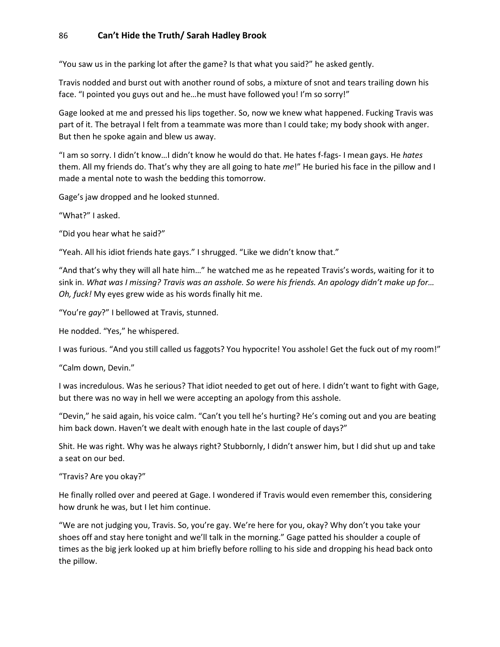"You saw us in the parking lot after the game? Is that what you said?" he asked gently.

Travis nodded and burst out with another round of sobs, a mixture of snot and tears trailing down his face. "I pointed you guys out and he…he must have followed you! I'm so sorry!"

Gage looked at me and pressed his lips together. So, now we knew what happened. Fucking Travis was part of it. The betrayal I felt from a teammate was more than I could take; my body shook with anger. But then he spoke again and blew us away.

"I am so sorry. I didn't know…I didn't know he would do that. He hates f-fags- I mean gays. He *hates* them. All my friends do. That's why they are all going to hate *me*!" He buried his face in the pillow and I made a mental note to wash the bedding this tomorrow.

Gage's jaw dropped and he looked stunned.

"What?" I asked.

"Did you hear what he said?"

"Yeah. All his idiot friends hate gays." I shrugged. "Like we didn't know that."

"And that's why they will all hate him…" he watched me as he repeated Travis's words, waiting for it to sink in. *What was I missing? Travis was an asshole. So were his friends. An apology didn't make up for… Oh, fuck!* My eyes grew wide as his words finally hit me.

"You're *gay*?" I bellowed at Travis, stunned.

He nodded. "Yes," he whispered.

I was furious. "And you still called us faggots? You hypocrite! You asshole! Get the fuck out of my room!"

"Calm down, Devin."

I was incredulous. Was he serious? That idiot needed to get out of here. I didn't want to fight with Gage, but there was no way in hell we were accepting an apology from this asshole.

"Devin," he said again, his voice calm. "Can't you tell he's hurting? He's coming out and you are beating him back down. Haven't we dealt with enough hate in the last couple of days?"

Shit. He was right. Why was he always right? Stubbornly, I didn't answer him, but I did shut up and take a seat on our bed.

"Travis? Are you okay?"

He finally rolled over and peered at Gage. I wondered if Travis would even remember this, considering how drunk he was, but I let him continue.

"We are not judging you, Travis. So, you're gay. We're here for you, okay? Why don't you take your shoes off and stay here tonight and we'll talk in the morning." Gage patted his shoulder a couple of times as the big jerk looked up at him briefly before rolling to his side and dropping his head back onto the pillow.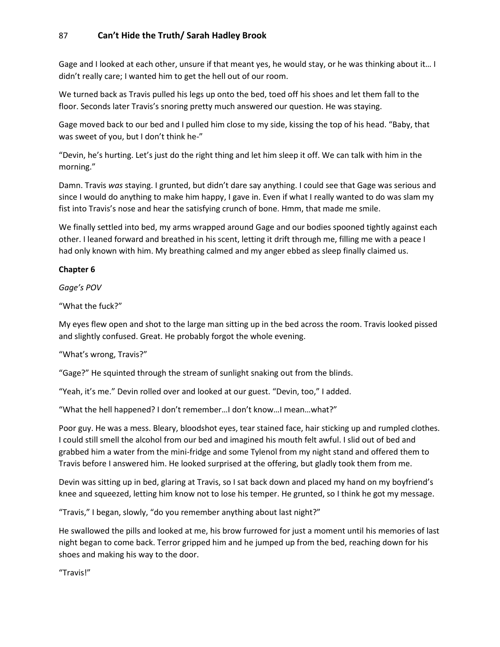Gage and I looked at each other, unsure if that meant yes, he would stay, or he was thinking about it… I didn't really care; I wanted him to get the hell out of our room.

We turned back as Travis pulled his legs up onto the bed, toed off his shoes and let them fall to the floor. Seconds later Travis's snoring pretty much answered our question. He was staying.

Gage moved back to our bed and I pulled him close to my side, kissing the top of his head. "Baby, that was sweet of you, but I don't think he-"

"Devin, he's hurting. Let's just do the right thing and let him sleep it off. We can talk with him in the morning."

Damn. Travis *was* staying. I grunted, but didn't dare say anything. I could see that Gage was serious and since I would do anything to make him happy, I gave in. Even if what I really wanted to do was slam my fist into Travis's nose and hear the satisfying crunch of bone. Hmm, that made me smile.

We finally settled into bed, my arms wrapped around Gage and our bodies spooned tightly against each other. I leaned forward and breathed in his scent, letting it drift through me, filling me with a peace I had only known with him. My breathing calmed and my anger ebbed as sleep finally claimed us.

### **Chapter 6**

*Gage's POV*

"What the fuck?"

My eyes flew open and shot to the large man sitting up in the bed across the room. Travis looked pissed and slightly confused. Great. He probably forgot the whole evening.

"What's wrong, Travis?"

"Gage?" He squinted through the stream of sunlight snaking out from the blinds.

"Yeah, it's me." Devin rolled over and looked at our guest. "Devin, too," I added.

"What the hell happened? I don't remember…I don't know…I mean…what?"

Poor guy. He was a mess. Bleary, bloodshot eyes, tear stained face, hair sticking up and rumpled clothes. I could still smell the alcohol from our bed and imagined his mouth felt awful. I slid out of bed and grabbed him a water from the mini-fridge and some Tylenol from my night stand and offered them to Travis before I answered him. He looked surprised at the offering, but gladly took them from me.

Devin was sitting up in bed, glaring at Travis, so I sat back down and placed my hand on my boyfriend's knee and squeezed, letting him know not to lose his temper. He grunted, so I think he got my message.

"Travis," I began, slowly, "do you remember anything about last night?"

He swallowed the pills and looked at me, his brow furrowed for just a moment until his memories of last night began to come back. Terror gripped him and he jumped up from the bed, reaching down for his shoes and making his way to the door.

"Travis!"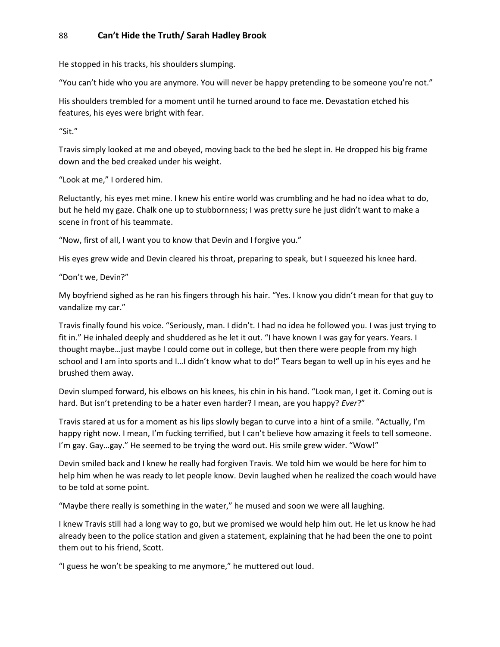He stopped in his tracks, his shoulders slumping.

"You can't hide who you are anymore. You will never be happy pretending to be someone you're not."

His shoulders trembled for a moment until he turned around to face me. Devastation etched his features, his eyes were bright with fear.

"Sit."

Travis simply looked at me and obeyed, moving back to the bed he slept in. He dropped his big frame down and the bed creaked under his weight.

"Look at me," I ordered him.

Reluctantly, his eyes met mine. I knew his entire world was crumbling and he had no idea what to do, but he held my gaze. Chalk one up to stubbornness; I was pretty sure he just didn't want to make a scene in front of his teammate.

"Now, first of all, I want you to know that Devin and I forgive you."

His eyes grew wide and Devin cleared his throat, preparing to speak, but I squeezed his knee hard.

"Don't we, Devin?"

My boyfriend sighed as he ran his fingers through his hair. "Yes. I know you didn't mean for that guy to vandalize my car."

Travis finally found his voice. "Seriously, man. I didn't. I had no idea he followed you. I was just trying to fit in." He inhaled deeply and shuddered as he let it out. "I have known I was gay for years. Years. I thought maybe…just maybe I could come out in college, but then there were people from my high school and I am into sports and I...I didn't know what to do!" Tears began to well up in his eyes and he brushed them away.

Devin slumped forward, his elbows on his knees, his chin in his hand. "Look man, I get it. Coming out is hard. But isn't pretending to be a hater even harder? I mean, are you happy? *Ever*?"

Travis stared at us for a moment as his lips slowly began to curve into a hint of a smile. "Actually, I'm happy right now. I mean, I'm fucking terrified, but I can't believe how amazing it feels to tell someone. I'm gay. Gay…gay." He seemed to be trying the word out. His smile grew wider. "Wow!"

Devin smiled back and I knew he really had forgiven Travis. We told him we would be here for him to help him when he was ready to let people know. Devin laughed when he realized the coach would have to be told at some point.

"Maybe there really is something in the water," he mused and soon we were all laughing.

I knew Travis still had a long way to go, but we promised we would help him out. He let us know he had already been to the police station and given a statement, explaining that he had been the one to point them out to his friend, Scott.

"I guess he won't be speaking to me anymore," he muttered out loud.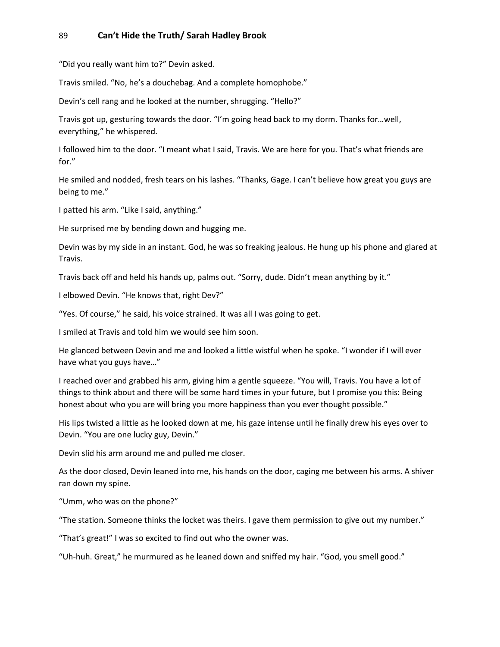"Did you really want him to?" Devin asked.

Travis smiled. "No, he's a douchebag. And a complete homophobe."

Devin's cell rang and he looked at the number, shrugging. "Hello?"

Travis got up, gesturing towards the door. "I'm going head back to my dorm. Thanks for…well, everything," he whispered.

I followed him to the door. "I meant what I said, Travis. We are here for you. That's what friends are for."

He smiled and nodded, fresh tears on his lashes. "Thanks, Gage. I can't believe how great you guys are being to me."

I patted his arm. "Like I said, anything."

He surprised me by bending down and hugging me.

Devin was by my side in an instant. God, he was so freaking jealous. He hung up his phone and glared at Travis.

Travis back off and held his hands up, palms out. "Sorry, dude. Didn't mean anything by it."

I elbowed Devin. "He knows that, right Dev?"

"Yes. Of course," he said, his voice strained. It was all I was going to get.

I smiled at Travis and told him we would see him soon.

He glanced between Devin and me and looked a little wistful when he spoke. "I wonder if I will ever have what you guys have…"

I reached over and grabbed his arm, giving him a gentle squeeze. "You will, Travis. You have a lot of things to think about and there will be some hard times in your future, but I promise you this: Being honest about who you are will bring you more happiness than you ever thought possible."

His lips twisted a little as he looked down at me, his gaze intense until he finally drew his eyes over to Devin. "You are one lucky guy, Devin."

Devin slid his arm around me and pulled me closer.

As the door closed, Devin leaned into me, his hands on the door, caging me between his arms. A shiver ran down my spine.

"Umm, who was on the phone?"

"The station. Someone thinks the locket was theirs. I gave them permission to give out my number."

"That's great!" I was so excited to find out who the owner was.

"Uh-huh. Great," he murmured as he leaned down and sniffed my hair. "God, you smell good."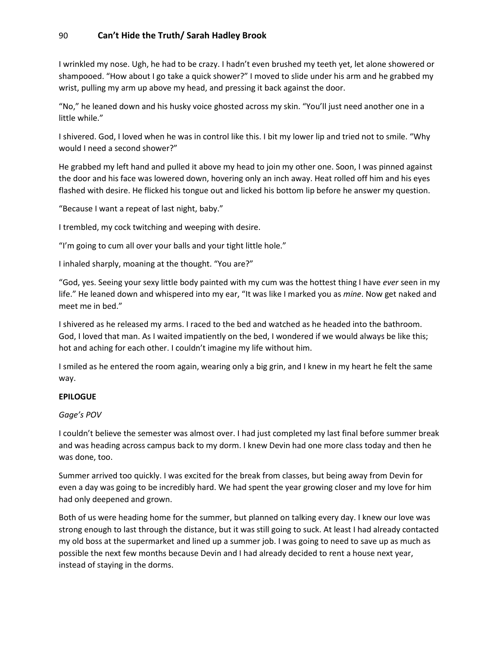I wrinkled my nose. Ugh, he had to be crazy. I hadn't even brushed my teeth yet, let alone showered or shampooed. "How about I go take a quick shower?" I moved to slide under his arm and he grabbed my wrist, pulling my arm up above my head, and pressing it back against the door.

"No," he leaned down and his husky voice ghosted across my skin. "You'll just need another one in a little while."

I shivered. God, I loved when he was in control like this. I bit my lower lip and tried not to smile. "Why would I need a second shower?"

He grabbed my left hand and pulled it above my head to join my other one. Soon, I was pinned against the door and his face was lowered down, hovering only an inch away. Heat rolled off him and his eyes flashed with desire. He flicked his tongue out and licked his bottom lip before he answer my question.

"Because I want a repeat of last night, baby."

I trembled, my cock twitching and weeping with desire.

"I'm going to cum all over your balls and your tight little hole."

I inhaled sharply, moaning at the thought. "You are?"

"God, yes. Seeing your sexy little body painted with my cum was the hottest thing I have *ever* seen in my life." He leaned down and whispered into my ear, "It was like I marked you as *mine*. Now get naked and meet me in bed."

I shivered as he released my arms. I raced to the bed and watched as he headed into the bathroom. God, I loved that man. As I waited impatiently on the bed, I wondered if we would always be like this; hot and aching for each other. I couldn't imagine my life without him.

I smiled as he entered the room again, wearing only a big grin, and I knew in my heart he felt the same way.

### **EPILOGUE**

### *Gage's POV*

I couldn't believe the semester was almost over. I had just completed my last final before summer break and was heading across campus back to my dorm. I knew Devin had one more class today and then he was done, too.

Summer arrived too quickly. I was excited for the break from classes, but being away from Devin for even a day was going to be incredibly hard. We had spent the year growing closer and my love for him had only deepened and grown.

Both of us were heading home for the summer, but planned on talking every day. I knew our love was strong enough to last through the distance, but it was still going to suck. At least I had already contacted my old boss at the supermarket and lined up a summer job. I was going to need to save up as much as possible the next few months because Devin and I had already decided to rent a house next year, instead of staying in the dorms.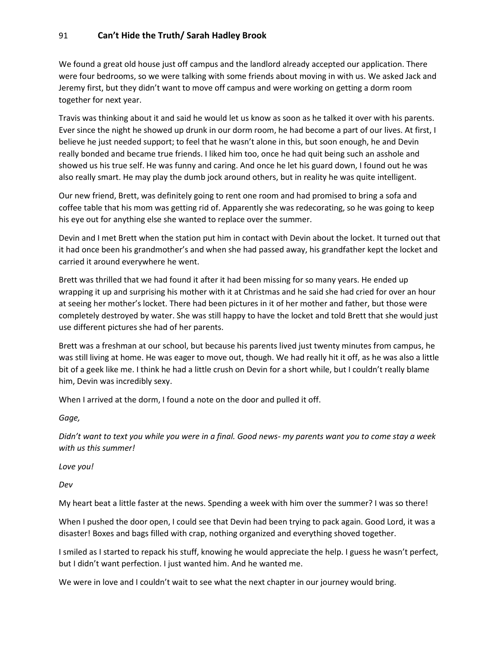We found a great old house just off campus and the landlord already accepted our application. There were four bedrooms, so we were talking with some friends about moving in with us. We asked Jack and Jeremy first, but they didn't want to move off campus and were working on getting a dorm room together for next year.

Travis was thinking about it and said he would let us know as soon as he talked it over with his parents. Ever since the night he showed up drunk in our dorm room, he had become a part of our lives. At first, I believe he just needed support; to feel that he wasn't alone in this, but soon enough, he and Devin really bonded and became true friends. I liked him too, once he had quit being such an asshole and showed us his true self. He was funny and caring. And once he let his guard down, I found out he was also really smart. He may play the dumb jock around others, but in reality he was quite intelligent.

Our new friend, Brett, was definitely going to rent one room and had promised to bring a sofa and coffee table that his mom was getting rid of. Apparently she was redecorating, so he was going to keep his eye out for anything else she wanted to replace over the summer.

Devin and I met Brett when the station put him in contact with Devin about the locket. It turned out that it had once been his grandmother's and when she had passed away, his grandfather kept the locket and carried it around everywhere he went.

Brett was thrilled that we had found it after it had been missing for so many years. He ended up wrapping it up and surprising his mother with it at Christmas and he said she had cried for over an hour at seeing her mother's locket. There had been pictures in it of her mother and father, but those were completely destroyed by water. She was still happy to have the locket and told Brett that she would just use different pictures she had of her parents.

Brett was a freshman at our school, but because his parents lived just twenty minutes from campus, he was still living at home. He was eager to move out, though. We had really hit it off, as he was also a little bit of a geek like me. I think he had a little crush on Devin for a short while, but I couldn't really blame him, Devin was incredibly sexy.

When I arrived at the dorm, I found a note on the door and pulled it off.

*Gage,*

*Didn't want to text you while you were in a final. Good news- my parents want you to come stay a week with us this summer!* 

*Love you!*

*Dev*

My heart beat a little faster at the news. Spending a week with him over the summer? I was so there!

When I pushed the door open, I could see that Devin had been trying to pack again. Good Lord, it was a disaster! Boxes and bags filled with crap, nothing organized and everything shoved together.

I smiled as I started to repack his stuff, knowing he would appreciate the help. I guess he wasn't perfect, but I didn't want perfection. I just wanted him. And he wanted me.

We were in love and I couldn't wait to see what the next chapter in our journey would bring.